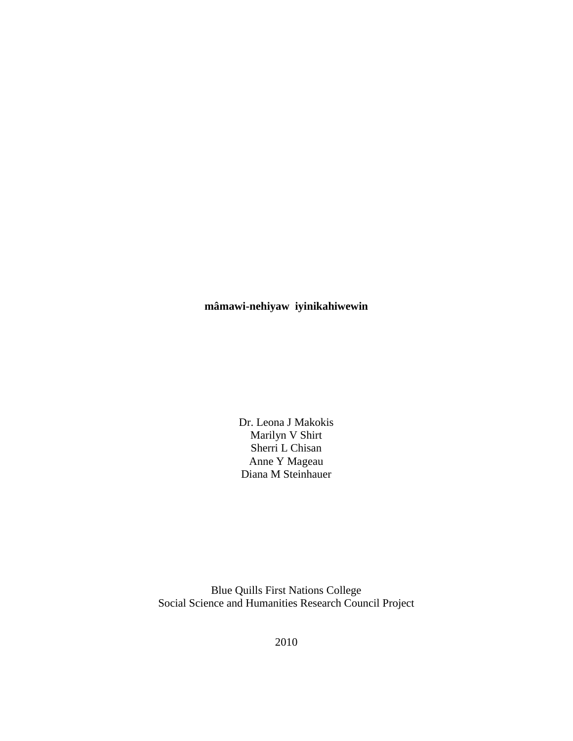# **mâmawi-nehiyaw iyinikahiwewin**

Dr. Leona J Makokis Marilyn V Shirt Sherri L Chisan Anne Y Mageau Diana M Steinhauer

Blue Quills First Nations College Social Science and Humanities Research Council Project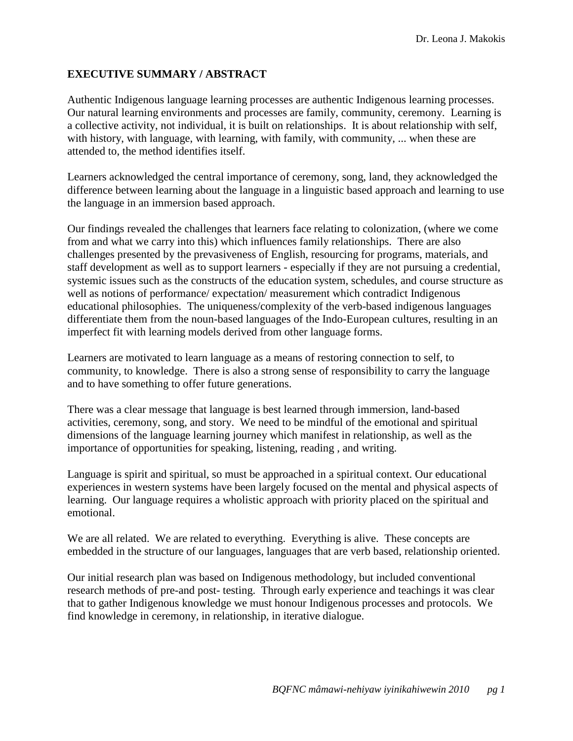## **EXECUTIVE SUMMARY / ABSTRACT**

Authentic Indigenous language learning processes are authentic Indigenous learning processes. Our natural learning environments and processes are family, community, ceremony. Learning is a collective activity, not individual, it is built on relationships. It is about relationship with self, with history, with language, with learning, with family, with community, ... when these are attended to, the method identifies itself.

Learners acknowledged the central importance of ceremony, song, land, they acknowledged the difference between learning about the language in a linguistic based approach and learning to use the language in an immersion based approach.

Our findings revealed the challenges that learners face relating to colonization, (where we come from and what we carry into this) which influences family relationships. There are also challenges presented by the prevasiveness of English, resourcing for programs, materials, and staff development as well as to support learners - especially if they are not pursuing a credential, systemic issues such as the constructs of the education system, schedules, and course structure as well as notions of performance/ expectation/ measurement which contradict Indigenous educational philosophies. The uniqueness/complexity of the verb-based indigenous languages differentiate them from the noun-based languages of the Indo-European cultures, resulting in an imperfect fit with learning models derived from other language forms.

Learners are motivated to learn language as a means of restoring connection to self, to community, to knowledge. There is also a strong sense of responsibility to carry the language and to have something to offer future generations.

There was a clear message that language is best learned through immersion, land-based activities, ceremony, song, and story. We need to be mindful of the emotional and spiritual dimensions of the language learning journey which manifest in relationship, as well as the importance of opportunities for speaking, listening, reading , and writing.

Language is spirit and spiritual, so must be approached in a spiritual context. Our educational experiences in western systems have been largely focused on the mental and physical aspects of learning. Our language requires a wholistic approach with priority placed on the spiritual and emotional.

We are all related. We are related to everything. Everything is alive. These concepts are embedded in the structure of our languages, languages that are verb based, relationship oriented.

Our initial research plan was based on Indigenous methodology, but included conventional research methods of pre-and post- testing. Through early experience and teachings it was clear that to gather Indigenous knowledge we must honour Indigenous processes and protocols. We find knowledge in ceremony, in relationship, in iterative dialogue.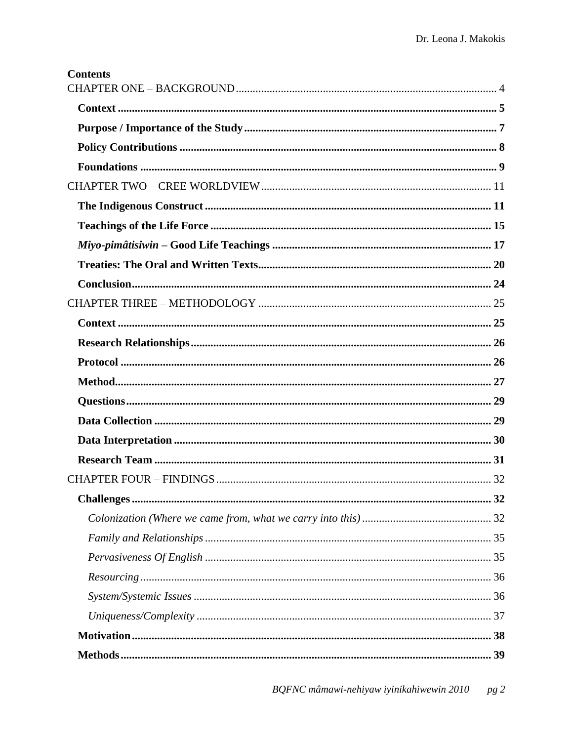| <b>Contents</b> |  |
|-----------------|--|
|                 |  |
|                 |  |
|                 |  |
|                 |  |
|                 |  |
|                 |  |
|                 |  |
|                 |  |
|                 |  |
|                 |  |
|                 |  |
|                 |  |
|                 |  |
|                 |  |
|                 |  |
|                 |  |
|                 |  |
|                 |  |
|                 |  |
|                 |  |
|                 |  |
|                 |  |
|                 |  |
|                 |  |
|                 |  |
|                 |  |
|                 |  |
|                 |  |
|                 |  |
|                 |  |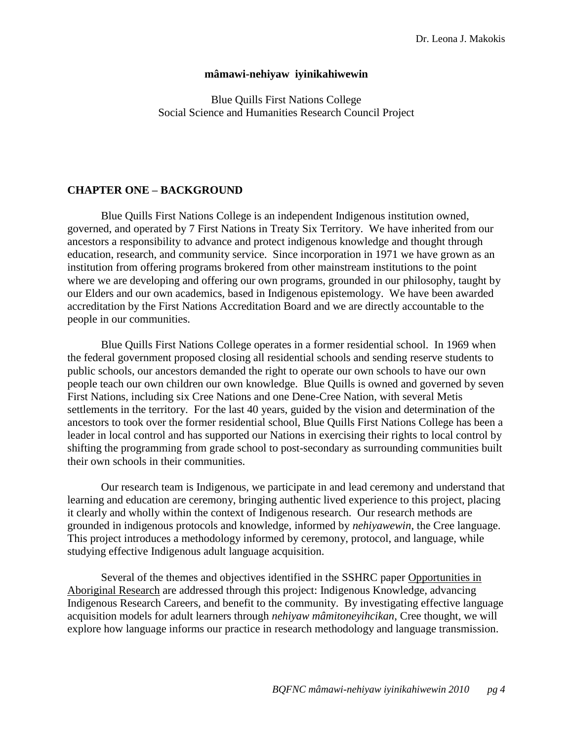### **mâmawi-nehiyaw iyinikahiwewin**

Blue Quills First Nations College Social Science and Humanities Research Council Project

### <span id="page-4-0"></span>**CHAPTER ONE – BACKGROUND**

Blue Quills First Nations College is an independent Indigenous institution owned, governed, and operated by 7 First Nations in Treaty Six Territory. We have inherited from our ancestors a responsibility to advance and protect indigenous knowledge and thought through education, research, and community service. Since incorporation in 1971 we have grown as an institution from offering programs brokered from other mainstream institutions to the point where we are developing and offering our own programs, grounded in our philosophy, taught by our Elders and our own academics, based in Indigenous epistemology. We have been awarded accreditation by the First Nations Accreditation Board and we are directly accountable to the people in our communities.

Blue Quills First Nations College operates in a former residential school. In 1969 when the federal government proposed closing all residential schools and sending reserve students to public schools, our ancestors demanded the right to operate our own schools to have our own people teach our own children our own knowledge. Blue Quills is owned and governed by seven First Nations, including six Cree Nations and one Dene-Cree Nation, with several Metis settlements in the territory. For the last 40 years, guided by the vision and determination of the ancestors to took over the former residential school, Blue Quills First Nations College has been a leader in local control and has supported our Nations in exercising their rights to local control by shifting the programming from grade school to post-secondary as surrounding communities built their own schools in their communities.

Our research team is Indigenous, we participate in and lead ceremony and understand that learning and education are ceremony, bringing authentic lived experience to this project, placing it clearly and wholly within the context of Indigenous research. Our research methods are grounded in indigenous protocols and knowledge, informed by *nehiyawewin*, the Cree language. This project introduces a methodology informed by ceremony, protocol, and language, while studying effective Indigenous adult language acquisition.

Several of the themes and objectives identified in the SSHRC paper Opportunities in Aboriginal Research are addressed through this project: Indigenous Knowledge, advancing Indigenous Research Careers, and benefit to the community. By investigating effective language acquisition models for adult learners through *nehiyaw mâmitoneyihcikan*, Cree thought, we will explore how language informs our practice in research methodology and language transmission.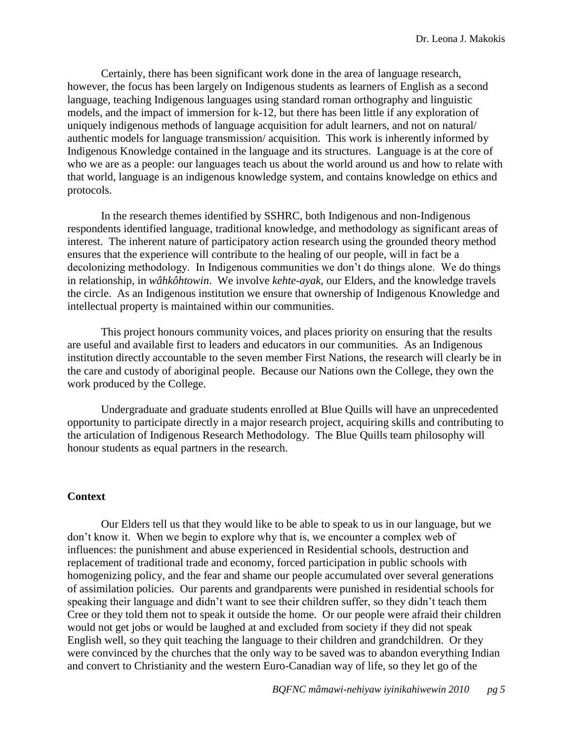Certainly, there has been significant work done in the area of language research, however, the focus has been largely on Indigenous students as learners of English as a second language, teaching Indigenous languages using standard roman orthography and linguistic models, and the impact of immersion for k-12, but there has been little if any exploration of uniquely indigenous methods of language acquisition for adult learners, and not on natural/ authentic models for language transmission/ acquisition. This work is inherently informed by Indigenous Knowledge contained in the language and its structures. Language is at the core of who we are as a people: our languages teach us about the world around us and how to relate with that world, language is an indigenous knowledge system, and contains knowledge on ethics and protocols.

In the research themes identified by SSHRC, both Indigenous and non-Indigenous respondents identified language, traditional knowledge, and methodology as significant areas of interest. The inherent nature of participatory action research using the grounded theory method ensures that the experience will contribute to the healing of our people, will in fact be a decolonizing methodology. In Indigenous communities we don't do things alone. We do things in relationship, in *wâhkôhtowin*. We involve *kehte-ayak*, our Elders, and the knowledge travels the circle. As an Indigenous institution we ensure that ownership of Indigenous Knowledge and intellectual property is maintained within our communities.

This project honours community voices, and places priority on ensuring that the results are useful and available first to leaders and educators in our communities. As an Indigenous institution directly accountable to the seven member First Nations, the research will clearly be in the care and custody of aboriginal people. Because our Nations own the College, they own the work produced by the College.

Undergraduate and graduate students enrolled at Blue Quills will have an unprecedented opportunity to participate directly in a major research project, acquiring skills and contributing to the articulation of Indigenous Research Methodology. The Blue Quills team philosophy will honour students as equal partners in the research.

### <span id="page-5-0"></span>**Context**

Our Elders tell us that they would like to be able to speak to us in our language, but we don't know it. When we begin to explore why that is, we encounter a complex web of influences: the punishment and abuse experienced in Residential schools, destruction and replacement of traditional trade and economy, forced participation in public schools with homogenizing policy, and the fear and shame our people accumulated over several generations of assimilation policies. Our parents and grandparents were punished in residential schools for speaking their language and didn't want to see their children suffer, so they didn't teach them Cree or they told them not to speak it outside the home. Or our people were afraid their children would not get jobs or would be laughed at and excluded from society if they did not speak English well, so they quit teaching the language to their children and grandchildren. Or they were convinced by the churches that the only way to be saved was to abandon everything Indian and convert to Christianity and the western Euro-Canadian way of life, so they let go of the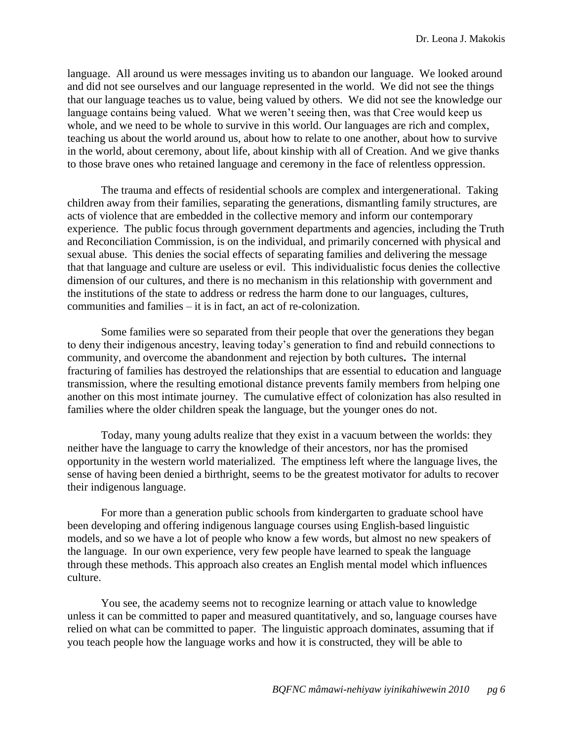language. All around us were messages inviting us to abandon our language. We looked around and did not see ourselves and our language represented in the world. We did not see the things that our language teaches us to value, being valued by others. We did not see the knowledge our language contains being valued. What we weren't seeing then, was that Cree would keep us whole, and we need to be whole to survive in this world. Our languages are rich and complex, teaching us about the world around us, about how to relate to one another, about how to survive in the world, about ceremony, about life, about kinship with all of Creation. And we give thanks to those brave ones who retained language and ceremony in the face of relentless oppression.

The trauma and effects of residential schools are complex and intergenerational. Taking children away from their families, separating the generations, dismantling family structures, are acts of violence that are embedded in the collective memory and inform our contemporary experience. The public focus through government departments and agencies, including the Truth and Reconciliation Commission, is on the individual, and primarily concerned with physical and sexual abuse. This denies the social effects of separating families and delivering the message that that language and culture are useless or evil. This individualistic focus denies the collective dimension of our cultures, and there is no mechanism in this relationship with government and the institutions of the state to address or redress the harm done to our languages, cultures, communities and families – it is in fact, an act of re-colonization.

Some families were so separated from their people that over the generations they began to deny their indigenous ancestry, leaving today's generation to find and rebuild connections to community, and overcome the abandonment and rejection by both cultures**.** The internal fracturing of families has destroyed the relationships that are essential to education and language transmission, where the resulting emotional distance prevents family members from helping one another on this most intimate journey. The cumulative effect of colonization has also resulted in families where the older children speak the language, but the younger ones do not.

Today, many young adults realize that they exist in a vacuum between the worlds: they neither have the language to carry the knowledge of their ancestors, nor has the promised opportunity in the western world materialized. The emptiness left where the language lives, the sense of having been denied a birthright, seems to be the greatest motivator for adults to recover their indigenous language.

For more than a generation public schools from kindergarten to graduate school have been developing and offering indigenous language courses using English-based linguistic models, and so we have a lot of people who know a few words, but almost no new speakers of the language. In our own experience, very few people have learned to speak the language through these methods. This approach also creates an English mental model which influences culture.

You see, the academy seems not to recognize learning or attach value to knowledge unless it can be committed to paper and measured quantitatively, and so, language courses have relied on what can be committed to paper. The linguistic approach dominates, assuming that if you teach people how the language works and how it is constructed, they will be able to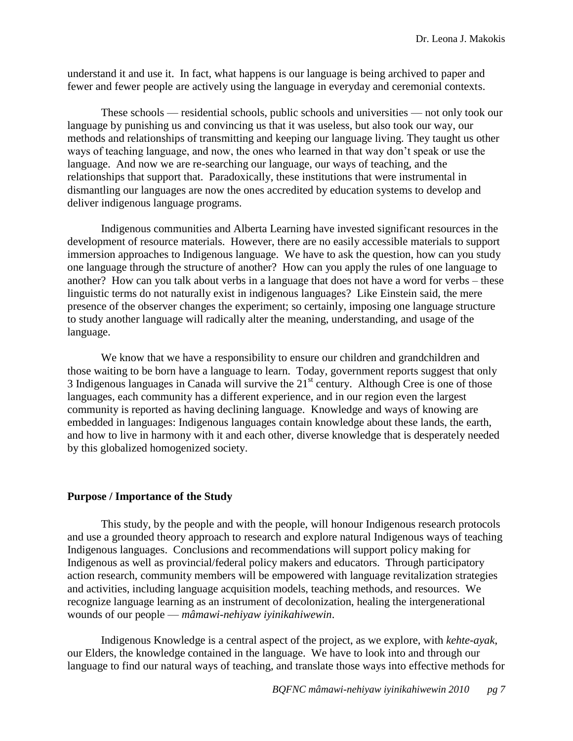understand it and use it. In fact, what happens is our language is being archived to paper and fewer and fewer people are actively using the language in everyday and ceremonial contexts.

These schools — residential schools, public schools and universities — not only took our language by punishing us and convincing us that it was useless, but also took our way, our methods and relationships of transmitting and keeping our language living. They taught us other ways of teaching language, and now, the ones who learned in that way don't speak or use the language. And now we are re-searching our language, our ways of teaching, and the relationships that support that. Paradoxically, these institutions that were instrumental in dismantling our languages are now the ones accredited by education systems to develop and deliver indigenous language programs.

Indigenous communities and Alberta Learning have invested significant resources in the development of resource materials. However, there are no easily accessible materials to support immersion approaches to Indigenous language. We have to ask the question, how can you study one language through the structure of another? How can you apply the rules of one language to another? How can you talk about verbs in a language that does not have a word for verbs – these linguistic terms do not naturally exist in indigenous languages? Like Einstein said, the mere presence of the observer changes the experiment; so certainly, imposing one language structure to study another language will radically alter the meaning, understanding, and usage of the language.

We know that we have a responsibility to ensure our children and grandchildren and those waiting to be born have a language to learn.Today, government reports suggest that only 3 Indigenous languages in Canada will survive the  $21<sup>st</sup>$  century. Although Cree is one of those languages, each community has a different experience, and in our region even the largest community is reported as having declining language. Knowledge and ways of knowing are embedded in languages: Indigenous languages contain knowledge about these lands, the earth, and how to live in harmony with it and each other, diverse knowledge that is desperately needed by this globalized homogenized society.

## <span id="page-7-0"></span>**Purpose / Importance of the Study**

This study, by the people and with the people, will honour Indigenous research protocols and use a grounded theory approach to research and explore natural Indigenous ways of teaching Indigenous languages. Conclusions and recommendations will support policy making for Indigenous as well as provincial/federal policy makers and educators. Through participatory action research, community members will be empowered with language revitalization strategies and activities, including language acquisition models, teaching methods, and resources. We recognize language learning as an instrument of decolonization, healing the intergenerational wounds of our people — *mâmawi-nehiyaw iyinikahiwewin*.

Indigenous Knowledge is a central aspect of the project, as we explore, with *kehte-ayak*, our Elders, the knowledge contained in the language. We have to look into and through our language to find our natural ways of teaching, and translate those ways into effective methods for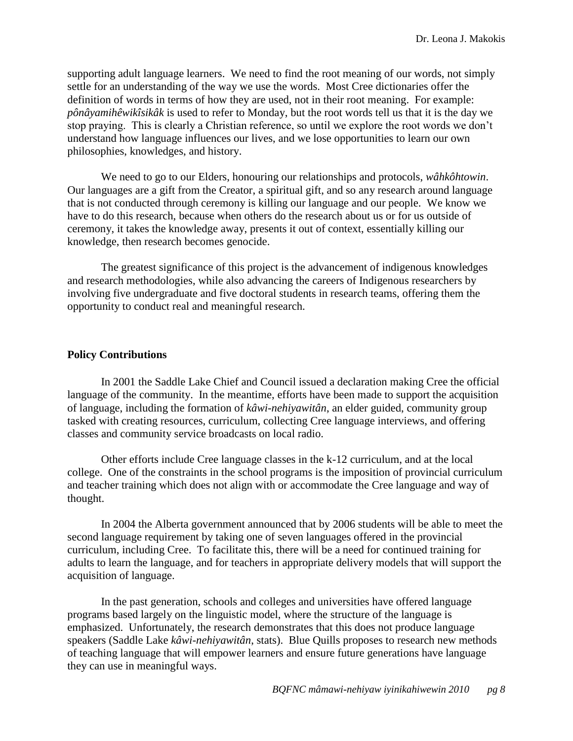supporting adult language learners. We need to find the root meaning of our words, not simply settle for an understanding of the way we use the words. Most Cree dictionaries offer the definition of words in terms of how they are used, not in their root meaning. For example: *pônâyamihêwikîsikâk* is used to refer to Monday, but the root words tell us that it is the day we stop praying. This is clearly a Christian reference, so until we explore the root words we don't understand how language influences our lives, and we lose opportunities to learn our own philosophies, knowledges, and history.

We need to go to our Elders, honouring our relationships and protocols, *wâhkôhtowin*. Our languages are a gift from the Creator, a spiritual gift, and so any research around language that is not conducted through ceremony is killing our language and our people. We know we have to do this research, because when others do the research about us or for us outside of ceremony, it takes the knowledge away, presents it out of context, essentially killing our knowledge, then research becomes genocide.

The greatest significance of this project is the advancement of indigenous knowledges and research methodologies, while also advancing the careers of Indigenous researchers by involving five undergraduate and five doctoral students in research teams, offering them the opportunity to conduct real and meaningful research.

### <span id="page-8-0"></span>**Policy Contributions**

In 2001 the Saddle Lake Chief and Council issued a declaration making Cree the official language of the community. In the meantime, efforts have been made to support the acquisition of language, including the formation of *kâwi-nehiyawitân*, an elder guided, community group tasked with creating resources, curriculum, collecting Cree language interviews, and offering classes and community service broadcasts on local radio.

Other efforts include Cree language classes in the k-12 curriculum, and at the local college. One of the constraints in the school programs is the imposition of provincial curriculum and teacher training which does not align with or accommodate the Cree language and way of thought.

In 2004 the Alberta government announced that by 2006 students will be able to meet the second language requirement by taking one of seven languages offered in the provincial curriculum, including Cree. To facilitate this, there will be a need for continued training for adults to learn the language, and for teachers in appropriate delivery models that will support the acquisition of language.

In the past generation, schools and colleges and universities have offered language programs based largely on the linguistic model, where the structure of the language is emphasized. Unfortunately, the research demonstrates that this does not produce language speakers (Saddle Lake *kâwi-nehiyawitân*, stats). Blue Quills proposes to research new methods of teaching language that will empower learners and ensure future generations have language they can use in meaningful ways.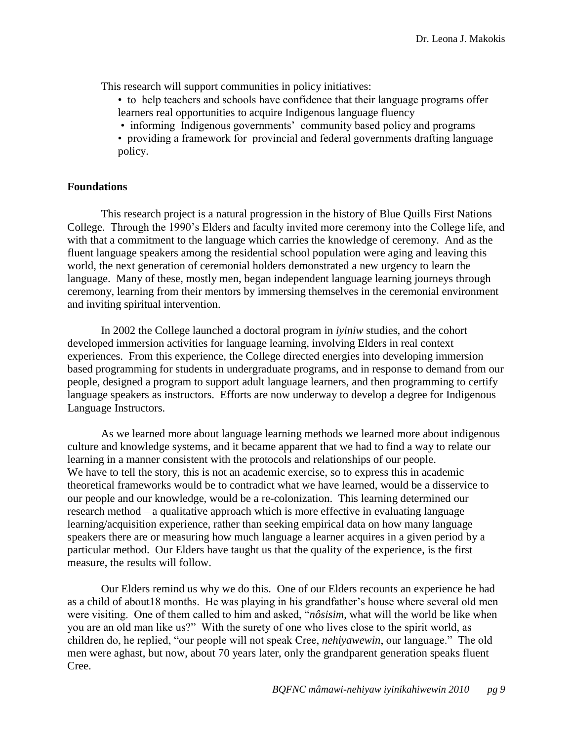This research will support communities in policy initiatives:

- to help teachers and schools have confidence that their language programs offer learners real opportunities to acquire Indigenous language fluency
- informing Indigenous governments' community based policy and programs
- providing a framework for provincial and federal governments drafting language policy.

### <span id="page-9-0"></span>**Foundations**

This research project is a natural progression in the history of Blue Quills First Nations College. Through the 1990's Elders and faculty invited more ceremony into the College life, and with that a commitment to the language which carries the knowledge of ceremony. And as the fluent language speakers among the residential school population were aging and leaving this world, the next generation of ceremonial holders demonstrated a new urgency to learn the language. Many of these, mostly men, began independent language learning journeys through ceremony, learning from their mentors by immersing themselves in the ceremonial environment and inviting spiritual intervention.

In 2002 the College launched a doctoral program in *iyiniw* studies, and the cohort developed immersion activities for language learning, involving Elders in real context experiences. From this experience, the College directed energies into developing immersion based programming for students in undergraduate programs, and in response to demand from our people, designed a program to support adult language learners, and then programming to certify language speakers as instructors. Efforts are now underway to develop a degree for Indigenous Language Instructors.

As we learned more about language learning methods we learned more about indigenous culture and knowledge systems, and it became apparent that we had to find a way to relate our learning in a manner consistent with the protocols and relationships of our people. We have to tell the story, this is not an academic exercise, so to express this in academic theoretical frameworks would be to contradict what we have learned, would be a disservice to our people and our knowledge, would be a re-colonization. This learning determined our research method – a qualitative approach which is more effective in evaluating language learning/acquisition experience, rather than seeking empirical data on how many language speakers there are or measuring how much language a learner acquires in a given period by a particular method. Our Elders have taught us that the quality of the experience, is the first measure, the results will follow.

Our Elders remind us why we do this. One of our Elders recounts an experience he had as a child of about18 months. He was playing in his grandfather's house where several old men were visiting. One of them called to him and asked, "*nôsisim*, what will the world be like when you are an old man like us?" With the surety of one who lives close to the spirit world, as children do, he replied, "our people will not speak Cree, *nehiyawewin*, our language." The old men were aghast, but now, about 70 years later, only the grandparent generation speaks fluent Cree.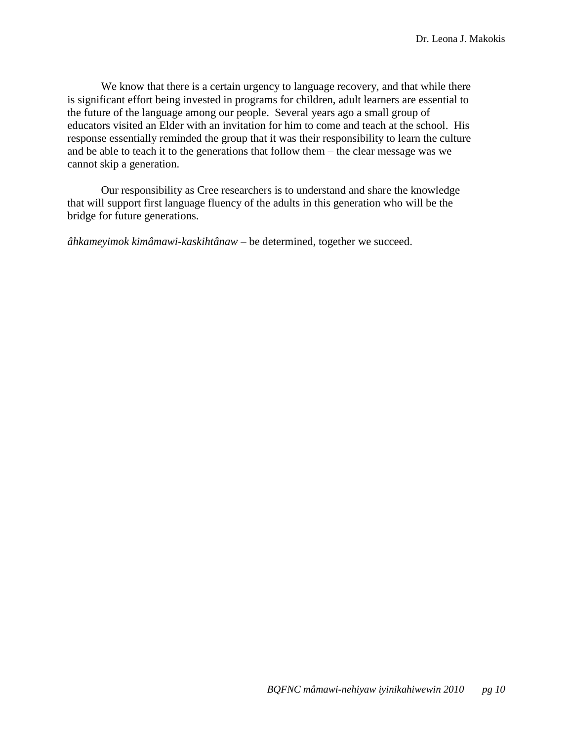We know that there is a certain urgency to language recovery, and that while there is significant effort being invested in programs for children, adult learners are essential to the future of the language among our people. Several years ago a small group of educators visited an Elder with an invitation for him to come and teach at the school. His response essentially reminded the group that it was their responsibility to learn the culture and be able to teach it to the generations that follow them – the clear message was we cannot skip a generation.

Our responsibility as Cree researchers is to understand and share the knowledge that will support first language fluency of the adults in this generation who will be the bridge for future generations.

*âhkameyimok kimâmawi-kaskihtânaw* – be determined, together we succeed.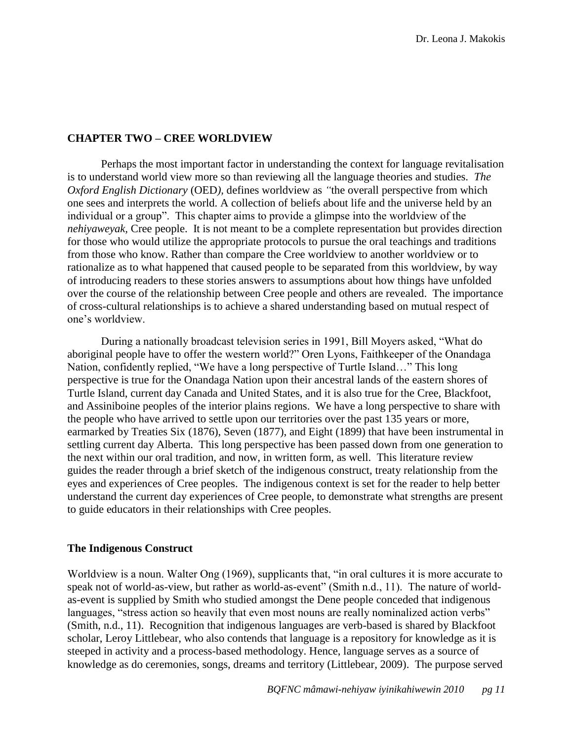### <span id="page-11-0"></span>**CHAPTER TWO – CREE WORLDVIEW**

Perhaps the most important factor in understanding the context for language revitalisation is to understand world view more so than reviewing all the language theories and studies. *The Oxford English Dictionary (OED), defines worldview as "the overall perspective from which* one sees and interprets the world. A collection of beliefs about life and the universe held by an individual or a group". This chapter aims to provide a glimpse into the worldview of the *nehiyaweyak,* Cree people. It is not meant to be a complete representation but provides direction for those who would utilize the appropriate protocols to pursue the oral teachings and traditions from those who know. Rather than compare the Cree worldview to another worldview or to rationalize as to what happened that caused people to be separated from this worldview, by way of introducing readers to these stories answers to assumptions about how things have unfolded over the course of the relationship between Cree people and others are revealed. The importance of cross-cultural relationships is to achieve a shared understanding based on mutual respect of one's worldview.

During a nationally broadcast television series in 1991, Bill Moyers asked, "What do aboriginal people have to offer the western world?" Oren Lyons, Faithkeeper of the Onandaga Nation, confidently replied, "We have a long perspective of Turtle Island..." This long perspective is true for the Onandaga Nation upon their ancestral lands of the eastern shores of Turtle Island, current day Canada and United States, and it is also true for the Cree, Blackfoot, and Assiniboine peoples of the interior plains regions. We have a long perspective to share with the people who have arrived to settle upon our territories over the past 135 years or more, earmarked by Treaties Six (1876), Seven (1877), and Eight (1899) that have been instrumental in settling current day Alberta. This long perspective has been passed down from one generation to the next within our oral tradition, and now, in written form, as well. This literature review guides the reader through a brief sketch of the indigenous construct, treaty relationship from the eyes and experiences of Cree peoples. The indigenous context is set for the reader to help better understand the current day experiences of Cree people, to demonstrate what strengths are present to guide educators in their relationships with Cree peoples.

### <span id="page-11-1"></span>**The Indigenous Construct**

Worldview is a noun. Walter Ong (1969), supplicants that, "in oral cultures it is more accurate to speak not of world-as-view, but rather as world-as-event" (Smith n.d., 11). The nature of worldas-event is supplied by Smith who studied amongst the Dene people conceded that indigenous languages, "stress action so heavily that even most nouns are really nominalized action verbs" (Smith, n.d., 11). Recognition that indigenous languages are verb-based is shared by Blackfoot scholar, Leroy Littlebear, who also contends that language is a repository for knowledge as it is steeped in activity and a process-based methodology. Hence, language serves as a source of knowledge as do ceremonies, songs, dreams and territory (Littlebear, 2009). The purpose served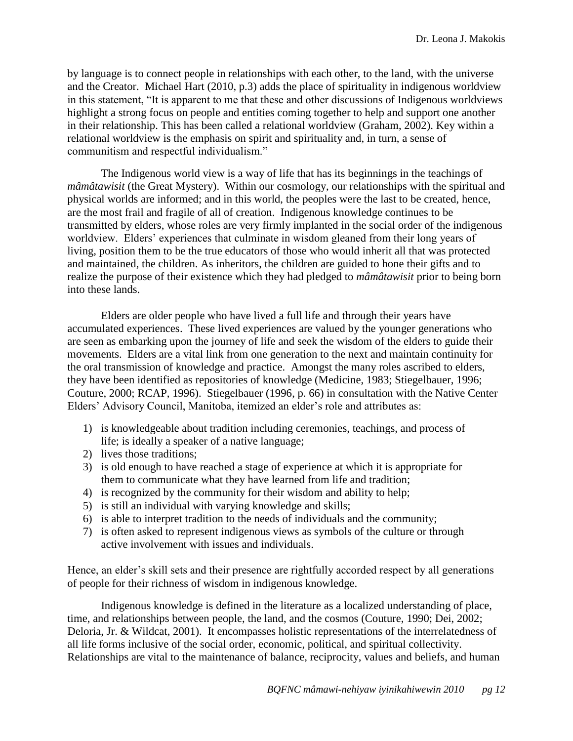by language is to connect people in relationships with each other, to the land, with the universe and the Creator. Michael Hart (2010, p.3) adds the place of spirituality in indigenous worldview in this statement, "It is apparent to me that these and other discussions of Indigenous worldviews highlight a strong focus on people and entities coming together to help and support one another in their relationship. This has been called a relational worldview (Graham, 2002). Key within a relational worldview is the emphasis on spirit and spirituality and, in turn, a sense of communitism and respectful individualism."

The Indigenous world view is a way of life that has its beginnings in the teachings of *mâmâtawisit* (the Great Mystery). Within our cosmology, our relationships with the spiritual and physical worlds are informed; and in this world, the peoples were the last to be created, hence, are the most frail and fragile of all of creation. Indigenous knowledge continues to be transmitted by elders, whose roles are very firmly implanted in the social order of the indigenous worldview. Elders' experiences that culminate in wisdom gleaned from their long years of living, position them to be the true educators of those who would inherit all that was protected and maintained, the children. As inheritors, the children are guided to hone their gifts and to realize the purpose of their existence which they had pledged to *mâmâtawisit* prior to being born into these lands.

Elders are older people who have lived a full life and through their years have accumulated experiences. These lived experiences are valued by the younger generations who are seen as embarking upon the journey of life and seek the wisdom of the elders to guide their movements. Elders are a vital link from one generation to the next and maintain continuity for the oral transmission of knowledge and practice. Amongst the many roles ascribed to elders, they have been identified as repositories of knowledge (Medicine, 1983; Stiegelbauer, 1996; Couture, 2000; RCAP, 1996). Stiegelbauer (1996, p. 66) in consultation with the Native Center Elders' Advisory Council, Manitoba, itemized an elder's role and attributes as:

- 1) is knowledgeable about tradition including ceremonies, teachings, and process of life; is ideally a speaker of a native language;
- 2) lives those traditions;
- 3) is old enough to have reached a stage of experience at which it is appropriate for them to communicate what they have learned from life and tradition;
- 4) is recognized by the community for their wisdom and ability to help;
- 5) is still an individual with varying knowledge and skills;
- 6) is able to interpret tradition to the needs of individuals and the community;
- 7) is often asked to represent indigenous views as symbols of the culture or through active involvement with issues and individuals.

Hence, an elder's skill sets and their presence are rightfully accorded respect by all generations of people for their richness of wisdom in indigenous knowledge.

Indigenous knowledge is defined in the literature as a localized understanding of place, time, and relationships between people, the land, and the cosmos (Couture, 1990; Dei, 2002; Deloria, Jr. & Wildcat, 2001). It encompasses holistic representations of the interrelatedness of all life forms inclusive of the social order, economic, political, and spiritual collectivity. Relationships are vital to the maintenance of balance, reciprocity, values and beliefs, and human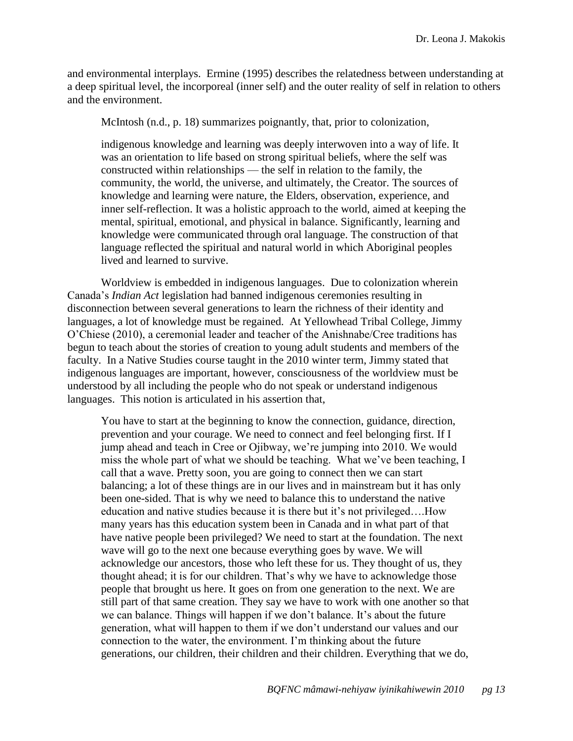and environmental interplays. Ermine (1995) describes the relatedness between understanding at a deep spiritual level, the incorporeal (inner self) and the outer reality of self in relation to others and the environment.

McIntosh (n.d., p. 18) summarizes poignantly, that, prior to colonization,

indigenous knowledge and learning was deeply interwoven into a way of life. It was an orientation to life based on strong spiritual beliefs, where the self was constructed within relationships — the self in relation to the family, the community, the world, the universe, and ultimately, the Creator. The sources of knowledge and learning were nature, the Elders, observation, experience, and inner self-reflection. It was a holistic approach to the world, aimed at keeping the mental, spiritual, emotional, and physical in balance. Significantly, learning and knowledge were communicated through oral language. The construction of that language reflected the spiritual and natural world in which Aboriginal peoples lived and learned to survive.

Worldview is embedded in indigenous languages. Due to colonization wherein Canada's *Indian Act* legislation had banned indigenous ceremonies resulting in disconnection between several generations to learn the richness of their identity and languages, a lot of knowledge must be regained. At Yellowhead Tribal College, Jimmy O'Chiese (2010), a ceremonial leader and teacher of the Anishnabe/Cree traditions has begun to teach about the stories of creation to young adult students and members of the faculty. In a Native Studies course taught in the 2010 winter term, Jimmy stated that indigenous languages are important, however, consciousness of the worldview must be understood by all including the people who do not speak or understand indigenous languages. This notion is articulated in his assertion that,

You have to start at the beginning to know the connection, guidance, direction, prevention and your courage. We need to connect and feel belonging first. If I jump ahead and teach in Cree or Ojibway, we're jumping into 2010. We would miss the whole part of what we should be teaching. What we've been teaching, I call that a wave. Pretty soon, you are going to connect then we can start balancing; a lot of these things are in our lives and in mainstream but it has only been one-sided. That is why we need to balance this to understand the native education and native studies because it is there but it's not privileged….How many years has this education system been in Canada and in what part of that have native people been privileged? We need to start at the foundation. The next wave will go to the next one because everything goes by wave. We will acknowledge our ancestors, those who left these for us. They thought of us, they thought ahead; it is for our children. That's why we have to acknowledge those people that brought us here. It goes on from one generation to the next. We are still part of that same creation. They say we have to work with one another so that we can balance. Things will happen if we don't balance. It's about the future generation, what will happen to them if we don't understand our values and our connection to the water, the environment. I'm thinking about the future generations, our children, their children and their children. Everything that we do,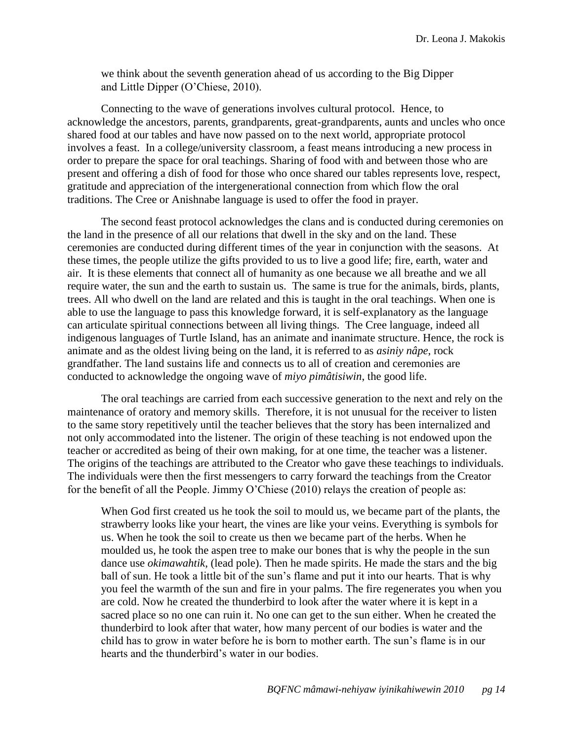we think about the seventh generation ahead of us according to the Big Dipper and Little Dipper (O'Chiese, 2010).

Connecting to the wave of generations involves cultural protocol. Hence, to acknowledge the ancestors, parents, grandparents, great-grandparents, aunts and uncles who once shared food at our tables and have now passed on to the next world, appropriate protocol involves a feast. In a college/university classroom, a feast means introducing a new process in order to prepare the space for oral teachings. Sharing of food with and between those who are present and offering a dish of food for those who once shared our tables represents love, respect, gratitude and appreciation of the intergenerational connection from which flow the oral traditions. The Cree or Anishnabe language is used to offer the food in prayer.

The second feast protocol acknowledges the clans and is conducted during ceremonies on the land in the presence of all our relations that dwell in the sky and on the land. These ceremonies are conducted during different times of the year in conjunction with the seasons. At these times, the people utilize the gifts provided to us to live a good life; fire, earth, water and air. It is these elements that connect all of humanity as one because we all breathe and we all require water, the sun and the earth to sustain us. The same is true for the animals, birds, plants, trees. All who dwell on the land are related and this is taught in the oral teachings. When one is able to use the language to pass this knowledge forward, it is self-explanatory as the language can articulate spiritual connections between all living things. The Cree language, indeed all indigenous languages of Turtle Island, has an animate and inanimate structure. Hence, the rock is animate and as the oldest living being on the land, it is referred to as *asiniy nâpe*, rock grandfather. The land sustains life and connects us to all of creation and ceremonies are conducted to acknowledge the ongoing wave of *miyo pimâtisiwin*, the good life.

The oral teachings are carried from each successive generation to the next and rely on the maintenance of oratory and memory skills. Therefore, it is not unusual for the receiver to listen to the same story repetitively until the teacher believes that the story has been internalized and not only accommodated into the listener. The origin of these teaching is not endowed upon the teacher or accredited as being of their own making, for at one time, the teacher was a listener. The origins of the teachings are attributed to the Creator who gave these teachings to individuals. The individuals were then the first messengers to carry forward the teachings from the Creator for the benefit of all the People. Jimmy O'Chiese (2010) relays the creation of people as:

When God first created us he took the soil to mould us, we became part of the plants, the strawberry looks like your heart, the vines are like your veins. Everything is symbols for us. When he took the soil to create us then we became part of the herbs. When he moulded us, he took the aspen tree to make our bones that is why the people in the sun dance use *okimawahtik*, (lead pole). Then he made spirits. He made the stars and the big ball of sun. He took a little bit of the sun's flame and put it into our hearts. That is why you feel the warmth of the sun and fire in your palms. The fire regenerates you when you are cold. Now he created the thunderbird to look after the water where it is kept in a sacred place so no one can ruin it. No one can get to the sun either. When he created the thunderbird to look after that water, how many percent of our bodies is water and the child has to grow in water before he is born to mother earth. The sun's flame is in our hearts and the thunderbird's water in our bodies.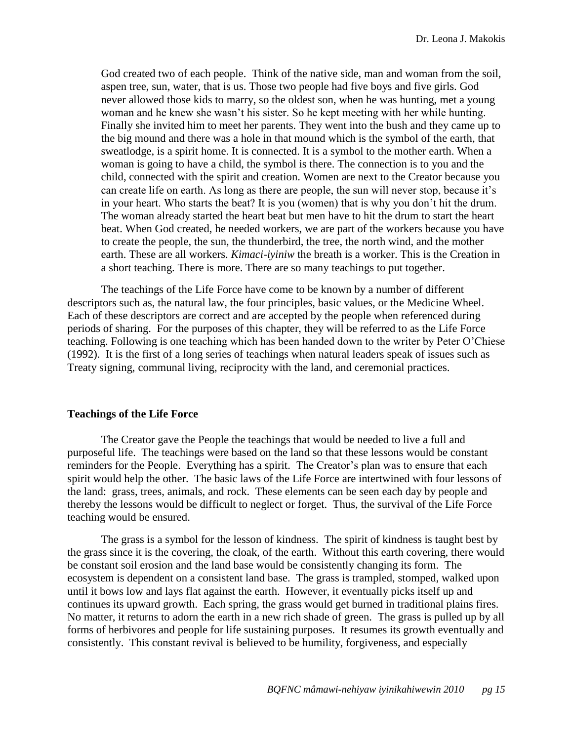God created two of each people. Think of the native side, man and woman from the soil, aspen tree, sun, water, that is us. Those two people had five boys and five girls. God never allowed those kids to marry, so the oldest son, when he was hunting, met a young woman and he knew she wasn't his sister. So he kept meeting with her while hunting. Finally she invited him to meet her parents. They went into the bush and they came up to the big mound and there was a hole in that mound which is the symbol of the earth, that sweatlodge, is a spirit home. It is connected. It is a symbol to the mother earth. When a woman is going to have a child, the symbol is there. The connection is to you and the child, connected with the spirit and creation. Women are next to the Creator because you can create life on earth. As long as there are people, the sun will never stop, because it's in your heart. Who starts the beat? It is you (women) that is why you don't hit the drum. The woman already started the heart beat but men have to hit the drum to start the heart beat. When God created, he needed workers, we are part of the workers because you have to create the people, the sun, the thunderbird, the tree, the north wind, and the mother earth. These are all workers. *Kimaci-iyiniw* the breath is a worker. This is the Creation in a short teaching. There is more. There are so many teachings to put together.

The teachings of the Life Force have come to be known by a number of different descriptors such as, the natural law, the four principles, basic values, or the Medicine Wheel. Each of these descriptors are correct and are accepted by the people when referenced during periods of sharing. For the purposes of this chapter, they will be referred to as the Life Force teaching. Following is one teaching which has been handed down to the writer by Peter O'Chiese (1992). It is the first of a long series of teachings when natural leaders speak of issues such as Treaty signing, communal living, reciprocity with the land, and ceremonial practices.

### <span id="page-15-0"></span>**Teachings of the Life Force**

The Creator gave the People the teachings that would be needed to live a full and purposeful life. The teachings were based on the land so that these lessons would be constant reminders for the People. Everything has a spirit. The Creator's plan was to ensure that each spirit would help the other. The basic laws of the Life Force are intertwined with four lessons of the land: grass, trees, animals, and rock. These elements can be seen each day by people and thereby the lessons would be difficult to neglect or forget. Thus, the survival of the Life Force teaching would be ensured.

The grass is a symbol for the lesson of kindness. The spirit of kindness is taught best by the grass since it is the covering, the cloak, of the earth. Without this earth covering, there would be constant soil erosion and the land base would be consistently changing its form. The ecosystem is dependent on a consistent land base. The grass is trampled, stomped, walked upon until it bows low and lays flat against the earth. However, it eventually picks itself up and continues its upward growth. Each spring, the grass would get burned in traditional plains fires. No matter, it returns to adorn the earth in a new rich shade of green. The grass is pulled up by all forms of herbivores and people for life sustaining purposes. It resumes its growth eventually and consistently. This constant revival is believed to be humility, forgiveness, and especially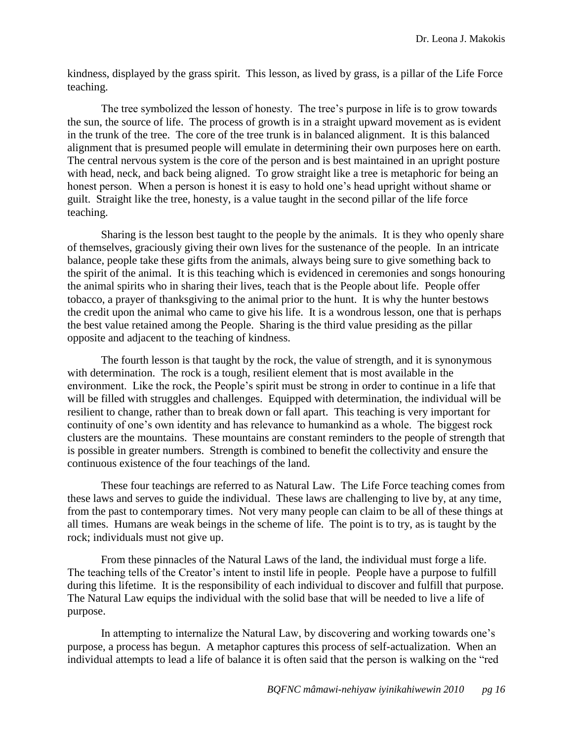kindness, displayed by the grass spirit. This lesson, as lived by grass, is a pillar of the Life Force teaching.

The tree symbolized the lesson of honesty. The tree's purpose in life is to grow towards the sun, the source of life. The process of growth is in a straight upward movement as is evident in the trunk of the tree. The core of the tree trunk is in balanced alignment. It is this balanced alignment that is presumed people will emulate in determining their own purposes here on earth. The central nervous system is the core of the person and is best maintained in an upright posture with head, neck, and back being aligned. To grow straight like a tree is metaphoric for being an honest person. When a person is honest it is easy to hold one's head upright without shame or guilt. Straight like the tree, honesty, is a value taught in the second pillar of the life force teaching.

Sharing is the lesson best taught to the people by the animals. It is they who openly share of themselves, graciously giving their own lives for the sustenance of the people. In an intricate balance, people take these gifts from the animals, always being sure to give something back to the spirit of the animal. It is this teaching which is evidenced in ceremonies and songs honouring the animal spirits who in sharing their lives, teach that is the People about life. People offer tobacco, a prayer of thanksgiving to the animal prior to the hunt. It is why the hunter bestows the credit upon the animal who came to give his life. It is a wondrous lesson, one that is perhaps the best value retained among the People. Sharing is the third value presiding as the pillar opposite and adjacent to the teaching of kindness.

The fourth lesson is that taught by the rock, the value of strength, and it is synonymous with determination. The rock is a tough, resilient element that is most available in the environment. Like the rock, the People's spirit must be strong in order to continue in a life that will be filled with struggles and challenges. Equipped with determination, the individual will be resilient to change, rather than to break down or fall apart. This teaching is very important for continuity of one's own identity and has relevance to humankind as a whole. The biggest rock clusters are the mountains. These mountains are constant reminders to the people of strength that is possible in greater numbers. Strength is combined to benefit the collectivity and ensure the continuous existence of the four teachings of the land.

These four teachings are referred to as Natural Law. The Life Force teaching comes from these laws and serves to guide the individual. These laws are challenging to live by, at any time, from the past to contemporary times. Not very many people can claim to be all of these things at all times. Humans are weak beings in the scheme of life. The point is to try, as is taught by the rock; individuals must not give up.

From these pinnacles of the Natural Laws of the land, the individual must forge a life. The teaching tells of the Creator's intent to instil life in people. People have a purpose to fulfill during this lifetime. It is the responsibility of each individual to discover and fulfill that purpose. The Natural Law equips the individual with the solid base that will be needed to live a life of purpose.

In attempting to internalize the Natural Law, by discovering and working towards one's purpose, a process has begun. A metaphor captures this process of self-actualization. When an individual attempts to lead a life of balance it is often said that the person is walking on the "red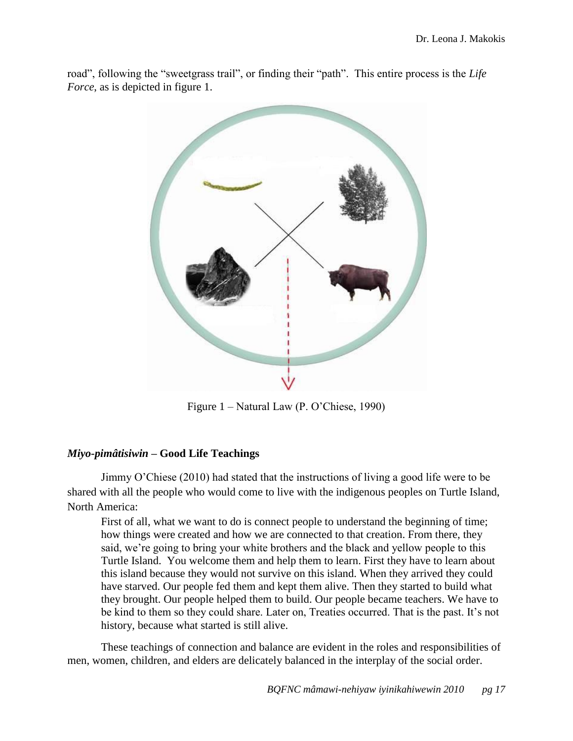road", following the "sweetgrass trail", or finding their "path". This entire process is the *Life Force*, as is depicted in figure 1.



Figure 1 – Natural Law (P. O'Chiese, 1990)

## <span id="page-17-0"></span>*Miyo-pimâtisiwin* **– Good Life Teachings**

Jimmy O'Chiese (2010) had stated that the instructions of living a good life were to be shared with all the people who would come to live with the indigenous peoples on Turtle Island, North America:

First of all, what we want to do is connect people to understand the beginning of time; how things were created and how we are connected to that creation. From there, they said, we're going to bring your white brothers and the black and yellow people to this Turtle Island. You welcome them and help them to learn. First they have to learn about this island because they would not survive on this island. When they arrived they could have starved. Our people fed them and kept them alive. Then they started to build what they brought. Our people helped them to build. Our people became teachers. We have to be kind to them so they could share. Later on, Treaties occurred. That is the past. It's not history, because what started is still alive.

These teachings of connection and balance are evident in the roles and responsibilities of men, women, children, and elders are delicately balanced in the interplay of the social order.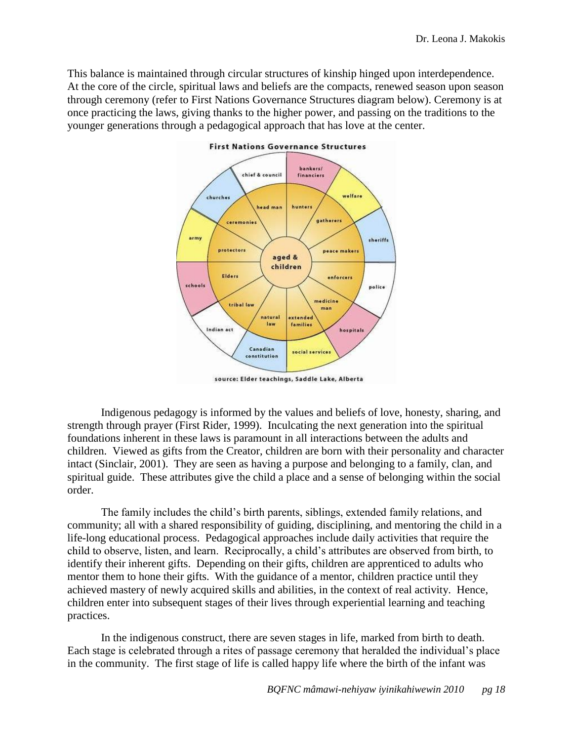This balance is maintained through circular structures of kinship hinged upon interdependence. At the core of the circle, spiritual laws and beliefs are the compacts, renewed season upon season through ceremony (refer to First Nations Governance Structures diagram below). Ceremony is at once practicing the laws, giving thanks to the higher power, and passing on the traditions to the younger generations through a pedagogical approach that has love at the center.



source: Elder teachings, Saddle Lake, Alberta

Indigenous pedagogy is informed by the values and beliefs of love, honesty, sharing, and strength through prayer (First Rider, 1999). Inculcating the next generation into the spiritual foundations inherent in these laws is paramount in all interactions between the adults and children. Viewed as gifts from the Creator, children are born with their personality and character intact (Sinclair, 2001). They are seen as having a purpose and belonging to a family, clan, and spiritual guide. These attributes give the child a place and a sense of belonging within the social order.

The family includes the child's birth parents, siblings, extended family relations, and community; all with a shared responsibility of guiding, disciplining, and mentoring the child in a life-long educational process. Pedagogical approaches include daily activities that require the child to observe, listen, and learn. Reciprocally, a child's attributes are observed from birth, to identify their inherent gifts. Depending on their gifts, children are apprenticed to adults who mentor them to hone their gifts. With the guidance of a mentor, children practice until they achieved mastery of newly acquired skills and abilities, in the context of real activity. Hence, children enter into subsequent stages of their lives through experiential learning and teaching practices.

In the indigenous construct, there are seven stages in life, marked from birth to death. Each stage is celebrated through a rites of passage ceremony that heralded the individual's place in the community. The first stage of life is called happy life where the birth of the infant was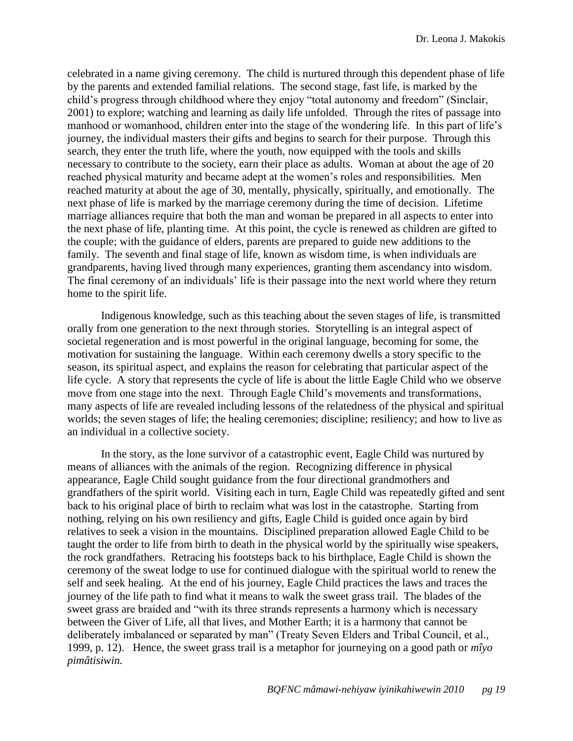celebrated in a name giving ceremony. The child is nurtured through this dependent phase of life by the parents and extended familial relations. The second stage, fast life, is marked by the child's progress through childhood where they enjoy "total autonomy and freedom" (Sinclair, 2001) to explore; watching and learning as daily life unfolded. Through the rites of passage into manhood or womanhood, children enter into the stage of the wondering life. In this part of life's journey, the individual masters their gifts and begins to search for their purpose. Through this search, they enter the truth life, where the youth, now equipped with the tools and skills necessary to contribute to the society, earn their place as adults. Woman at about the age of 20 reached physical maturity and became adept at the women's roles and responsibilities. Men reached maturity at about the age of 30, mentally, physically, spiritually, and emotionally. The next phase of life is marked by the marriage ceremony during the time of decision. Lifetime marriage alliances require that both the man and woman be prepared in all aspects to enter into the next phase of life, planting time. At this point, the cycle is renewed as children are gifted to the couple; with the guidance of elders, parents are prepared to guide new additions to the family. The seventh and final stage of life, known as wisdom time, is when individuals are grandparents, having lived through many experiences, granting them ascendancy into wisdom. The final ceremony of an individuals' life is their passage into the next world where they return home to the spirit life.

Indigenous knowledge, such as this teaching about the seven stages of life, is transmitted orally from one generation to the next through stories. Storytelling is an integral aspect of societal regeneration and is most powerful in the original language, becoming for some, the motivation for sustaining the language. Within each ceremony dwells a story specific to the season, its spiritual aspect, and explains the reason for celebrating that particular aspect of the life cycle. A story that represents the cycle of life is about the little Eagle Child who we observe move from one stage into the next. Through Eagle Child's movements and transformations, many aspects of life are revealed including lessons of the relatedness of the physical and spiritual worlds; the seven stages of life; the healing ceremonies; discipline; resiliency; and how to live as an individual in a collective society.

In the story, as the lone survivor of a catastrophic event, Eagle Child was nurtured by means of alliances with the animals of the region. Recognizing difference in physical appearance, Eagle Child sought guidance from the four directional grandmothers and grandfathers of the spirit world. Visiting each in turn, Eagle Child was repeatedly gifted and sent back to his original place of birth to reclaim what was lost in the catastrophe. Starting from nothing, relying on his own resiliency and gifts, Eagle Child is guided once again by bird relatives to seek a vision in the mountains. Disciplined preparation allowed Eagle Child to be taught the order to life from birth to death in the physical world by the spiritually wise speakers, the rock grandfathers. Retracing his footsteps back to his birthplace, Eagle Child is shown the ceremony of the sweat lodge to use for continued dialogue with the spiritual world to renew the self and seek healing. At the end of his journey, Eagle Child practices the laws and traces the journey of the life path to find what it means to walk the sweet grass trail. The blades of the sweet grass are braided and "with its three strands represents a harmony which is necessary between the Giver of Life, all that lives, and Mother Earth; it is a harmony that cannot be deliberately imbalanced or separated by man" (Treaty Seven Elders and Tribal Council, et al., 1999, p. 12). Hence, the sweet grass trail is a metaphor for journeying on a good path or *mîyo pimâtisiwin.*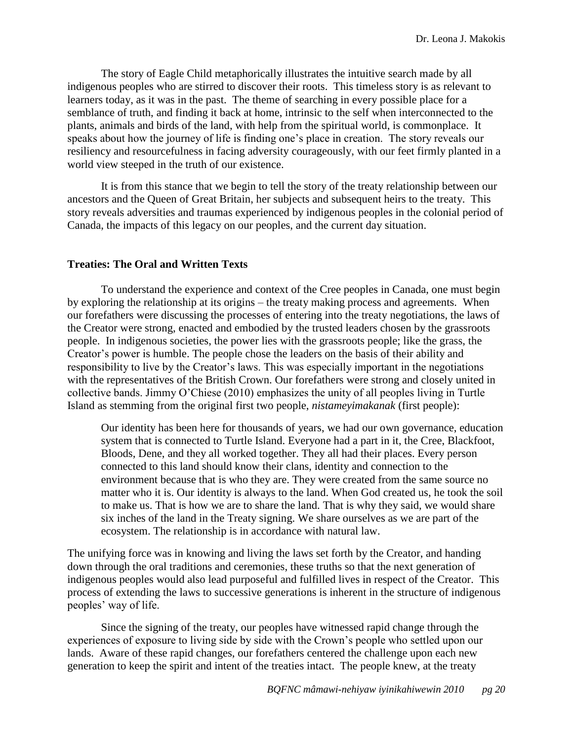The story of Eagle Child metaphorically illustrates the intuitive search made by all indigenous peoples who are stirred to discover their roots. This timeless story is as relevant to learners today, as it was in the past. The theme of searching in every possible place for a semblance of truth, and finding it back at home, intrinsic to the self when interconnected to the plants, animals and birds of the land, with help from the spiritual world, is commonplace. It speaks about how the journey of life is finding one's place in creation. The story reveals our resiliency and resourcefulness in facing adversity courageously, with our feet firmly planted in a world view steeped in the truth of our existence.

It is from this stance that we begin to tell the story of the treaty relationship between our ancestors and the Queen of Great Britain, her subjects and subsequent heirs to the treaty. This story reveals adversities and traumas experienced by indigenous peoples in the colonial period of Canada, the impacts of this legacy on our peoples, and the current day situation.

### <span id="page-20-0"></span>**Treaties: The Oral and Written Texts**

To understand the experience and context of the Cree peoples in Canada, one must begin by exploring the relationship at its origins – the treaty making process and agreements. When our forefathers were discussing the processes of entering into the treaty negotiations, the laws of the Creator were strong, enacted and embodied by the trusted leaders chosen by the grassroots people. In indigenous societies, the power lies with the grassroots people; like the grass, the Creator's power is humble. The people chose the leaders on the basis of their ability and responsibility to live by the Creator's laws. This was especially important in the negotiations with the representatives of the British Crown. Our forefathers were strong and closely united in collective bands. Jimmy O'Chiese (2010) emphasizes the unity of all peoples living in Turtle Island as stemming from the original first two people, *nistameyimakanak* (first people):

Our identity has been here for thousands of years, we had our own governance, education system that is connected to Turtle Island. Everyone had a part in it, the Cree, Blackfoot, Bloods, Dene, and they all worked together. They all had their places. Every person connected to this land should know their clans, identity and connection to the environment because that is who they are. They were created from the same source no matter who it is. Our identity is always to the land. When God created us, he took the soil to make us. That is how we are to share the land. That is why they said, we would share six inches of the land in the Treaty signing. We share ourselves as we are part of the ecosystem. The relationship is in accordance with natural law.

The unifying force was in knowing and living the laws set forth by the Creator, and handing down through the oral traditions and ceremonies, these truths so that the next generation of indigenous peoples would also lead purposeful and fulfilled lives in respect of the Creator. This process of extending the laws to successive generations is inherent in the structure of indigenous peoples' way of life.

Since the signing of the treaty, our peoples have witnessed rapid change through the experiences of exposure to living side by side with the Crown's people who settled upon our lands. Aware of these rapid changes, our forefathers centered the challenge upon each new generation to keep the spirit and intent of the treaties intact. The people knew, at the treaty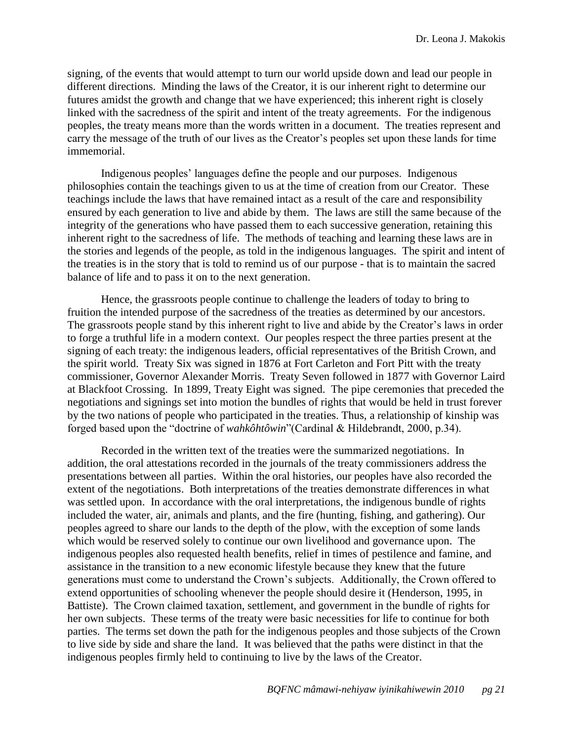signing, of the events that would attempt to turn our world upside down and lead our people in different directions. Minding the laws of the Creator, it is our inherent right to determine our futures amidst the growth and change that we have experienced; this inherent right is closely linked with the sacredness of the spirit and intent of the treaty agreements. For the indigenous peoples, the treaty means more than the words written in a document. The treaties represent and carry the message of the truth of our lives as the Creator's peoples set upon these lands for time immemorial.

Indigenous peoples' languages define the people and our purposes. Indigenous philosophies contain the teachings given to us at the time of creation from our Creator. These teachings include the laws that have remained intact as a result of the care and responsibility ensured by each generation to live and abide by them. The laws are still the same because of the integrity of the generations who have passed them to each successive generation, retaining this inherent right to the sacredness of life. The methods of teaching and learning these laws are in the stories and legends of the people, as told in the indigenous languages. The spirit and intent of the treaties is in the story that is told to remind us of our purpose - that is to maintain the sacred balance of life and to pass it on to the next generation.

Hence, the grassroots people continue to challenge the leaders of today to bring to fruition the intended purpose of the sacredness of the treaties as determined by our ancestors. The grassroots people stand by this inherent right to live and abide by the Creator's laws in order to forge a truthful life in a modern context. Our peoples respect the three parties present at the signing of each treaty: the indigenous leaders, official representatives of the British Crown, and the spirit world. Treaty Six was signed in 1876 at Fort Carleton and Fort Pitt with the treaty commissioner, Governor Alexander Morris. Treaty Seven followed in 1877 with Governor Laird at Blackfoot Crossing. In 1899, Treaty Eight was signed. The pipe ceremonies that preceded the negotiations and signings set into motion the bundles of rights that would be held in trust forever by the two nations of people who participated in the treaties. Thus, a relationship of kinship was forged based upon the "doctrine of *wahkôhtôwin*" (Cardinal & Hildebrandt, 2000, p.34).

Recorded in the written text of the treaties were the summarized negotiations. In addition, the oral attestations recorded in the journals of the treaty commissioners address the presentations between all parties. Within the oral histories, our peoples have also recorded the extent of the negotiations. Both interpretations of the treaties demonstrate differences in what was settled upon. In accordance with the oral interpretations, the indigenous bundle of rights included the water, air, animals and plants, and the fire (hunting, fishing, and gathering). Our peoples agreed to share our lands to the depth of the plow, with the exception of some lands which would be reserved solely to continue our own livelihood and governance upon. The indigenous peoples also requested health benefits, relief in times of pestilence and famine, and assistance in the transition to a new economic lifestyle because they knew that the future generations must come to understand the Crown's subjects. Additionally, the Crown offered to extend opportunities of schooling whenever the people should desire it (Henderson, 1995, in Battiste). The Crown claimed taxation, settlement, and government in the bundle of rights for her own subjects. These terms of the treaty were basic necessities for life to continue for both parties. The terms set down the path for the indigenous peoples and those subjects of the Crown to live side by side and share the land. It was believed that the paths were distinct in that the indigenous peoples firmly held to continuing to live by the laws of the Creator.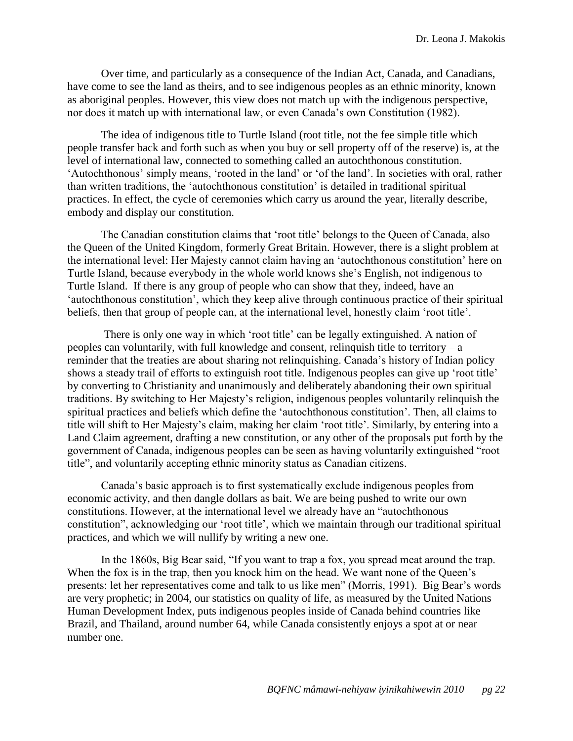Over time, and particularly as a consequence of the Indian Act, Canada, and Canadians, have come to see the land as theirs, and to see indigenous peoples as an ethnic minority, known as aboriginal peoples. However, this view does not match up with the indigenous perspective, nor does it match up with international law, or even Canada's own Constitution (1982).

The idea of indigenous title to Turtle Island (root title, not the fee simple title which people transfer back and forth such as when you buy or sell property off of the reserve) is, at the level of international law, connected to something called an autochthonous constitution. ‗Autochthonous' simply means, ‗rooted in the land' or ‗of the land'. In societies with oral, rather than written traditions, the ‗autochthonous constitution' is detailed in traditional spiritual practices. In effect, the cycle of ceremonies which carry us around the year, literally describe, embody and display our constitution.

The Canadian constitution claims that 'root title' belongs to the Queen of Canada, also the Queen of the United Kingdom, formerly Great Britain. However, there is a slight problem at the international level: Her Majesty cannot claim having an ‗autochthonous constitution' here on Turtle Island, because everybody in the whole world knows she's English, not indigenous to Turtle Island. If there is any group of people who can show that they, indeed, have an ‗autochthonous constitution', which they keep alive through continuous practice of their spiritual beliefs, then that group of people can, at the international level, honestly claim 'root title'.

There is only one way in which 'root title' can be legally extinguished. A nation of peoples can voluntarily, with full knowledge and consent, relinquish title to territory – a reminder that the treaties are about sharing not relinquishing. Canada's history of Indian policy shows a steady trail of efforts to extinguish root title. Indigenous peoples can give up 'root title' by converting to Christianity and unanimously and deliberately abandoning their own spiritual traditions. By switching to Her Majesty's religion, indigenous peoples voluntarily relinquish the spiritual practices and beliefs which define the 'autochthonous constitution'. Then, all claims to title will shift to Her Majesty's claim, making her claim 'root title'. Similarly, by entering into a Land Claim agreement, drafting a new constitution, or any other of the proposals put forth by the government of Canada, indigenous peoples can be seen as having voluntarily extinguished "root title", and voluntarily accepting ethnic minority status as Canadian citizens.

Canada's basic approach is to first systematically exclude indigenous peoples from economic activity, and then dangle dollars as bait. We are being pushed to write our own constitutions. However, at the international level we already have an "autochthonous" constitution", acknowledging our 'root title', which we maintain through our traditional spiritual practices, and which we will nullify by writing a new one.

In the 1860s, Big Bear said, "If you want to trap a fox, you spread meat around the trap. When the fox is in the trap, then you knock him on the head. We want none of the Queen's presents: let her representatives come and talk to us like men" (Morris, 1991). Big Bear's words are very prophetic; in 2004, our statistics on quality of life, as measured by the United Nations Human Development Index, puts indigenous peoples inside of Canada behind countries like Brazil, and Thailand, around number 64, while Canada consistently enjoys a spot at or near number one.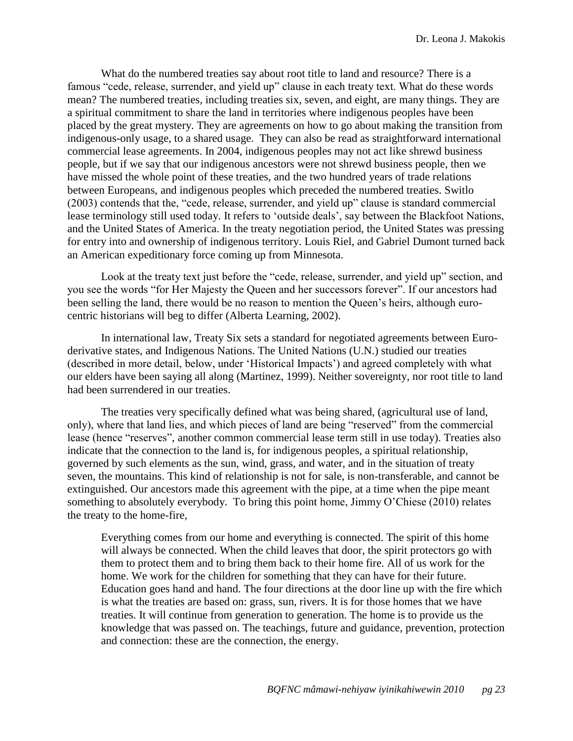What do the numbered treaties say about root title to land and resource? There is a famous "cede, release, surrender, and yield up" clause in each treaty text. What do these words mean? The numbered treaties, including treaties six, seven, and eight, are many things. They are a spiritual commitment to share the land in territories where indigenous peoples have been placed by the great mystery. They are agreements on how to go about making the transition from indigenous-only usage, to a shared usage. They can also be read as straightforward international commercial lease agreements. In 2004, indigenous peoples may not act like shrewd business people, but if we say that our indigenous ancestors were not shrewd business people, then we have missed the whole point of these treaties, and the two hundred years of trade relations between Europeans, and indigenous peoples which preceded the numbered treaties. Switlo  $(2003)$  contends that the, "cede, release, surrender, and yield up" clause is standard commercial lease terminology still used today. It refers to 'outside deals', say between the Blackfoot Nations, and the United States of America. In the treaty negotiation period, the United States was pressing for entry into and ownership of indigenous territory. Louis Riel, and Gabriel Dumont turned back an American expeditionary force coming up from Minnesota.

Look at the treaty text just before the "cede, release, surrender, and yield up" section, and you see the words "for Her Majesty the Queen and her successors forever". If our ancestors had been selling the land, there would be no reason to mention the Queen's heirs, although eurocentric historians will beg to differ (Alberta Learning, 2002).

In international law, Treaty Six sets a standard for negotiated agreements between Euroderivative states, and Indigenous Nations. The United Nations (U.N.) studied our treaties (described in more detail, below, under ‗Historical Impacts') and agreed completely with what our elders have been saying all along (Martinez, 1999). Neither sovereignty, nor root title to land had been surrendered in our treaties.

The treaties very specifically defined what was being shared, (agricultural use of land, only), where that land lies, and which pieces of land are being "reserved" from the commercial lease (hence "reserves", another common commercial lease term still in use today). Treaties also indicate that the connection to the land is, for indigenous peoples, a spiritual relationship, governed by such elements as the sun, wind, grass, and water, and in the situation of treaty seven, the mountains. This kind of relationship is not for sale, is non-transferable, and cannot be extinguished. Our ancestors made this agreement with the pipe, at a time when the pipe meant something to absolutely everybody. To bring this point home, Jimmy O'Chiese (2010) relates the treaty to the home-fire,

Everything comes from our home and everything is connected. The spirit of this home will always be connected. When the child leaves that door, the spirit protectors go with them to protect them and to bring them back to their home fire. All of us work for the home. We work for the children for something that they can have for their future. Education goes hand and hand. The four directions at the door line up with the fire which is what the treaties are based on: grass, sun, rivers. It is for those homes that we have treaties. It will continue from generation to generation. The home is to provide us the knowledge that was passed on. The teachings, future and guidance, prevention, protection and connection: these are the connection, the energy.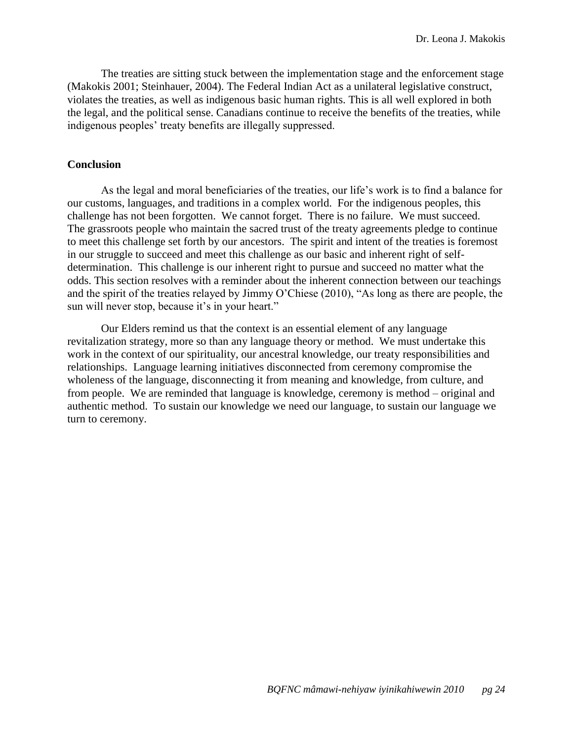The treaties are sitting stuck between the implementation stage and the enforcement stage (Makokis 2001; Steinhauer, 2004). The Federal Indian Act as a unilateral legislative construct, violates the treaties, as well as indigenous basic human rights. This is all well explored in both the legal, and the political sense. Canadians continue to receive the benefits of the treaties, while indigenous peoples' treaty benefits are illegally suppressed.

### <span id="page-24-0"></span>**Conclusion**

As the legal and moral beneficiaries of the treaties, our life's work is to find a balance for our customs, languages, and traditions in a complex world. For the indigenous peoples, this challenge has not been forgotten. We cannot forget. There is no failure. We must succeed. The grassroots people who maintain the sacred trust of the treaty agreements pledge to continue to meet this challenge set forth by our ancestors. The spirit and intent of the treaties is foremost in our struggle to succeed and meet this challenge as our basic and inherent right of selfdetermination. This challenge is our inherent right to pursue and succeed no matter what the odds. This section resolves with a reminder about the inherent connection between our teachings and the spirit of the treaties relayed by Jimmy O'Chiese (2010), "As long as there are people, the sun will never stop, because it's in your heart."

Our Elders remind us that the context is an essential element of any language revitalization strategy, more so than any language theory or method. We must undertake this work in the context of our spirituality, our ancestral knowledge, our treaty responsibilities and relationships. Language learning initiatives disconnected from ceremony compromise the wholeness of the language, disconnecting it from meaning and knowledge, from culture, and from people. We are reminded that language is knowledge, ceremony is method – original and authentic method. To sustain our knowledge we need our language, to sustain our language we turn to ceremony.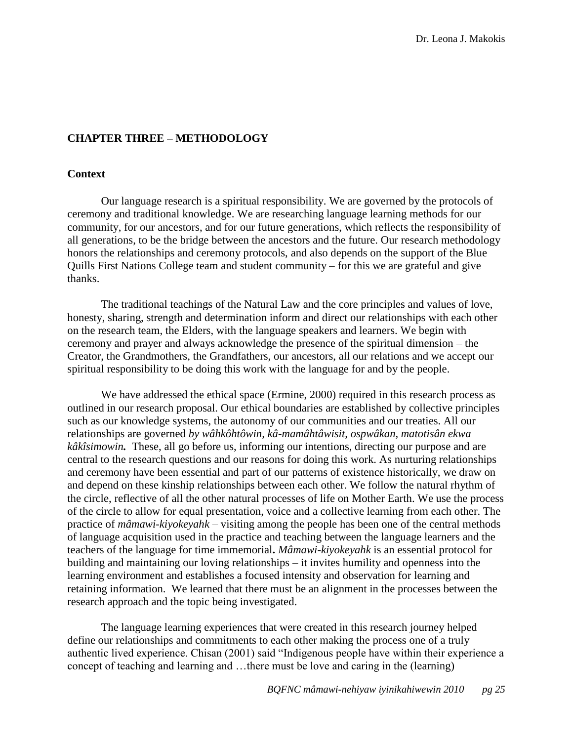## <span id="page-25-0"></span>**CHAPTER THREE – METHODOLOGY**

### <span id="page-25-1"></span>**Context**

Our language research is a spiritual responsibility. We are governed by the protocols of ceremony and traditional knowledge. We are researching language learning methods for our community, for our ancestors, and for our future generations, which reflects the responsibility of all generations, to be the bridge between the ancestors and the future. Our research methodology honors the relationships and ceremony protocols, and also depends on the support of the Blue Quills First Nations College team and student community – for this we are grateful and give thanks.

The traditional teachings of the Natural Law and the core principles and values of love, honesty, sharing, strength and determination inform and direct our relationships with each other on the research team, the Elders, with the language speakers and learners. We begin with ceremony and prayer and always acknowledge the presence of the spiritual dimension – the Creator, the Grandmothers, the Grandfathers, our ancestors, all our relations and we accept our spiritual responsibility to be doing this work with the language for and by the people.

We have addressed the ethical space (Ermine, 2000) required in this research process as outlined in our research proposal. Our ethical boundaries are established by collective principles such as our knowledge systems, the autonomy of our communities and our treaties. All our relationships are governed *by wâhkôhtôwin, kâ-mamâhtâwisit, ospwâkan, matotisân ekwa kâkîsimowin.* These, all go before us, informing our intentions, directing our purpose and are central to the research questions and our reasons for doing this work. As nurturing relationships and ceremony have been essential and part of our patterns of existence historically, we draw on and depend on these kinship relationships between each other. We follow the natural rhythm of the circle, reflective of all the other natural processes of life on Mother Earth. We use the process of the circle to allow for equal presentation, voice and a collective learning from each other. The practice of *mâmawi-kiyokeyahk* – visiting among the people has been one of the central methods of language acquisition used in the practice and teaching between the language learners and the teachers of the language for time immemorial**.** *Mâmawi-kiyokeyahk* is an essential protocol for building and maintaining our loving relationships – it invites humility and openness into the learning environment and establishes a focused intensity and observation for learning and retaining information. We learned that there must be an alignment in the processes between the research approach and the topic being investigated.

The language learning experiences that were created in this research journey helped define our relationships and commitments to each other making the process one of a truly authentic lived experience. Chisan (2001) said "Indigenous people have within their experience a concept of teaching and learning and …there must be love and caring in the (learning)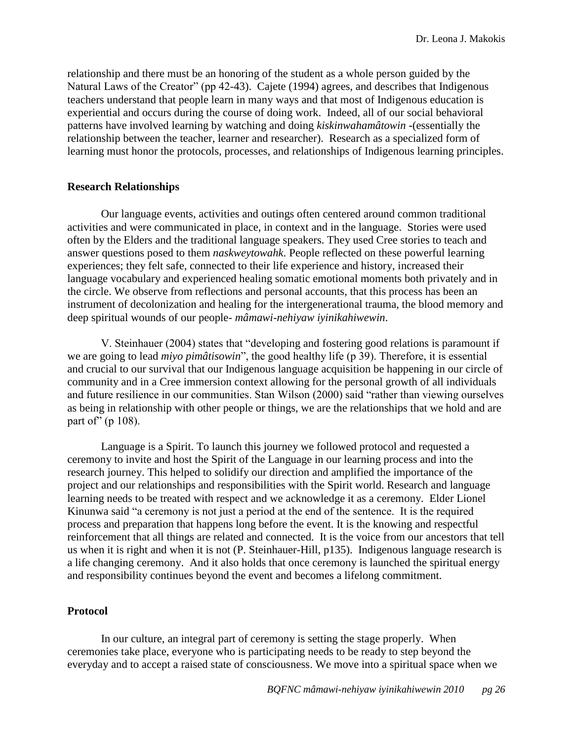relationship and there must be an honoring of the student as a whole person guided by the Natural Laws of the Creator" (pp 42-43). Cajete (1994) agrees, and describes that Indigenous teachers understand that people learn in many ways and that most of Indigenous education is experiential and occurs during the course of doing work. Indeed, all of our social behavioral patterns have involved learning by watching and doing *kiskinwahamâtowin* **-**(essentially the relationship between the teacher, learner and researcher). Research as a specialized form of learning must honor the protocols, processes, and relationships of Indigenous learning principles.

### <span id="page-26-0"></span>**Research Relationships**

Our language events, activities and outings often centered around common traditional activities and were communicated in place, in context and in the language. Stories were used often by the Elders and the traditional language speakers. They used Cree stories to teach and answer questions posed to them *naskweytowahk*. People reflected on these powerful learning experiences; they felt safe, connected to their life experience and history, increased their language vocabulary and experienced healing somatic emotional moments both privately and in the circle. We observe from reflections and personal accounts, that this process has been an instrument of decolonization and healing for the intergenerational trauma, the blood memory and deep spiritual wounds of our people- *mâmawi-nehiyaw iyinikahiwewin*.

V. Steinhauer (2004) states that "developing and fostering good relations is paramount if we are going to lead *miyo pimâtisowin*", the good healthy life (p 39). Therefore, it is essential and crucial to our survival that our Indigenous language acquisition be happening in our circle of community and in a Cree immersion context allowing for the personal growth of all individuals and future resilience in our communities. Stan Wilson (2000) said "rather than viewing ourselves as being in relationship with other people or things, we are the relationships that we hold and are part of" (p  $108$ ).

Language is a Spirit. To launch this journey we followed protocol and requested a ceremony to invite and host the Spirit of the Language in our learning process and into the research journey. This helped to solidify our direction and amplified the importance of the project and our relationships and responsibilities with the Spirit world. Research and language learning needs to be treated with respect and we acknowledge it as a ceremony. Elder Lionel Kinunwa said "a ceremony is not just a period at the end of the sentence. It is the required process and preparation that happens long before the event. It is the knowing and respectful reinforcement that all things are related and connected. It is the voice from our ancestors that tell us when it is right and when it is not (P. Steinhauer-Hill, p135). Indigenous language research is a life changing ceremony. And it also holds that once ceremony is launched the spiritual energy and responsibility continues beyond the event and becomes a lifelong commitment.

## <span id="page-26-1"></span>**Protocol**

In our culture, an integral part of ceremony is setting the stage properly. When ceremonies take place, everyone who is participating needs to be ready to step beyond the everyday and to accept a raised state of consciousness. We move into a spiritual space when we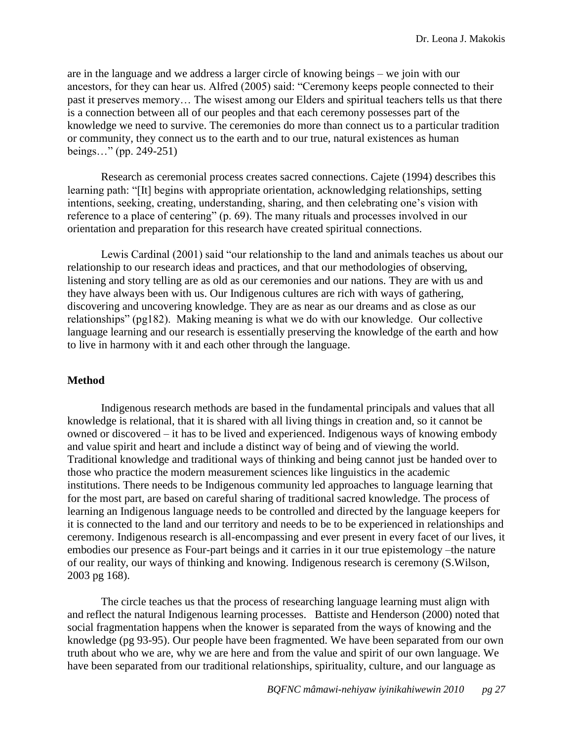are in the language and we address a larger circle of knowing beings – we join with our ancestors, for they can hear us. Alfred (2005) said: "Ceremony keeps people connected to their past it preserves memory… The wisest among our Elders and spiritual teachers tells us that there is a connection between all of our peoples and that each ceremony possesses part of the knowledge we need to survive. The ceremonies do more than connect us to a particular tradition or community, they connect us to the earth and to our true, natural existences as human beings..." (pp. 249-251)

Research as ceremonial process creates sacred connections. Cajete (1994) describes this learning path: "[It] begins with appropriate orientation, acknowledging relationships, setting intentions, seeking, creating, understanding, sharing, and then celebrating one's vision with reference to a place of centering" (p. 69). The many rituals and processes involved in our orientation and preparation for this research have created spiritual connections.

Lewis Cardinal (2001) said "our relationship to the land and animals teaches us about our relationship to our research ideas and practices, and that our methodologies of observing, listening and story telling are as old as our ceremonies and our nations. They are with us and they have always been with us. Our Indigenous cultures are rich with ways of gathering, discovering and uncovering knowledge. They are as near as our dreams and as close as our relationships" (pg182). Making meaning is what we do with our knowledge. Our collective language learning and our research is essentially preserving the knowledge of the earth and how to live in harmony with it and each other through the language.

## <span id="page-27-0"></span>**Method**

Indigenous research methods are based in the fundamental principals and values that all knowledge is relational, that it is shared with all living things in creation and, so it cannot be owned or discovered – it has to be lived and experienced. Indigenous ways of knowing embody and value spirit and heart and include a distinct way of being and of viewing the world. Traditional knowledge and traditional ways of thinking and being cannot just be handed over to those who practice the modern measurement sciences like linguistics in the academic institutions. There needs to be Indigenous community led approaches to language learning that for the most part, are based on careful sharing of traditional sacred knowledge. The process of learning an Indigenous language needs to be controlled and directed by the language keepers for it is connected to the land and our territory and needs to be to be experienced in relationships and ceremony. Indigenous research is all-encompassing and ever present in every facet of our lives, it embodies our presence as Four-part beings and it carries in it our true epistemology –the nature of our reality, our ways of thinking and knowing. Indigenous research is ceremony (S.Wilson, 2003 pg 168).

The circle teaches us that the process of researching language learning must align with and reflect the natural Indigenous learning processes. Battiste and Henderson (2000) noted that social fragmentation happens when the knower is separated from the ways of knowing and the knowledge (pg 93-95). Our people have been fragmented. We have been separated from our own truth about who we are, why we are here and from the value and spirit of our own language. We have been separated from our traditional relationships, spirituality, culture, and our language as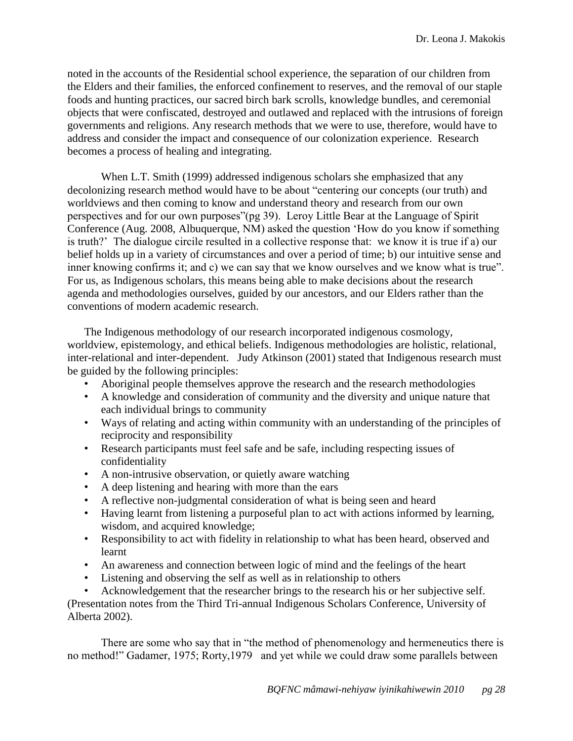noted in the accounts of the Residential school experience, the separation of our children from the Elders and their families, the enforced confinement to reserves, and the removal of our staple foods and hunting practices, our sacred birch bark scrolls, knowledge bundles, and ceremonial objects that were confiscated, destroyed and outlawed and replaced with the intrusions of foreign governments and religions. Any research methods that we were to use, therefore, would have to address and consider the impact and consequence of our colonization experience. Research becomes a process of healing and integrating.

When L.T. Smith (1999) addressed indigenous scholars she emphasized that any decolonizing research method would have to be about "centering our concepts (our truth) and worldviews and then coming to know and understand theory and research from our own perspectives and for our own purposes"(pg 39). Leroy Little Bear at the Language of Spirit Conference (Aug. 2008, Albuquerque, NM) asked the question 'How do you know if something is truth?' The dialogue circile resulted in a collective response that: we know it is true if a) our belief holds up in a variety of circumstances and over a period of time; b) our intuitive sense and inner knowing confirms it; and c) we can say that we know ourselves and we know what is true". For us, as Indigenous scholars, this means being able to make decisions about the research agenda and methodologies ourselves, guided by our ancestors, and our Elders rather than the conventions of modern academic research.

The Indigenous methodology of our research incorporated indigenous cosmology, worldview, epistemology, and ethical beliefs. Indigenous methodologies are holistic, relational, inter-relational and inter-dependent. Judy Atkinson (2001) stated that Indigenous research must be guided by the following principles:

- Aboriginal people themselves approve the research and the research methodologies
- A knowledge and consideration of community and the diversity and unique nature that each individual brings to community
- Ways of relating and acting within community with an understanding of the principles of reciprocity and responsibility
- Research participants must feel safe and be safe, including respecting issues of confidentiality
- A non-intrusive observation, or quietly aware watching
- A deep listening and hearing with more than the ears
- A reflective non-judgmental consideration of what is being seen and heard
- Having learnt from listening a purposeful plan to act with actions informed by learning, wisdom, and acquired knowledge;
- Responsibility to act with fidelity in relationship to what has been heard, observed and learnt
- An awareness and connection between logic of mind and the feelings of the heart
- Listening and observing the self as well as in relationship to others

• Acknowledgement that the researcher brings to the research his or her subjective self. (Presentation notes from the Third Tri-annual Indigenous Scholars Conference, University of Alberta 2002).

There are some who say that in "the method of phenomenology and hermeneutics there is no method!" Gadamer, 1975; Rorty, 1979 and yet while we could draw some parallels between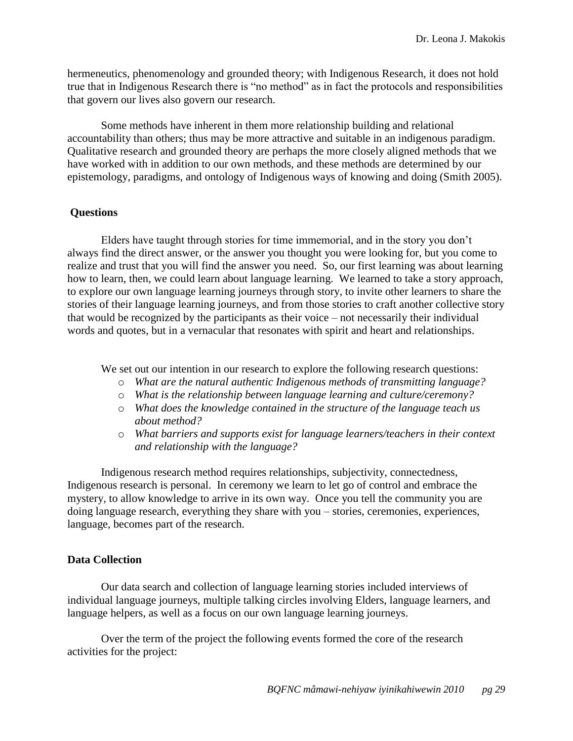hermeneutics, phenomenology and grounded theory; with Indigenous Research, it does not hold true that in Indigenous Research there is "no method" as in fact the protocols and responsibilities that govern our lives also govern our research.

Some methods have inherent in them more relationship building and relational accountability than others; thus may be more attractive and suitable in an indigenous paradigm. Qualitative research and grounded theory are perhaps the more closely aligned methods that we have worked with in addition to our own methods, and these methods are determined by our epistemology, paradigms, and ontology of Indigenous ways of knowing and doing (Smith 2005).

## <span id="page-29-0"></span>**Questions**

Elders have taught through stories for time immemorial, and in the story you don't always find the direct answer, or the answer you thought you were looking for, but you come to realize and trust that you will find the answer you need. So, our first learning was about learning how to learn, then, we could learn about language learning. We learned to take a story approach, to explore our own language learning journeys through story, to invite other learners to share the stories of their language learning journeys, and from those stories to craft another collective story that would be recognized by the participants as their voice – not necessarily their individual words and quotes, but in a vernacular that resonates with spirit and heart and relationships.

We set out our intention in our research to explore the following research questions:

- o *What are the natural authentic Indigenous methods of transmitting language?*
- o *What is the relationship between language learning and culture/ceremony?*
- o *What does the knowledge contained in the structure of the language teach us about method?*
- o *What barriers and supports exist for language learners/teachers in their context and relationship with the language?*

Indigenous research method requires relationships, subjectivity, connectedness, Indigenous research is personal. In ceremony we learn to let go of control and embrace the mystery, to allow knowledge to arrive in its own way. Once you tell the community you are doing language research, everything they share with you – stories, ceremonies, experiences, language, becomes part of the research.

## <span id="page-29-1"></span>**Data Collection**

Our data search and collection of language learning stories included interviews of individual language journeys, multiple talking circles involving Elders, language learners, and language helpers, as well as a focus on our own language learning journeys.

Over the term of the project the following events formed the core of the research activities for the project: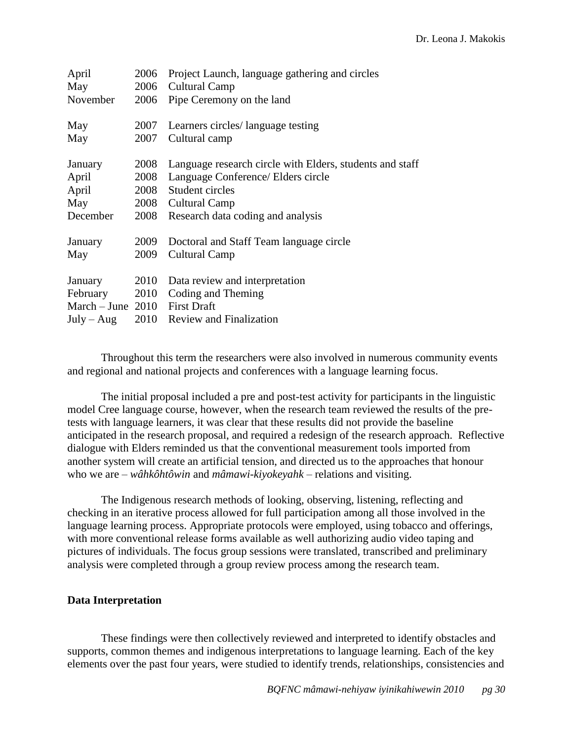| April<br>May                  | 2006 | Project Launch, language gathering and circles<br>2006 Cultural Camp |
|-------------------------------|------|----------------------------------------------------------------------|
| November                      | 2006 | Pipe Ceremony on the land                                            |
| May                           | 2007 | Learners circles/ language testing                                   |
| May                           | 2007 | Cultural camp                                                        |
| January                       | 2008 | Language research circle with Elders, students and staff             |
| April                         | 2008 | Language Conference/ Elders circle                                   |
| April                         | 2008 | Student circles                                                      |
| May                           |      | 2008 Cultural Camp                                                   |
| December                      | 2008 | Research data coding and analysis                                    |
| January                       | 2009 | Doctoral and Staff Team language circle                              |
| May                           | 2009 | Cultural Camp                                                        |
| January                       | 2010 | Data review and interpretation                                       |
| February 2010                 |      | Coding and Theming                                                   |
| March – June 2010 First Draft |      |                                                                      |
| $July - Aug$                  |      | 2010 Review and Finalization                                         |

Throughout this term the researchers were also involved in numerous community events and regional and national projects and conferences with a language learning focus.

The initial proposal included a pre and post-test activity for participants in the linguistic model Cree language course, however, when the research team reviewed the results of the pretests with language learners, it was clear that these results did not provide the baseline anticipated in the research proposal, and required a redesign of the research approach. Reflective dialogue with Elders reminded us that the conventional measurement tools imported from another system will create an artificial tension, and directed us to the approaches that honour who we are – *wâhkôhtôwin* and *mâmawi-kiyokeyahk* – relations and visiting.

The Indigenous research methods of looking, observing, listening, reflecting and checking in an iterative process allowed for full participation among all those involved in the language learning process. Appropriate protocols were employed, using tobacco and offerings, with more conventional release forms available as well authorizing audio video taping and pictures of individuals. The focus group sessions were translated, transcribed and preliminary analysis were completed through a group review process among the research team.

## <span id="page-30-0"></span>**Data Interpretation**

These findings were then collectively reviewed and interpreted to identify obstacles and supports, common themes and indigenous interpretations to language learning. Each of the key elements over the past four years, were studied to identify trends, relationships, consistencies and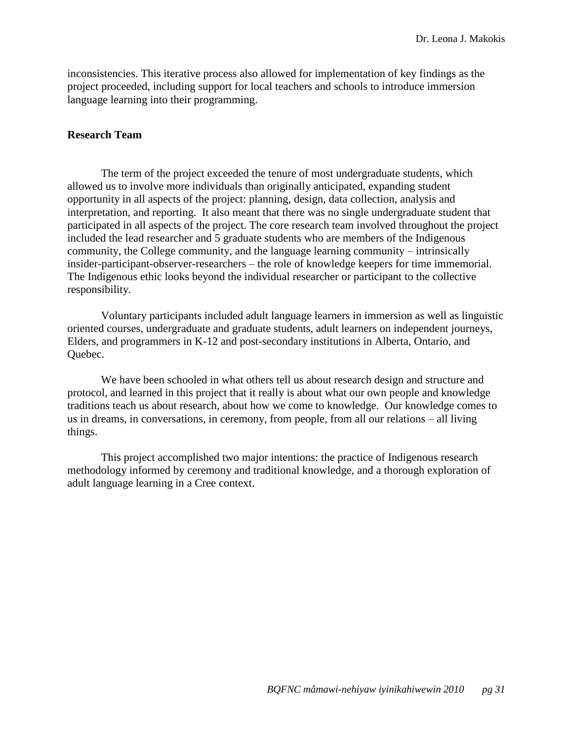inconsistencies. This iterative process also allowed for implementation of key findings as the project proceeded, including support for local teachers and schools to introduce immersion language learning into their programming.

### <span id="page-31-0"></span>**Research Team**

The term of the project exceeded the tenure of most undergraduate students, which allowed us to involve more individuals than originally anticipated, expanding student opportunity in all aspects of the project: planning, design, data collection, analysis and interpretation, and reporting. It also meant that there was no single undergraduate student that participated in all aspects of the project. The core research team involved throughout the project included the lead researcher and 5 graduate students who are members of the Indigenous community, the College community, and the language learning community – intrinsically insider-participant-observer-researchers – the role of knowledge keepers for time immemorial. The Indigenous ethic looks beyond the individual researcher or participant to the collective responsibility.

Voluntary participants included adult language learners in immersion as well as linguistic oriented courses, undergraduate and graduate students, adult learners on independent journeys, Elders, and programmers in K-12 and post-secondary institutions in Alberta, Ontario, and Quebec.

We have been schooled in what others tell us about research design and structure and protocol, and learned in this project that it really is about what our own people and knowledge traditions teach us about research, about how we come to knowledge. Our knowledge comes to us in dreams, in conversations, in ceremony, from people, from all our relations – all living things.

This project accomplished two major intentions: the practice of Indigenous research methodology informed by ceremony and traditional knowledge, and a thorough exploration of adult language learning in a Cree context.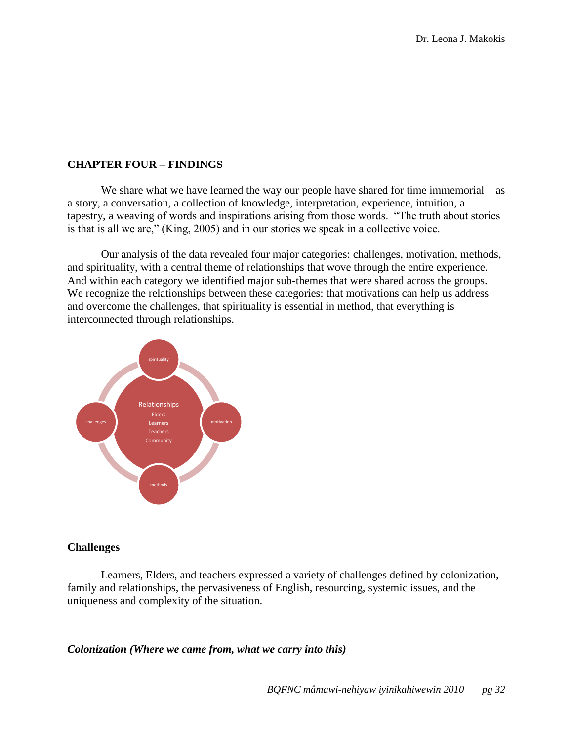## <span id="page-32-0"></span>**CHAPTER FOUR – FINDINGS**

We share what we have learned the way our people have shared for time immemorial – as a story, a conversation, a collection of knowledge, interpretation, experience, intuition, a tapestry, a weaving of words and inspirations arising from those words. "The truth about stories is that is all we are," (King, 2005) and in our stories we speak in a collective voice.

Our analysis of the data revealed four major categories: challenges, motivation, methods, and spirituality, with a central theme of relationships that wove through the entire experience. And within each category we identified major sub-themes that were shared across the groups. We recognize the relationships between these categories: that motivations can help us address and overcome the challenges, that spirituality is essential in method, that everything is interconnected through relationships.



### <span id="page-32-1"></span>**Challenges**

Learners, Elders, and teachers expressed a variety of challenges defined by colonization, family and relationships, the pervasiveness of English, resourcing, systemic issues, and the uniqueness and complexity of the situation.

### <span id="page-32-2"></span>*Colonization (Where we came from, what we carry into this)*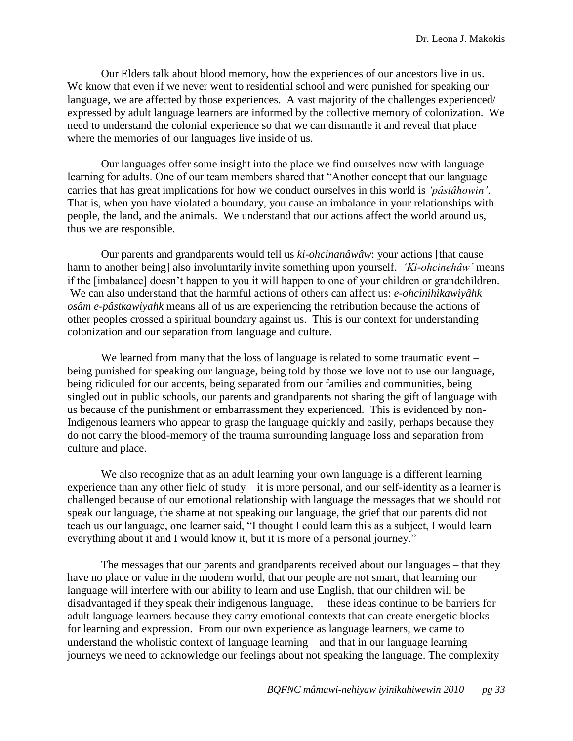Our Elders talk about blood memory, how the experiences of our ancestors live in us. We know that even if we never went to residential school and were punished for speaking our language, we are affected by those experiences. A vast majority of the challenges experienced/ expressed by adult language learners are informed by the collective memory of colonization. We need to understand the colonial experience so that we can dismantle it and reveal that place where the memories of our languages live inside of us.

Our languages offer some insight into the place we find ourselves now with language learning for adults. One of our team members shared that "Another concept that our language carries that has great implications for how we conduct ourselves in this world is *‗pâstâhowin'*. That is, when you have violated a boundary, you cause an imbalance in your relationships with people, the land, and the animals. We understand that our actions affect the world around us, thus we are responsible.

Our parents and grandparents would tell us *ki-ohcinanâwâw*: your actions [that cause harm to another being] also involuntarily invite something upon yourself. *‗Ki-ohcinehâw'* means if the [imbalance] doesn't happen to you it will happen to one of your children or grandchildren. We can also understand that the harmful actions of others can affect us: *e-ohcinihikawiyâhk osâm e-pâstkawiyahk* means all of us are experiencing the retribution because the actions of other peoples crossed a spiritual boundary against us. This is our context for understanding colonization and our separation from language and culture.

We learned from many that the loss of language is related to some traumatic event – being punished for speaking our language, being told by those we love not to use our language, being ridiculed for our accents, being separated from our families and communities, being singled out in public schools, our parents and grandparents not sharing the gift of language with us because of the punishment or embarrassment they experienced. This is evidenced by non-Indigenous learners who appear to grasp the language quickly and easily, perhaps because they do not carry the blood-memory of the trauma surrounding language loss and separation from culture and place.

We also recognize that as an adult learning your own language is a different learning experience than any other field of study – it is more personal, and our self-identity as a learner is challenged because of our emotional relationship with language the messages that we should not speak our language, the shame at not speaking our language, the grief that our parents did not teach us our language, one learner said, "I thought I could learn this as a subject, I would learn everything about it and I would know it, but it is more of a personal journey."

The messages that our parents and grandparents received about our languages – that they have no place or value in the modern world, that our people are not smart, that learning our language will interfere with our ability to learn and use English, that our children will be disadvantaged if they speak their indigenous language, – these ideas continue to be barriers for adult language learners because they carry emotional contexts that can create energetic blocks for learning and expression. From our own experience as language learners, we came to understand the wholistic context of language learning – and that in our language learning journeys we need to acknowledge our feelings about not speaking the language. The complexity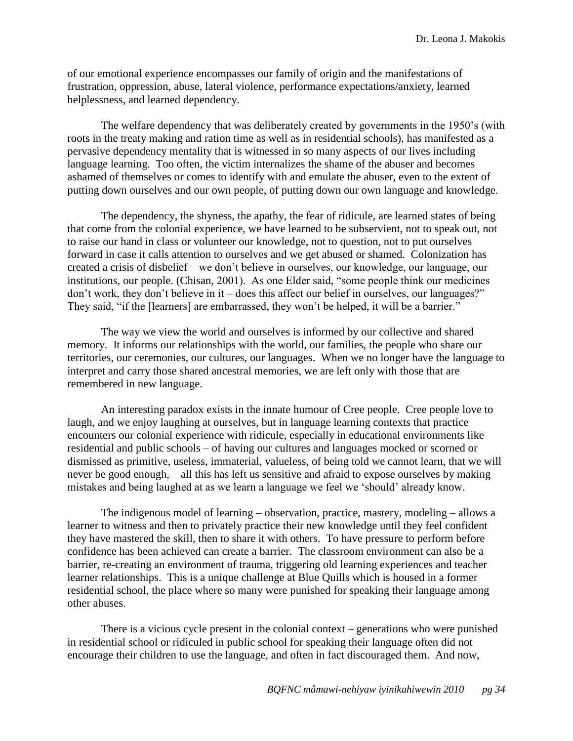of our emotional experience encompasses our family of origin and the manifestations of frustration, oppression, abuse, lateral violence, performance expectations/anxiety, learned helplessness, and learned dependency.

The welfare dependency that was deliberately created by governments in the 1950's (with roots in the treaty making and ration time as well as in residential schools), has manifested as a pervasive dependency mentality that is witnessed in so many aspects of our lives including language learning. Too often, the victim internalizes the shame of the abuser and becomes ashamed of themselves or comes to identify with and emulate the abuser, even to the extent of putting down ourselves and our own people, of putting down our own language and knowledge.

The dependency, the shyness, the apathy, the fear of ridicule, are learned states of being that come from the colonial experience, we have learned to be subservient, not to speak out, not to raise our hand in class or volunteer our knowledge, not to question, not to put ourselves forward in case it calls attention to ourselves and we get abused or shamed. Colonization has created a crisis of disbelief – we don't believe in ourselves, our knowledge, our language, our institutions, our people. (Chisan, 2001). As one Elder said, "some people think our medicines  $\gamma$  don't work, they don't believe in it – does this affect our belief in ourselves, our languages?" They said, "if the [learners] are embarrassed, they won't be helped, it will be a barrier."

The way we view the world and ourselves is informed by our collective and shared memory. It informs our relationships with the world, our families, the people who share our territories, our ceremonies, our cultures, our languages. When we no longer have the language to interpret and carry those shared ancestral memories, we are left only with those that are remembered in new language.

An interesting paradox exists in the innate humour of Cree people. Cree people love to laugh, and we enjoy laughing at ourselves, but in language learning contexts that practice encounters our colonial experience with ridicule, especially in educational environments like residential and public schools – of having our cultures and languages mocked or scorned or dismissed as primitive, useless, immaterial, valueless, of being told we cannot learn, that we will never be good enough, – all this has left us sensitive and afraid to expose ourselves by making mistakes and being laughed at as we learn a language we feel we 'should' already know.

The indigenous model of learning – observation, practice, mastery, modeling – allows a learner to witness and then to privately practice their new knowledge until they feel confident they have mastered the skill, then to share it with others. To have pressure to perform before confidence has been achieved can create a barrier. The classroom environment can also be a barrier, re-creating an environment of trauma, triggering old learning experiences and teacher learner relationships. This is a unique challenge at Blue Quills which is housed in a former residential school, the place where so many were punished for speaking their language among other abuses.

There is a vicious cycle present in the colonial context – generations who were punished in residential school or ridiculed in public school for speaking their language often did not encourage their children to use the language, and often in fact discouraged them. And now,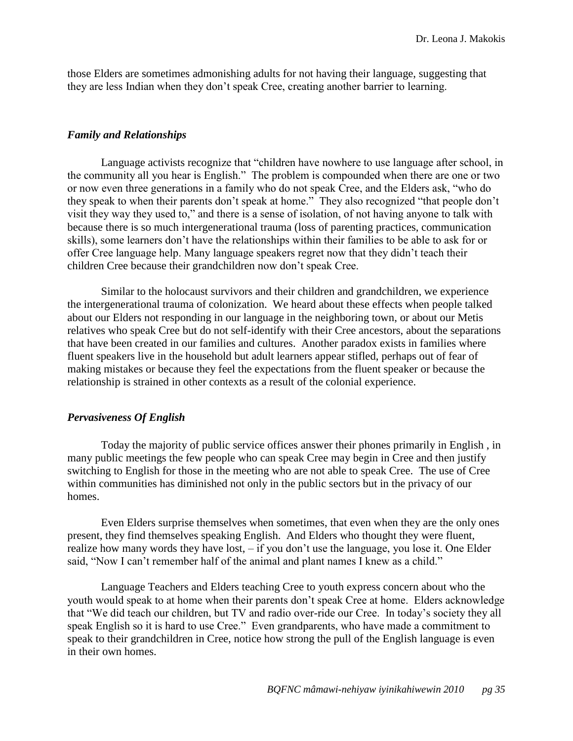those Elders are sometimes admonishing adults for not having their language, suggesting that they are less Indian when they don't speak Cree, creating another barrier to learning.

### <span id="page-35-0"></span>*Family and Relationships*

Language activists recognize that "children have nowhere to use language after school, in the community all you hear is English." The problem is compounded when there are one or two or now even three generations in a family who do not speak Cree, and the Elders ask, "who do they speak to when their parents don't speak at home." They also recognized "that people don't visit they way they used to," and there is a sense of isolation, of not having anyone to talk with because there is so much intergenerational trauma (loss of parenting practices, communication skills), some learners don't have the relationships within their families to be able to ask for or offer Cree language help. Many language speakers regret now that they didn't teach their children Cree because their grandchildren now don't speak Cree.

Similar to the holocaust survivors and their children and grandchildren, we experience the intergenerational trauma of colonization. We heard about these effects when people talked about our Elders not responding in our language in the neighboring town, or about our Metis relatives who speak Cree but do not self-identify with their Cree ancestors, about the separations that have been created in our families and cultures. Another paradox exists in families where fluent speakers live in the household but adult learners appear stifled, perhaps out of fear of making mistakes or because they feel the expectations from the fluent speaker or because the relationship is strained in other contexts as a result of the colonial experience.

### <span id="page-35-1"></span>*Pervasiveness Of English*

Today the majority of public service offices answer their phones primarily in English , in many public meetings the few people who can speak Cree may begin in Cree and then justify switching to English for those in the meeting who are not able to speak Cree. The use of Cree within communities has diminished not only in the public sectors but in the privacy of our homes.

Even Elders surprise themselves when sometimes, that even when they are the only ones present, they find themselves speaking English. And Elders who thought they were fluent, realize how many words they have lost, – if you don't use the language, you lose it. One Elder said, "Now I can't remember half of the animal and plant names I knew as a child."

Language Teachers and Elders teaching Cree to youth express concern about who the youth would speak to at home when their parents don't speak Cree at home. Elders acknowledge that "We did teach our children, but TV and radio over-ride our Cree. In today's society they all speak English so it is hard to use Cree." Even grandparents, who have made a commitment to speak to their grandchildren in Cree, notice how strong the pull of the English language is even in their own homes.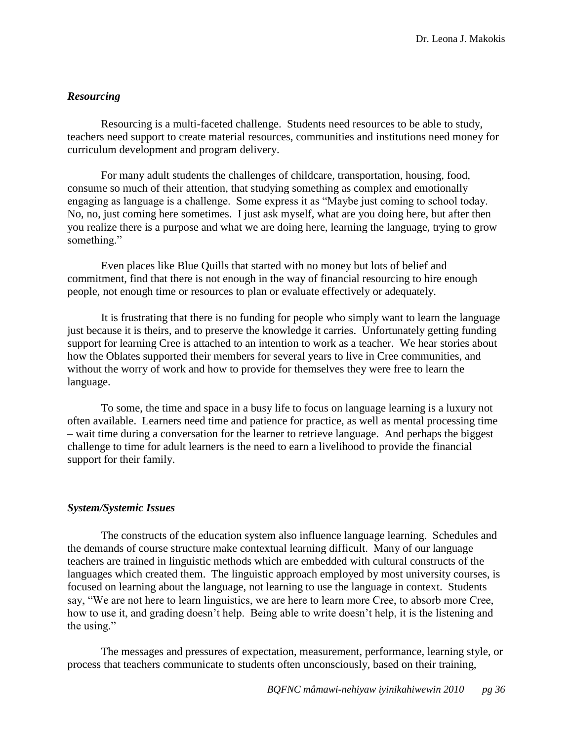### <span id="page-36-0"></span>*Resourcing*

Resourcing is a multi-faceted challenge. Students need resources to be able to study, teachers need support to create material resources, communities and institutions need money for curriculum development and program delivery.

For many adult students the challenges of childcare, transportation, housing, food, consume so much of their attention, that studying something as complex and emotionally engaging as language is a challenge. Some express it as "Maybe just coming to school today. No, no, just coming here sometimes. I just ask myself, what are you doing here, but after then you realize there is a purpose and what we are doing here, learning the language, trying to grow something."

Even places like Blue Quills that started with no money but lots of belief and commitment, find that there is not enough in the way of financial resourcing to hire enough people, not enough time or resources to plan or evaluate effectively or adequately.

It is frustrating that there is no funding for people who simply want to learn the language just because it is theirs, and to preserve the knowledge it carries. Unfortunately getting funding support for learning Cree is attached to an intention to work as a teacher. We hear stories about how the Oblates supported their members for several years to live in Cree communities, and without the worry of work and how to provide for themselves they were free to learn the language.

To some, the time and space in a busy life to focus on language learning is a luxury not often available. Learners need time and patience for practice, as well as mental processing time – wait time during a conversation for the learner to retrieve language. And perhaps the biggest challenge to time for adult learners is the need to earn a livelihood to provide the financial support for their family.

### <span id="page-36-1"></span>*System/Systemic Issues*

The constructs of the education system also influence language learning. Schedules and the demands of course structure make contextual learning difficult. Many of our language teachers are trained in linguistic methods which are embedded with cultural constructs of the languages which created them. The linguistic approach employed by most university courses, is focused on learning about the language, not learning to use the language in context. Students say, "We are not here to learn linguistics, we are here to learn more Cree, to absorb more Cree, how to use it, and grading doesn't help. Being able to write doesn't help, it is the listening and the using."

The messages and pressures of expectation, measurement, performance, learning style, or process that teachers communicate to students often unconsciously, based on their training,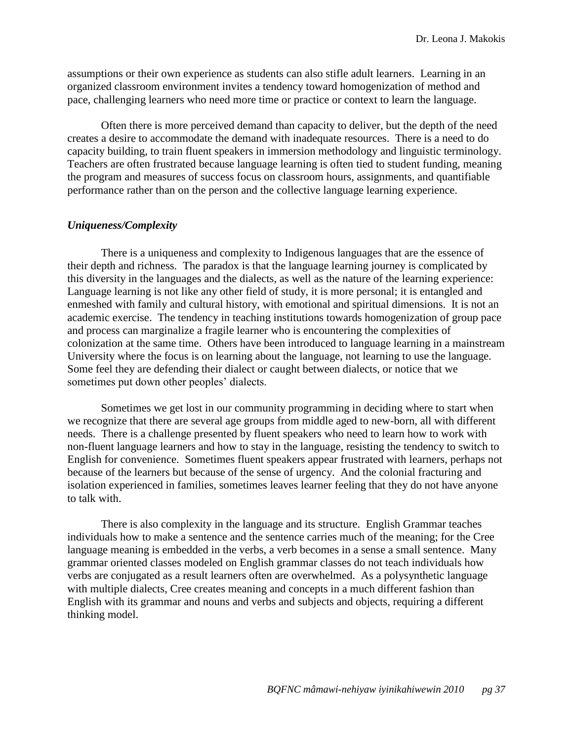assumptions or their own experience as students can also stifle adult learners. Learning in an organized classroom environment invites a tendency toward homogenization of method and pace, challenging learners who need more time or practice or context to learn the language.

Often there is more perceived demand than capacity to deliver, but the depth of the need creates a desire to accommodate the demand with inadequate resources. There is a need to do capacity building, to train fluent speakers in immersion methodology and linguistic terminology. Teachers are often frustrated because language learning is often tied to student funding, meaning the program and measures of success focus on classroom hours, assignments, and quantifiable performance rather than on the person and the collective language learning experience.

### <span id="page-37-0"></span>*Uniqueness/Complexity*

There is a uniqueness and complexity to Indigenous languages that are the essence of their depth and richness. The paradox is that the language learning journey is complicated by this diversity in the languages and the dialects, as well as the nature of the learning experience: Language learning is not like any other field of study, it is more personal; it is entangled and enmeshed with family and cultural history, with emotional and spiritual dimensions. It is not an academic exercise. The tendency in teaching institutions towards homogenization of group pace and process can marginalize a fragile learner who is encountering the complexities of colonization at the same time. Others have been introduced to language learning in a mainstream University where the focus is on learning about the language, not learning to use the language. Some feel they are defending their dialect or caught between dialects, or notice that we sometimes put down other peoples' dialects.

Sometimes we get lost in our community programming in deciding where to start when we recognize that there are several age groups from middle aged to new-born, all with different needs. There is a challenge presented by fluent speakers who need to learn how to work with non-fluent language learners and how to stay in the language, resisting the tendency to switch to English for convenience. Sometimes fluent speakers appear frustrated with learners, perhaps not because of the learners but because of the sense of urgency. And the colonial fracturing and isolation experienced in families, sometimes leaves learner feeling that they do not have anyone to talk with.

There is also complexity in the language and its structure. English Grammar teaches individuals how to make a sentence and the sentence carries much of the meaning; for the Cree language meaning is embedded in the verbs, a verb becomes in a sense a small sentence. Many grammar oriented classes modeled on English grammar classes do not teach individuals how verbs are conjugated as a result learners often are overwhelmed. As a polysynthetic language with multiple dialects, Cree creates meaning and concepts in a much different fashion than English with its grammar and nouns and verbs and subjects and objects, requiring a different thinking model.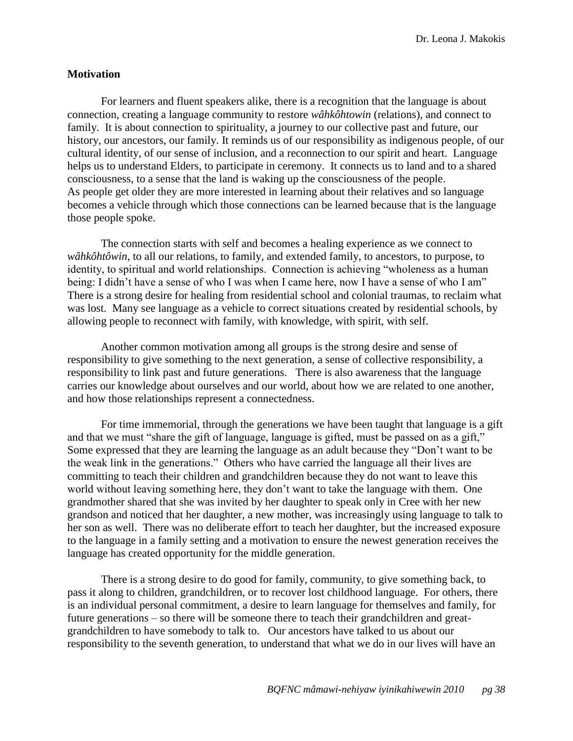Dr. Leona J. Makokis

### <span id="page-38-0"></span>**Motivation**

For learners and fluent speakers alike, there is a recognition that the language is about connection, creating a language community to restore *wâhkôhtowin* (relations), and connect to family. It is about connection to spirituality, a journey to our collective past and future, our history, our ancestors, our family. It reminds us of our responsibility as indigenous people, of our cultural identity, of our sense of inclusion, and a reconnection to our spirit and heart. Language helps us to understand Elders, to participate in ceremony. It connects us to land and to a shared consciousness, to a sense that the land is waking up the consciousness of the people. As people get older they are more interested in learning about their relatives and so language becomes a vehicle through which those connections can be learned because that is the language those people spoke.

The connection starts with self and becomes a healing experience as we connect to *wâhkôhtôwin*, to all our relations, to family, and extended family, to ancestors, to purpose, to identity, to spiritual and world relationships. Connection is achieving "wholeness as a human being: I didn't have a sense of who I was when I came here, now I have a sense of who I am" There is a strong desire for healing from residential school and colonial traumas, to reclaim what was lost. Many see language as a vehicle to correct situations created by residential schools, by allowing people to reconnect with family, with knowledge, with spirit, with self.

Another common motivation among all groups is the strong desire and sense of responsibility to give something to the next generation, a sense of collective responsibility, a responsibility to link past and future generations. There is also awareness that the language carries our knowledge about ourselves and our world, about how we are related to one another, and how those relationships represent a connectedness.

For time immemorial, through the generations we have been taught that language is a gift and that we must "share the gift of language, language is gifted, must be passed on as a gift," Some expressed that they are learning the language as an adult because they "Don't want to be the weak link in the generations." Others who have carried the language all their lives are committing to teach their children and grandchildren because they do not want to leave this world without leaving something here, they don't want to take the language with them. One grandmother shared that she was invited by her daughter to speak only in Cree with her new grandson and noticed that her daughter, a new mother, was increasingly using language to talk to her son as well. There was no deliberate effort to teach her daughter, but the increased exposure to the language in a family setting and a motivation to ensure the newest generation receives the language has created opportunity for the middle generation.

There is a strong desire to do good for family, community, to give something back, to pass it along to children, grandchildren, or to recover lost childhood language. For others, there is an individual personal commitment, a desire to learn language for themselves and family, for future generations – so there will be someone there to teach their grandchildren and greatgrandchildren to have somebody to talk to. Our ancestors have talked to us about our responsibility to the seventh generation, to understand that what we do in our lives will have an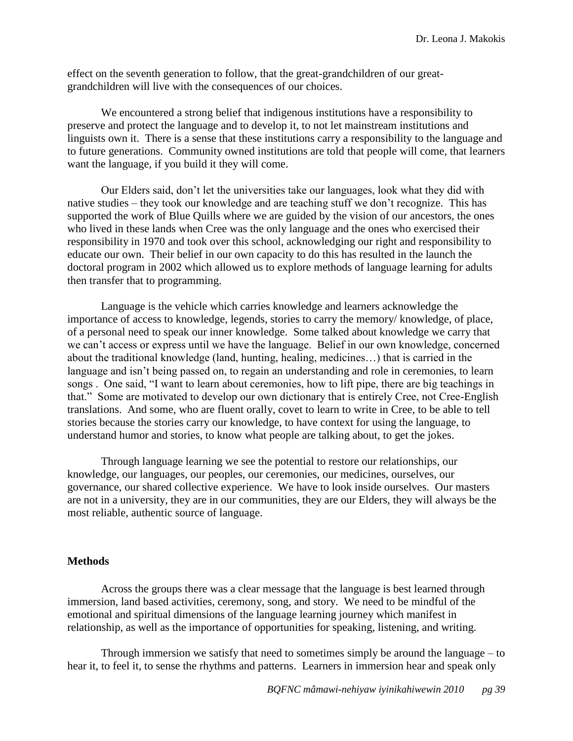effect on the seventh generation to follow, that the great-grandchildren of our greatgrandchildren will live with the consequences of our choices.

We encountered a strong belief that indigenous institutions have a responsibility to preserve and protect the language and to develop it, to not let mainstream institutions and linguists own it. There is a sense that these institutions carry a responsibility to the language and to future generations. Community owned institutions are told that people will come, that learners want the language, if you build it they will come.

Our Elders said, don't let the universities take our languages, look what they did with native studies – they took our knowledge and are teaching stuff we don't recognize. This has supported the work of Blue Quills where we are guided by the vision of our ancestors, the ones who lived in these lands when Cree was the only language and the ones who exercised their responsibility in 1970 and took over this school, acknowledging our right and responsibility to educate our own. Their belief in our own capacity to do this has resulted in the launch the doctoral program in 2002 which allowed us to explore methods of language learning for adults then transfer that to programming.

Language is the vehicle which carries knowledge and learners acknowledge the importance of access to knowledge, legends, stories to carry the memory/ knowledge, of place, of a personal need to speak our inner knowledge. Some talked about knowledge we carry that we can't access or express until we have the language. Belief in our own knowledge, concerned about the traditional knowledge (land, hunting, healing, medicines…) that is carried in the language and isn't being passed on, to regain an understanding and role in ceremonies, to learn songs. One said, "I want to learn about ceremonies, how to lift pipe, there are big teachings in that.‖ Some are motivated to develop our own dictionary that is entirely Cree, not Cree-English translations. And some, who are fluent orally, covet to learn to write in Cree, to be able to tell stories because the stories carry our knowledge, to have context for using the language, to understand humor and stories, to know what people are talking about, to get the jokes.

Through language learning we see the potential to restore our relationships, our knowledge, our languages, our peoples, our ceremonies, our medicines, ourselves, our governance, our shared collective experience. We have to look inside ourselves. Our masters are not in a university, they are in our communities, they are our Elders, they will always be the most reliable, authentic source of language.

### <span id="page-39-0"></span>**Methods**

Across the groups there was a clear message that the language is best learned through immersion, land based activities, ceremony, song, and story. We need to be mindful of the emotional and spiritual dimensions of the language learning journey which manifest in relationship, as well as the importance of opportunities for speaking, listening, and writing.

Through immersion we satisfy that need to sometimes simply be around the language – to hear it, to feel it, to sense the rhythms and patterns. Learners in immersion hear and speak only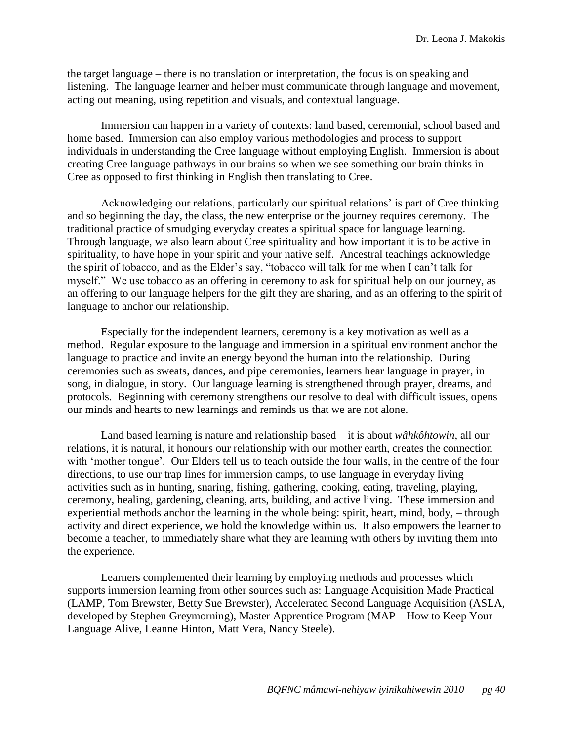the target language – there is no translation or interpretation, the focus is on speaking and listening. The language learner and helper must communicate through language and movement, acting out meaning, using repetition and visuals, and contextual language.

Immersion can happen in a variety of contexts: land based, ceremonial, school based and home based. Immersion can also employ various methodologies and process to support individuals in understanding the Cree language without employing English. Immersion is about creating Cree language pathways in our brains so when we see something our brain thinks in Cree as opposed to first thinking in English then translating to Cree.

Acknowledging our relations, particularly our spiritual relations' is part of Cree thinking and so beginning the day, the class, the new enterprise or the journey requires ceremony. The traditional practice of smudging everyday creates a spiritual space for language learning. Through language, we also learn about Cree spirituality and how important it is to be active in spirituality, to have hope in your spirit and your native self. Ancestral teachings acknowledge the spirit of tobacco, and as the Elder's say, "tobacco will talk for me when I can't talk for myself." We use tobacco as an offering in ceremony to ask for spiritual help on our journey, as an offering to our language helpers for the gift they are sharing, and as an offering to the spirit of language to anchor our relationship.

Especially for the independent learners, ceremony is a key motivation as well as a method. Regular exposure to the language and immersion in a spiritual environment anchor the language to practice and invite an energy beyond the human into the relationship. During ceremonies such as sweats, dances, and pipe ceremonies, learners hear language in prayer, in song, in dialogue, in story. Our language learning is strengthened through prayer, dreams, and protocols. Beginning with ceremony strengthens our resolve to deal with difficult issues, opens our minds and hearts to new learnings and reminds us that we are not alone.

Land based learning is nature and relationship based – it is about *wâhkôhtowin*, all our relations, it is natural, it honours our relationship with our mother earth, creates the connection with 'mother tongue'. Our Elders tell us to teach outside the four walls, in the centre of the four directions, to use our trap lines for immersion camps, to use language in everyday living activities such as in hunting, snaring, fishing, gathering, cooking, eating, traveling, playing, ceremony, healing, gardening, cleaning, arts, building, and active living. These immersion and experiential methods anchor the learning in the whole being: spirit, heart, mind, body, – through activity and direct experience, we hold the knowledge within us. It also empowers the learner to become a teacher, to immediately share what they are learning with others by inviting them into the experience.

Learners complemented their learning by employing methods and processes which supports immersion learning from other sources such as: Language Acquisition Made Practical (LAMP, [Tom Brewster,](http://www.google.ca/search?tbs=bks:1&tbo=p&q=+inauthor:%22Tom+Brewster%22) [Betty Sue Brewster\)](http://www.google.ca/search?tbs=bks:1&tbo=p&q=+inauthor:%22Betty+Sue+Brewster%22), Accelerated Second Language Acquisition (ASLA, developed by Stephen Greymorning), Master Apprentice Program (MAP – How to Keep Your Language Alive, Leanne Hinton, Matt Vera, Nancy Steele).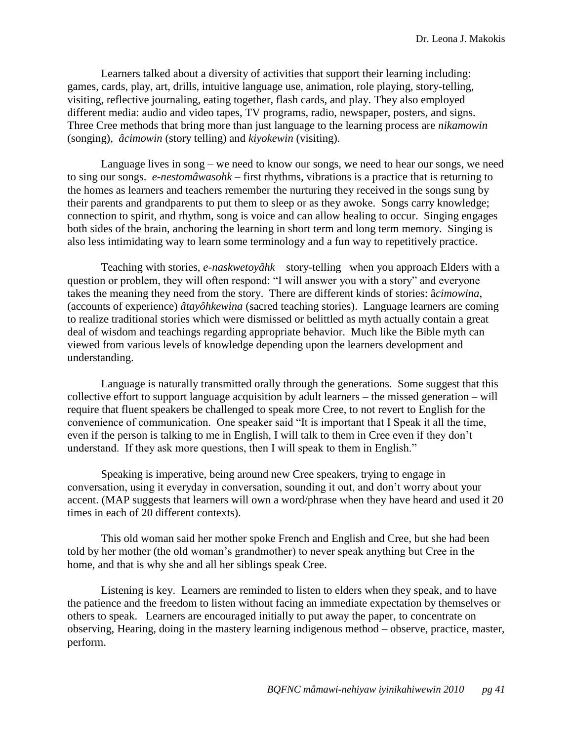Learners talked about a diversity of activities that support their learning including: games, cards, play, art, drills, intuitive language use, animation, role playing, story-telling, visiting, reflective journaling, eating together, flash cards, and play. They also employed different media: audio and video tapes, TV programs, radio, newspaper, posters, and signs. Three Cree methods that bring more than just language to the learning process are *nikamowin* (songing), *âcimowin* (story telling) and *kiyokewin* (visiting).

Language lives in song – we need to know our songs, we need to hear our songs, we need to sing our songs. *e-nestomâwasohk* – first rhythms, vibrations is a practice that is returning to the homes as learners and teachers remember the nurturing they received in the songs sung by their parents and grandparents to put them to sleep or as they awoke. Songs carry knowledge; connection to spirit, and rhythm, song is voice and can allow healing to occur. Singing engages both sides of the brain, anchoring the learning in short term and long term memory. Singing is also less intimidating way to learn some terminology and a fun way to repetitively practice.

Teaching with stories, *e-naskwetoyâhk* – story-telling –when you approach Elders with a question or problem, they will often respond: "I will answer you with a story" and everyone takes the meaning they need from the story. There are different kinds of stories: â*cimowina*, (accounts of experience) *âtayôhkewina* (sacred teaching stories). Language learners are coming to realize traditional stories which were dismissed or belittled as myth actually contain a great deal of wisdom and teachings regarding appropriate behavior. Much like the Bible myth can viewed from various levels of knowledge depending upon the learners development and understanding.

Language is naturally transmitted orally through the generations. Some suggest that this collective effort to support language acquisition by adult learners – the missed generation – will require that fluent speakers be challenged to speak more Cree, to not revert to English for the convenience of communication. One speaker said "It is important that I Speak it all the time, even if the person is talking to me in English, I will talk to them in Cree even if they don't understand. If they ask more questions, then I will speak to them in English."

Speaking is imperative, being around new Cree speakers, trying to engage in conversation, using it everyday in conversation, sounding it out, and don't worry about your accent. (MAP suggests that learners will own a word/phrase when they have heard and used it 20 times in each of 20 different contexts).

This old woman said her mother spoke French and English and Cree, but she had been told by her mother (the old woman's grandmother) to never speak anything but Cree in the home, and that is why she and all her siblings speak Cree.

Listening is key. Learners are reminded to listen to elders when they speak, and to have the patience and the freedom to listen without facing an immediate expectation by themselves or others to speak. Learners are encouraged initially to put away the paper, to concentrate on observing, Hearing, doing in the mastery learning indigenous method – observe, practice, master, perform.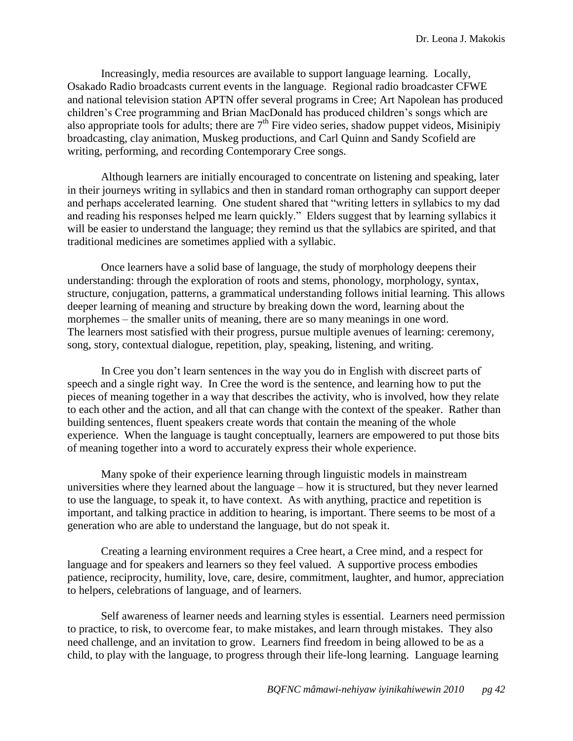Increasingly, media resources are available to support language learning. Locally, Osakado Radio broadcasts current events in the language. Regional radio broadcaster CFWE and national television station APTN offer several programs in Cree; Art Napolean has produced children's Cree programming and Brian MacDonald has produced children's songs which are also appropriate tools for adults; there are  $7<sup>th</sup>$  Fire video series, shadow puppet videos, Misinipiy broadcasting, clay animation, Muskeg productions, and Carl Quinn and Sandy Scofield are writing, performing, and recording Contemporary Cree songs.

Although learners are initially encouraged to concentrate on listening and speaking, later in their journeys writing in syllabics and then in standard roman orthography can support deeper and perhaps accelerated learning. One student shared that "writing letters in syllabics to my dad and reading his responses helped me learn quickly." Elders suggest that by learning syllabics it will be easier to understand the language; they remind us that the syllabics are spirited, and that traditional medicines are sometimes applied with a syllabic.

Once learners have a solid base of language, the study of morphology deepens their understanding: through the exploration of roots and stems, phonology, morphology, syntax, structure, conjugation, patterns, a grammatical understanding follows initial learning. This allows deeper learning of meaning and structure by breaking down the word, learning about the morphemes – the smaller units of meaning, there are so many meanings in one word. The learners most satisfied with their progress, pursue multiple avenues of learning: ceremony, song, story, contextual dialogue, repetition, play, speaking, listening, and writing.

In Cree you don't learn sentences in the way you do in English with discreet parts of speech and a single right way. In Cree the word is the sentence, and learning how to put the pieces of meaning together in a way that describes the activity, who is involved, how they relate to each other and the action, and all that can change with the context of the speaker. Rather than building sentences, fluent speakers create words that contain the meaning of the whole experience. When the language is taught conceptually, learners are empowered to put those bits of meaning together into a word to accurately express their whole experience.

Many spoke of their experience learning through linguistic models in mainstream universities where they learned about the language – how it is structured, but they never learned to use the language, to speak it, to have context. As with anything, practice and repetition is important, and talking practice in addition to hearing, is important. There seems to be most of a generation who are able to understand the language, but do not speak it.

Creating a learning environment requires a Cree heart, a Cree mind, and a respect for language and for speakers and learners so they feel valued. A supportive process embodies patience, reciprocity, humility, love, care, desire, commitment, laughter, and humor, appreciation to helpers, celebrations of language, and of learners.

Self awareness of learner needs and learning styles is essential. Learners need permission to practice, to risk, to overcome fear, to make mistakes, and learn through mistakes. They also need challenge, and an invitation to grow. Learners find freedom in being allowed to be as a child, to play with the language, to progress through their life-long learning. Language learning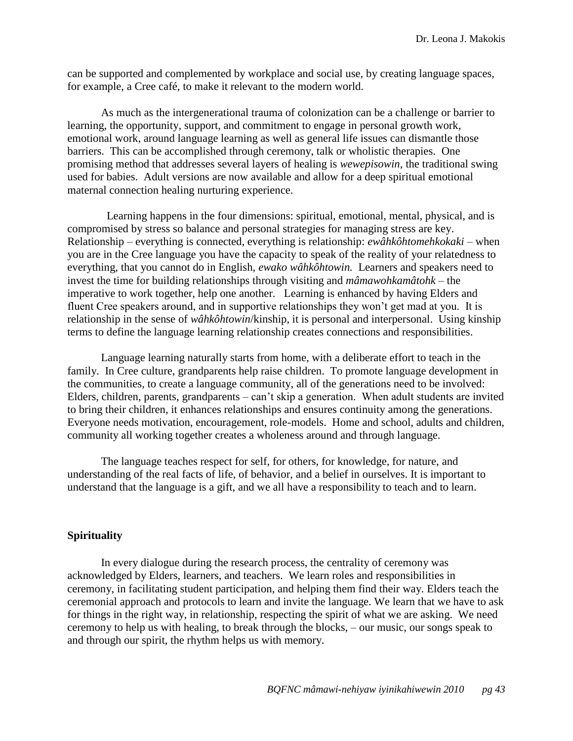can be supported and complemented by workplace and social use, by creating language spaces, for example, a Cree café, to make it relevant to the modern world.

As much as the intergenerational trauma of colonization can be a challenge or barrier to learning, the opportunity, support, and commitment to engage in personal growth work, emotional work, around language learning as well as general life issues can dismantle those barriers. This can be accomplished through ceremony, talk or wholistic therapies. One promising method that addresses several layers of healing is *wewepisowin*, the traditional swing used for babies. Adult versions are now available and allow for a deep spiritual emotional maternal connection healing nurturing experience.

 Learning happens in the four dimensions: spiritual, emotional, mental, physical, and is compromised by stress so balance and personal strategies for managing stress are key. Relationship – everything is connected, everything is relationship: *ewâhkôhtomehkokaki* – when you are in the Cree language you have the capacity to speak of the reality of your relatedness to everything, that you cannot do in English, *ewako wâhkôhtowin.* Learners and speakers need to invest the time for building relationships through visiting and *mâmawohkamâtohk* – the imperative to work together, help one another. Learning is enhanced by having Elders and fluent Cree speakers around, and in supportive relationships they won't get mad at you. It is relationship in the sense of *wâhkôhtowin*/kinship, it is personal and interpersonal. Using kinship terms to define the language learning relationship creates connections and responsibilities.

Language learning naturally starts from home, with a deliberate effort to teach in the family. In Cree culture, grandparents help raise children. To promote language development in the communities, to create a language community, all of the generations need to be involved: Elders, children, parents, grandparents – can't skip a generation. When adult students are invited to bring their children, it enhances relationships and ensures continuity among the generations. Everyone needs motivation, encouragement, role-models. Home and school, adults and children, community all working together creates a wholeness around and through language.

The language teaches respect for self, for others, for knowledge, for nature, and understanding of the real facts of life, of behavior, and a belief in ourselves. It is important to understand that the language is a gift, and we all have a responsibility to teach and to learn.

### <span id="page-43-0"></span>**Spirituality**

In every dialogue during the research process, the centrality of ceremony was acknowledged by Elders, learners, and teachers. We learn roles and responsibilities in ceremony, in facilitating student participation, and helping them find their way. Elders teach the ceremonial approach and protocols to learn and invite the language. We learn that we have to ask for things in the right way, in relationship, respecting the spirit of what we are asking. We need ceremony to help us with healing, to break through the blocks, – our music, our songs speak to and through our spirit, the rhythm helps us with memory.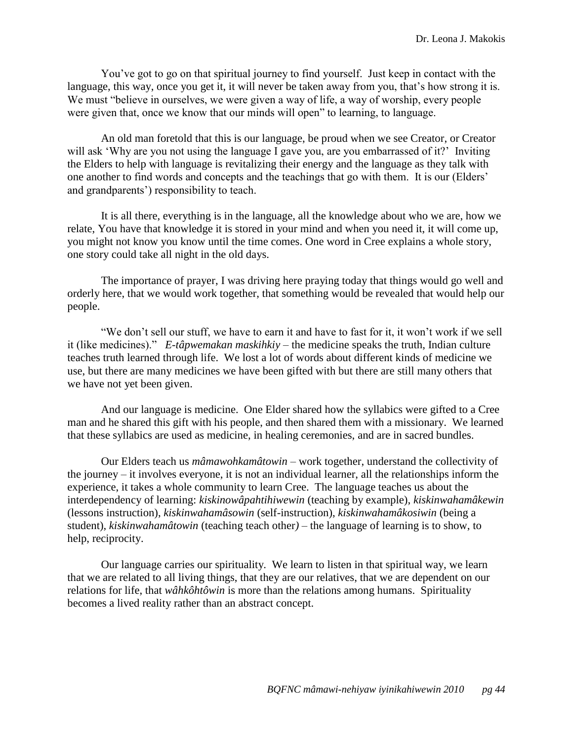You've got to go on that spiritual journey to find yourself. Just keep in contact with the language, this way, once you get it, it will never be taken away from you, that's how strong it is. We must "believe in ourselves, we were given a way of life, a way of worship, every people were given that, once we know that our minds will open" to learning, to language.

An old man foretold that this is our language, be proud when we see Creator, or Creator will ask 'Why are you not using the language I gave you, are you embarrassed of it?' Inviting the Elders to help with language is revitalizing their energy and the language as they talk with one another to find words and concepts and the teachings that go with them. It is our (Elders' and grandparents') responsibility to teach.

It is all there, everything is in the language, all the knowledge about who we are, how we relate, You have that knowledge it is stored in your mind and when you need it, it will come up, you might not know you know until the time comes. One word in Cree explains a whole story, one story could take all night in the old days.

The importance of prayer, I was driving here praying today that things would go well and orderly here, that we would work together, that something would be revealed that would help our people.

―We don't sell our stuff, we have to earn it and have to fast for it, it won't work if we sell it (like medicines)." *E-tâpwemakan maskihkiy* – the medicine speaks the truth, Indian culture teaches truth learned through life. We lost a lot of words about different kinds of medicine we use, but there are many medicines we have been gifted with but there are still many others that we have not yet been given.

And our language is medicine. One Elder shared how the syllabics were gifted to a Cree man and he shared this gift with his people, and then shared them with a missionary. We learned that these syllabics are used as medicine, in healing ceremonies, and are in sacred bundles.

Our Elders teach us *mâmawohkamâtowin* – work together, understand the collectivity of the journey – it involves everyone, it is not an individual learner, all the relationships inform the experience, it takes a whole community to learn Cree. The language teaches us about the interdependency of learning: *kiskinowâpahtihiwewin* (teaching by example), *kiskinwahamâkewin* (lessons instruction), *kiskinwahamâsowin* (self-instruction), *kiskinwahamâkosiwin* (being a student), *kiskinwahamâtowin* (teaching teach other*)* – the language of learning is to show, to help, reciprocity.

Our language carries our spirituality. We learn to listen in that spiritual way, we learn that we are related to all living things, that they are our relatives, that we are dependent on our relations for life, that *wâhkôhtôwin* is more than the relations among humans. Spirituality becomes a lived reality rather than an abstract concept.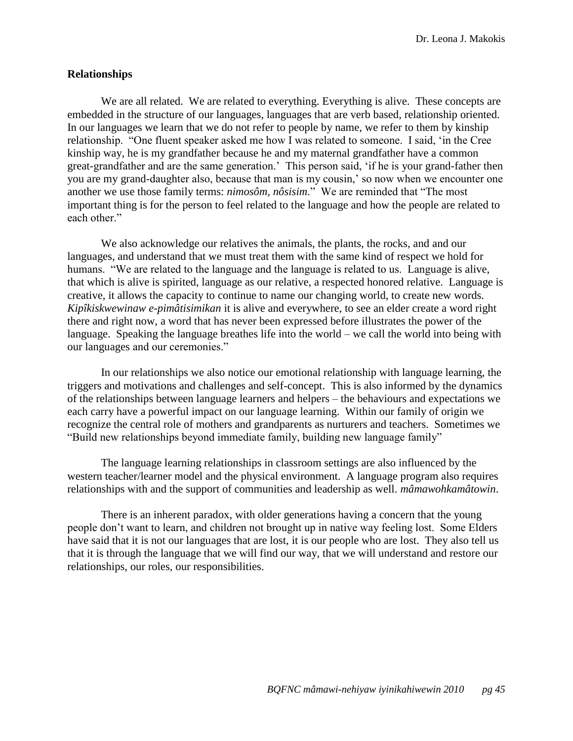Dr. Leona J. Makokis

### <span id="page-45-0"></span>**Relationships**

We are all related. We are related to everything. Everything is alive. These concepts are embedded in the structure of our languages, languages that are verb based, relationship oriented. In our languages we learn that we do not refer to people by name, we refer to them by kinship relationship. "One fluent speaker asked me how I was related to someone. I said, 'in the Cree kinship way, he is my grandfather because he and my maternal grandfather have a common great-grandfather and are the same generation.' This person said, ‗if he is your grand-father then you are my grand-daughter also, because that man is my cousin,' so now when we encounter one another we use those family terms: *nimosôm, nôsisim*." We are reminded that "The most important thing is for the person to feel related to the language and how the people are related to each other."

We also acknowledge our relatives the animals, the plants, the rocks, and and our languages, and understand that we must treat them with the same kind of respect we hold for humans. "We are related to the language and the language is related to us. Language is alive, that which is alive is spirited, language as our relative, a respected honored relative. Language is creative, it allows the capacity to continue to name our changing world, to create new words. *Kipîkiskwewinaw e-pimâtisimikan* it is alive and everywhere, to see an elder create a word right there and right now, a word that has never been expressed before illustrates the power of the language. Speaking the language breathes life into the world – we call the world into being with our languages and our ceremonies."

In our relationships we also notice our emotional relationship with language learning, the triggers and motivations and challenges and self-concept. This is also informed by the dynamics of the relationships between language learners and helpers – the behaviours and expectations we each carry have a powerful impact on our language learning. Within our family of origin we recognize the central role of mothers and grandparents as nurturers and teachers. Sometimes we "Build new relationships beyond immediate family, building new language family"

The language learning relationships in classroom settings are also influenced by the western teacher/learner model and the physical environment. A language program also requires relationships with and the support of communities and leadership as well. *mâmawohkamâtowin*.

There is an inherent paradox, with older generations having a concern that the young people don't want to learn, and children not brought up in native way feeling lost. Some Elders have said that it is not our languages that are lost, it is our people who are lost. They also tell us that it is through the language that we will find our way, that we will understand and restore our relationships, our roles, our responsibilities.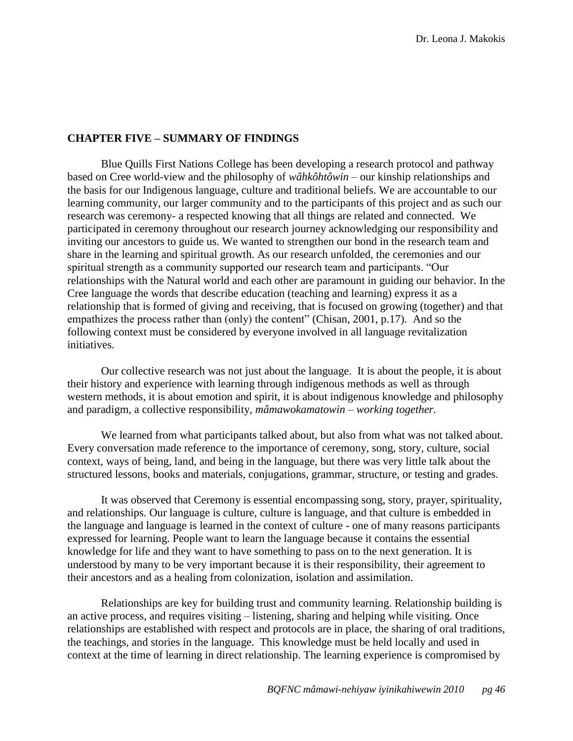### <span id="page-46-0"></span>**CHAPTER FIVE – SUMMARY OF FINDINGS**

Blue Quills First Nations College has been developing a research protocol and pathway based on Cree world-view and the philosophy of *wâhkôhtôwin* – our kinship relationships and the basis for our Indigenous language, culture and traditional beliefs. We are accountable to our learning community, our larger community and to the participants of this project and as such our research was ceremony- a respected knowing that all things are related and connected. We participated in ceremony throughout our research journey acknowledging our responsibility and inviting our ancestors to guide us. We wanted to strengthen our bond in the research team and share in the learning and spiritual growth. As our research unfolded, the ceremonies and our spiritual strength as a community supported our research team and participants. "Our relationships with the Natural world and each other are paramount in guiding our behavior. In the Cree language the words that describe education (teaching and learning) express it as a relationship that is formed of giving and receiving, that is focused on growing (together) and that empathizes the process rather than (only) the content" (Chisan, 2001, p.17). And so the following context must be considered by everyone involved in all language revitalization initiatives.

Our collective research was not just about the language. It is about the people, it is about their history and experience with learning through indigenous methods as well as through western methods, it is about emotion and spirit, it is about indigenous knowledge and philosophy and paradigm, a collective responsibility, *mâmawokamatowin – working together.*

We learned from what participants talked about, but also from what was not talked about. Every conversation made reference to the importance of ceremony, song, story, culture, social context, ways of being, land, and being in the language, but there was very little talk about the structured lessons, books and materials, conjugations, grammar, structure, or testing and grades.

It was observed that Ceremony is essential encompassing song, story, prayer, spirituality, and relationships. Our language is culture, culture is language, and that culture is embedded in the language and language is learned in the context of culture - one of many reasons participants expressed for learning. People want to learn the language because it contains the essential knowledge for life and they want to have something to pass on to the next generation. It is understood by many to be very important because it is their responsibility, their agreement to their ancestors and as a healing from colonization, isolation and assimilation.

Relationships are key for building trust and community learning. Relationship building is an active process, and requires visiting – listening, sharing and helping while visiting. Once relationships are established with respect and protocols are in place, the sharing of oral traditions, the teachings, and stories in the language. This knowledge must be held locally and used in context at the time of learning in direct relationship. The learning experience is compromised by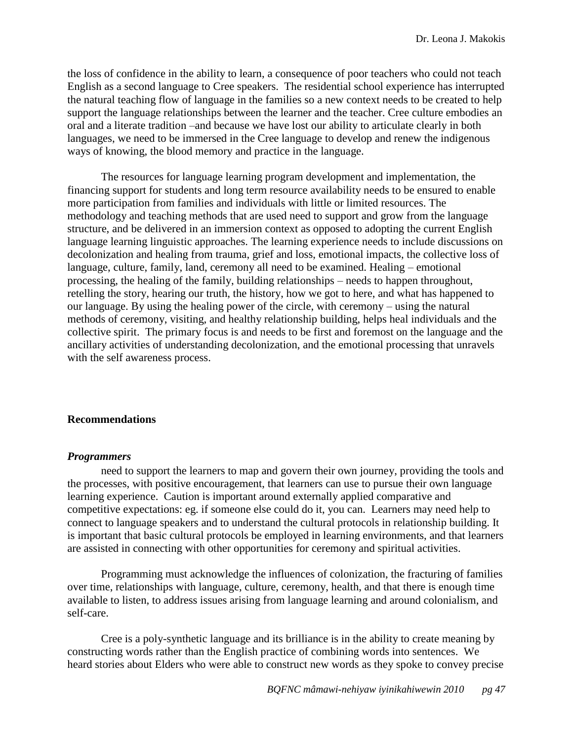the loss of confidence in the ability to learn, a consequence of poor teachers who could not teach English as a second language to Cree speakers. The residential school experience has interrupted the natural teaching flow of language in the families so a new context needs to be created to help support the language relationships between the learner and the teacher. Cree culture embodies an oral and a literate tradition –and because we have lost our ability to articulate clearly in both languages, we need to be immersed in the Cree language to develop and renew the indigenous ways of knowing, the blood memory and practice in the language.

The resources for language learning program development and implementation, the financing support for students and long term resource availability needs to be ensured to enable more participation from families and individuals with little or limited resources. The methodology and teaching methods that are used need to support and grow from the language structure, and be delivered in an immersion context as opposed to adopting the current English language learning linguistic approaches. The learning experience needs to include discussions on decolonization and healing from trauma, grief and loss, emotional impacts, the collective loss of language, culture, family, land, ceremony all need to be examined. Healing – emotional processing, the healing of the family, building relationships – needs to happen throughout, retelling the story, hearing our truth, the history, how we got to here, and what has happened to our language. By using the healing power of the circle, with ceremony – using the natural methods of ceremony, visiting, and healthy relationship building, helps heal individuals and the collective spirit. The primary focus is and needs to be first and foremost on the language and the ancillary activities of understanding decolonization, and the emotional processing that unravels with the self awareness process.

## <span id="page-47-0"></span>**Recommendations**

### <span id="page-47-1"></span>*Programmers*

need to support the learners to map and govern their own journey, providing the tools and the processes, with positive encouragement, that learners can use to pursue their own language learning experience. Caution is important around externally applied comparative and competitive expectations: eg. if someone else could do it, you can. Learners may need help to connect to language speakers and to understand the cultural protocols in relationship building. It is important that basic cultural protocols be employed in learning environments, and that learners are assisted in connecting with other opportunities for ceremony and spiritual activities.

Programming must acknowledge the influences of colonization, the fracturing of families over time, relationships with language, culture, ceremony, health, and that there is enough time available to listen, to address issues arising from language learning and around colonialism, and self-care.

Cree is a poly-synthetic language and its brilliance is in the ability to create meaning by constructing words rather than the English practice of combining words into sentences. We heard stories about Elders who were able to construct new words as they spoke to convey precise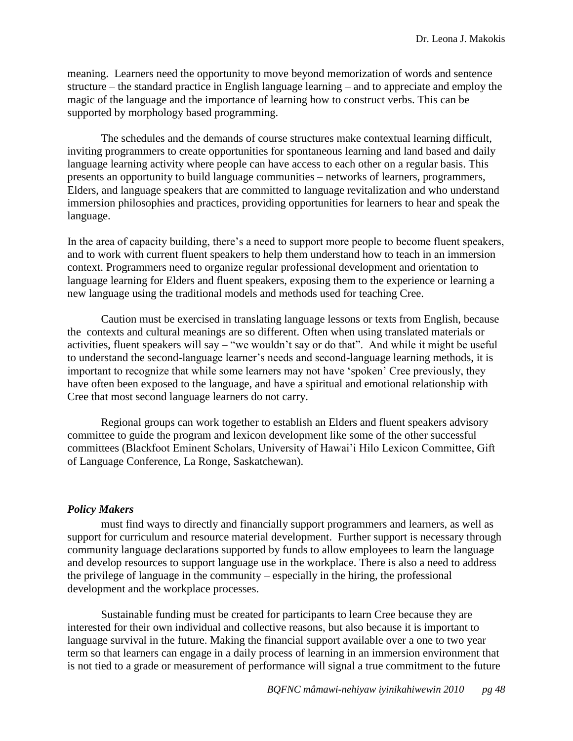meaning. Learners need the opportunity to move beyond memorization of words and sentence structure – the standard practice in English language learning – and to appreciate and employ the magic of the language and the importance of learning how to construct verbs. This can be supported by morphology based programming.

The schedules and the demands of course structures make contextual learning difficult, inviting programmers to create opportunities for spontaneous learning and land based and daily language learning activity where people can have access to each other on a regular basis. This presents an opportunity to build language communities – networks of learners, programmers, Elders, and language speakers that are committed to language revitalization and who understand immersion philosophies and practices, providing opportunities for learners to hear and speak the language.

In the area of capacity building, there's a need to support more people to become fluent speakers, and to work with current fluent speakers to help them understand how to teach in an immersion context. Programmers need to organize regular professional development and orientation to language learning for Elders and fluent speakers, exposing them to the experience or learning a new language using the traditional models and methods used for teaching Cree.

Caution must be exercised in translating language lessons or texts from English, because the contexts and cultural meanings are so different. Often when using translated materials or activities, fluent speakers will say – "we wouldn't say or do that". And while it might be useful to understand the second-language learner's needs and second-language learning methods, it is important to recognize that while some learners may not have 'spoken' Cree previously, they have often been exposed to the language, and have a spiritual and emotional relationship with Cree that most second language learners do not carry.

Regional groups can work together to establish an Elders and fluent speakers advisory committee to guide the program and lexicon development like some of the other successful committees (Blackfoot Eminent Scholars, University of Hawai'i Hilo Lexicon Committee, Gift of Language Conference, La Ronge, Saskatchewan).

## <span id="page-48-0"></span>*Policy Makers*

must find ways to directly and financially support programmers and learners, as well as support for curriculum and resource material development. Further support is necessary through community language declarations supported by funds to allow employees to learn the language and develop resources to support language use in the workplace. There is also a need to address the privilege of language in the community – especially in the hiring, the professional development and the workplace processes.

Sustainable funding must be created for participants to learn Cree because they are interested for their own individual and collective reasons, but also because it is important to language survival in the future. Making the financial support available over a one to two year term so that learners can engage in a daily process of learning in an immersion environment that is not tied to a grade or measurement of performance will signal a true commitment to the future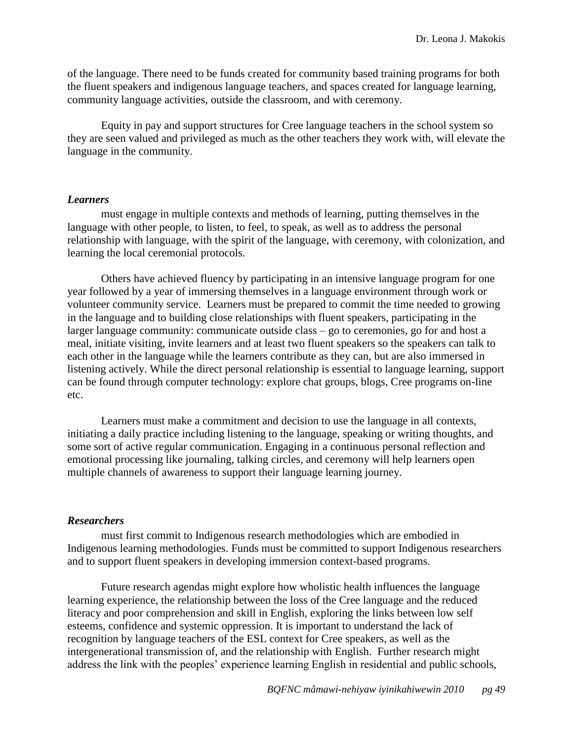of the language. There need to be funds created for community based training programs for both the fluent speakers and indigenous language teachers, and spaces created for language learning, community language activities, outside the classroom, and with ceremony.

Equity in pay and support structures for Cree language teachers in the school system so they are seen valued and privileged as much as the other teachers they work with, will elevate the language in the community.

### <span id="page-49-0"></span>*Learners*

must engage in multiple contexts and methods of learning, putting themselves in the language with other people, to listen, to feel, to speak, as well as to address the personal relationship with language, with the spirit of the language, with ceremony, with colonization, and learning the local ceremonial protocols.

Others have achieved fluency by participating in an intensive language program for one year followed by a year of immersing themselves in a language environment through work or volunteer community service. Learners must be prepared to commit the time needed to growing in the language and to building close relationships with fluent speakers, participating in the larger language community: communicate outside class – go to ceremonies, go for and host a meal, initiate visiting, invite learners and at least two fluent speakers so the speakers can talk to each other in the language while the learners contribute as they can, but are also immersed in listening actively. While the direct personal relationship is essential to language learning, support can be found through computer technology: explore chat groups, blogs, Cree programs on-line etc.

Learners must make a commitment and decision to use the language in all contexts, initiating a daily practice including listening to the language, speaking or writing thoughts, and some sort of active regular communication. Engaging in a continuous personal reflection and emotional processing like journaling, talking circles, and ceremony will help learners open multiple channels of awareness to support their language learning journey.

### <span id="page-49-1"></span>*Researchers*

must first commit to Indigenous research methodologies which are embodied in Indigenous learning methodologies. Funds must be committed to support Indigenous researchers and to support fluent speakers in developing immersion context-based programs.

Future research agendas might explore how wholistic health influences the language learning experience, the relationship between the loss of the Cree language and the reduced literacy and poor comprehension and skill in English, exploring the links between low self esteems, confidence and systemic oppression. It is important to understand the lack of recognition by language teachers of the ESL context for Cree speakers, as well as the intergenerational transmission of, and the relationship with English. Further research might address the link with the peoples' experience learning English in residential and public schools,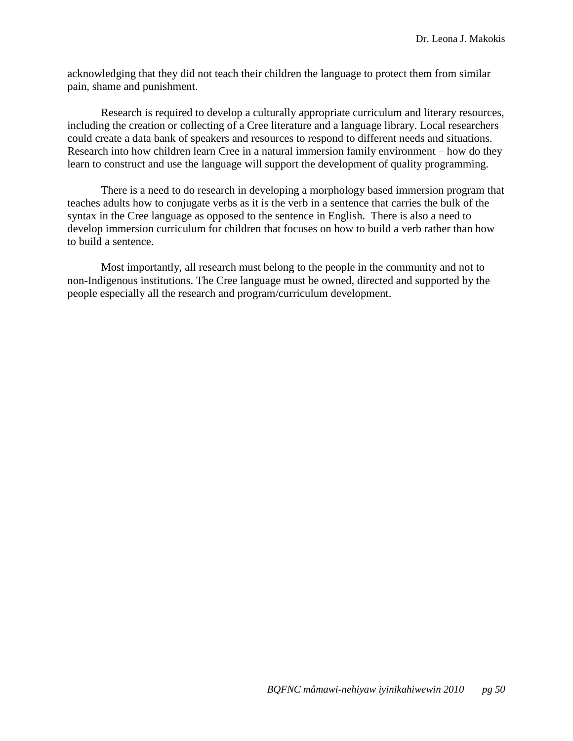acknowledging that they did not teach their children the language to protect them from similar pain, shame and punishment.

Research is required to develop a culturally appropriate curriculum and literary resources, including the creation or collecting of a Cree literature and a language library. Local researchers could create a data bank of speakers and resources to respond to different needs and situations. Research into how children learn Cree in a natural immersion family environment – how do they learn to construct and use the language will support the development of quality programming.

There is a need to do research in developing a morphology based immersion program that teaches adults how to conjugate verbs as it is the verb in a sentence that carries the bulk of the syntax in the Cree language as opposed to the sentence in English. There is also a need to develop immersion curriculum for children that focuses on how to build a verb rather than how to build a sentence.

Most importantly, all research must belong to the people in the community and not to non-Indigenous institutions. The Cree language must be owned, directed and supported by the people especially all the research and program/curriculum development.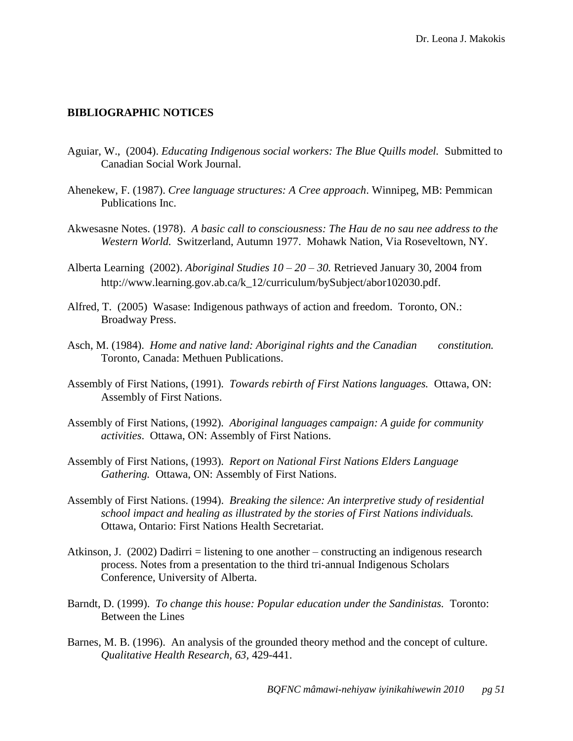### <span id="page-51-0"></span>**BIBLIOGRAPHIC NOTICES**

- Aguiar, W., (2004). *Educating Indigenous social workers: The Blue Quills model.* Submitted to Canadian Social Work Journal.
- Ahenekew, F. (1987). *Cree language structures: A Cree approach*. Winnipeg, MB: Pemmican Publications Inc.
- Akwesasne Notes. (1978). *A basic call to consciousness: The Hau de no sau nee address to the Western World.* Switzerland, Autumn 1977. Mohawk Nation, Via Roseveltown, NY.
- Alberta Learning (2002). *Aboriginal Studies 10 – 20 – 30.* Retrieved January 30, 2004 from http://www.learning.gov.ab.ca/k\_12/curriculum/bySubject/abor102030.pdf.
- Alfred, T. (2005) Wasase: Indigenous pathways of action and freedom. Toronto, ON.: Broadway Press.
- Asch, M. (1984). *Home and native land: Aboriginal rights and the Canadian constitution.*  Toronto, Canada: Methuen Publications.
- Assembly of First Nations, (1991). *Towards rebirth of First Nations languages.* Ottawa, ON: Assembly of First Nations.
- Assembly of First Nations, (1992). *Aboriginal languages campaign: A guide for community activities*. Ottawa, ON: Assembly of First Nations.
- Assembly of First Nations, (1993). *Report on National First Nations Elders Language Gathering.* Ottawa, ON: Assembly of First Nations.
- Assembly of First Nations. (1994). *Breaking the silence: An interpretive study of residential school impact and healing as illustrated by the stories of First Nations individuals.*  Ottawa, Ontario: First Nations Health Secretariat.
- Atkinson, J. (2002) Dadirri = listening to one another constructing an indigenous research process. Notes from a presentation to the third tri-annual Indigenous Scholars Conference, University of Alberta.
- Barndt, D. (1999). *To change this house: Popular education under the Sandinistas.* Toronto: Between the Lines
- Barnes, M. B. (1996). An analysis of the grounded theory method and the concept of culture. *Qualitative Health Research, 63,* 429-441.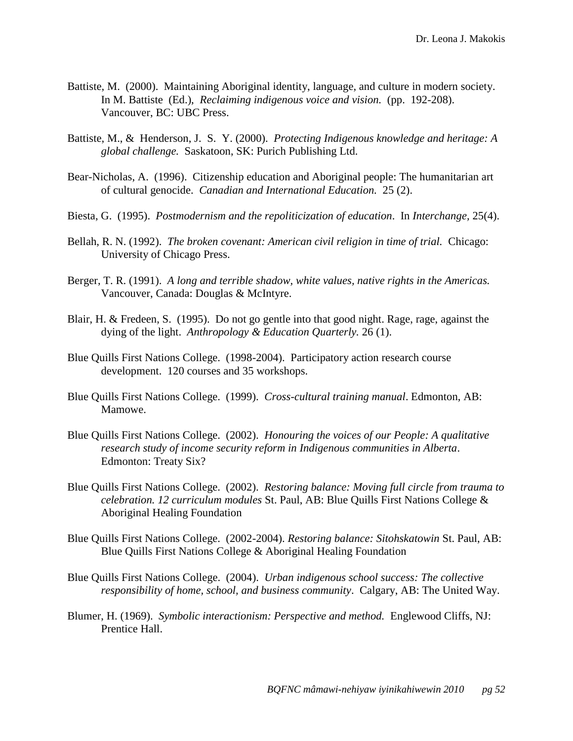- Battiste, M. (2000). Maintaining Aboriginal identity, language, and culture in modern society. In M. Battiste (Ed.), *Reclaiming indigenous voice and vision.* (pp. 192-208). Vancouver, BC: UBC Press.
- Battiste, M., & Henderson, J. S. Y. (2000). *Protecting Indigenous knowledge and heritage: A global challenge.* Saskatoon, SK: Purich Publishing Ltd.
- Bear-Nicholas, A. (1996). Citizenship education and Aboriginal people: The humanitarian art of cultural genocide. *Canadian and International Education.* 25 (2).
- Biesta, G. (1995). *Postmodernism and the repoliticization of education*. In *Interchange,* 25(4).
- Bellah, R. N. (1992). *The broken covenant: American civil religion in time of trial.* Chicago: University of Chicago Press.
- Berger, T. R. (1991). *A long and terrible shadow, white values, native rights in the Americas.*  Vancouver, Canada: Douglas & McIntyre.
- Blair, H. & Fredeen, S. (1995). Do not go gentle into that good night. Rage, rage, against the dying of the light. *Anthropology & Education Quarterly.* 26 (1).
- Blue Quills First Nations College. (1998-2004). Participatory action research course development. 120 courses and 35 workshops.
- Blue Quills First Nations College. (1999). *Cross-cultural training manual*. Edmonton, AB: Mamowe.
- Blue Quills First Nations College. (2002). *Honouring the voices of our People: A qualitative research study of income security reform in Indigenous communities in Alberta*. Edmonton: Treaty Six?
- Blue Quills First Nations College. (2002). *Restoring balance: Moving full circle from trauma to celebration. 12 curriculum modules* St. Paul, AB: Blue Quills First Nations College & Aboriginal Healing Foundation
- Blue Quills First Nations College. (2002-2004). *Restoring balance: Sitohskatowin* St. Paul, AB: Blue Quills First Nations College & Aboriginal Healing Foundation
- Blue Quills First Nations College. (2004). *Urban indigenous school success: The collective responsibility of home, school, and business community*. Calgary, AB: The United Way.
- Blumer, H. (1969). *Symbolic interactionism: Perspective and method.* Englewood Cliffs, NJ: Prentice Hall.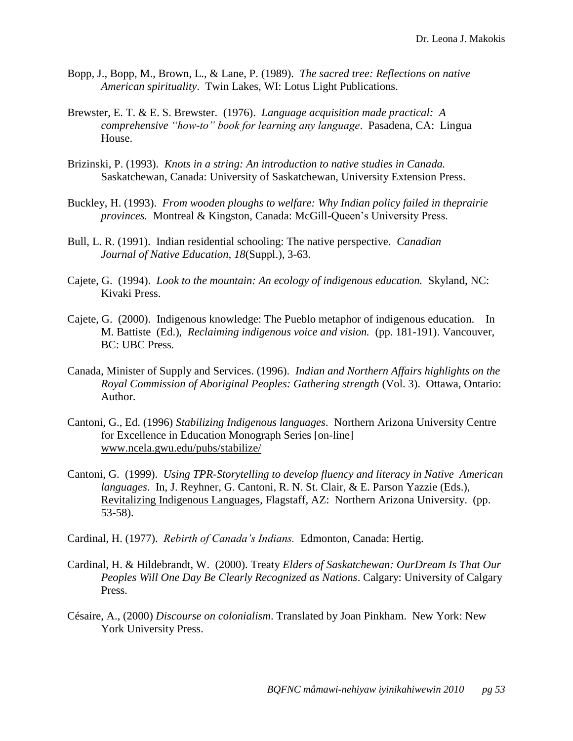- Bopp, J., Bopp, M., Brown, L., & Lane, P. (1989). *The sacred tree: Reflections on native American spirituality*. Twin Lakes, WI: Lotus Light Publications.
- Brewster, E. T. & E. S. Brewster. (1976). *Language acquisition made practical: A comprehensive ―how-to‖ book for learning any language*. Pasadena, CA: Lingua House.
- Brizinski, P. (1993). *Knots in a string: An introduction to native studies in Canada.* Saskatchewan, Canada: University of Saskatchewan, University Extension Press.
- Buckley, H. (1993). *From wooden ploughs to welfare: Why Indian policy failed in theprairie provinces.* Montreal & Kingston, Canada: McGill-Queen's University Press.
- Bull, L. R. (1991). Indian residential schooling: The native perspective. *Canadian Journal of Native Education, 18*(Suppl.), 3-63.
- Cajete, G. (1994). *Look to the mountain: An ecology of indigenous education.* Skyland, NC: Kivaki Press.
- Cajete, G. (2000). Indigenous knowledge: The Pueblo metaphor of indigenous education. In M. Battiste (Ed.), *Reclaiming indigenous voice and vision.* (pp. 181-191). Vancouver, BC: UBC Press.
- Canada, Minister of Supply and Services. (1996). *Indian and Northern Affairs highlights on the Royal Commission of Aboriginal Peoples: Gathering strength* (Vol. 3). Ottawa, Ontario: Author.
- Cantoni, G., Ed. (1996) *Stabilizing Indigenous languages*. Northern Arizona University Centre for Excellence in Education Monograph Series [on-line] [www.ncela.gwu.edu/pubs/stabilize/](http://www.ncela.gwu.edu/pubs/stabilize/)
- Cantoni, G. (1999). *Using TPR-Storytelling to develop fluency and literacy in Native American languages*. In, J. Reyhner, G. Cantoni, R. N. St. Clair, & E. Parson Yazzie (Eds.), Revitalizing Indigenous Languages*,* Flagstaff, AZ: Northern Arizona University. (pp. 53-58).

Cardinal, H. (1977). *Rebirth of Canada's Indians.* Edmonton, Canada: Hertig.

- Cardinal, H. & Hildebrandt, W. (2000). Treaty *Elders of Saskatchewan: OurDream Is That Our Peoples Will One Day Be Clearly Recognized as Nations*. Calgary: University of Calgary Press.
- Césaire, A., (2000) *Discourse on colonialism*. Translated by Joan Pinkham. New York: New York University Press.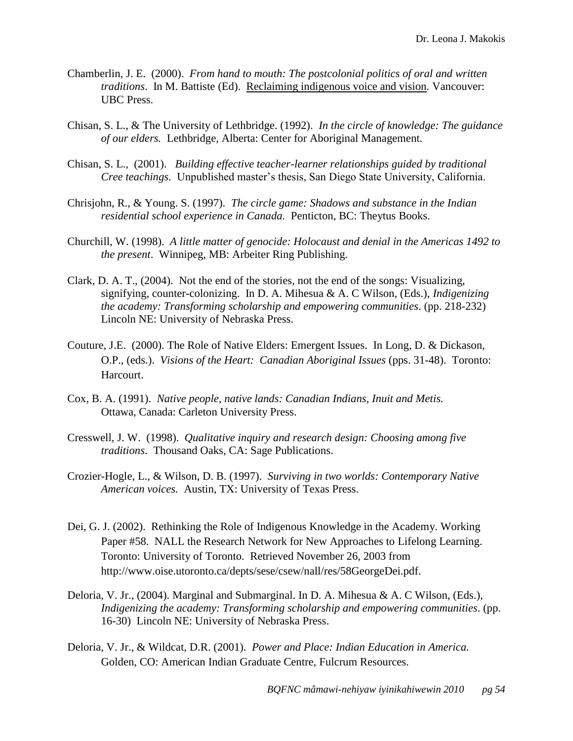- Chamberlin, J. E. (2000). *From hand to mouth: The postcolonial politics of oral and written traditions*. In M. Battiste (Ed). Reclaiming indigenous voice and vision*.* Vancouver: UBC Press.
- Chisan, S. L., & The University of Lethbridge. (1992). *In the circle of knowledge: The guidance of our elders.* Lethbridge, Alberta: Center for Aboriginal Management.
- Chisan, S. L., (2001). *Building effective teacher-learner relationships guided by traditional Cree teachings.* Unpublished master's thesis, San Diego State University, California.
- Chrisjohn, R., & Young. S. (1997). *The circle game: Shadows and substance in the Indian residential school experience in Canada.* Penticton, BC: Theytus Books.
- Churchill, W. (1998). *A little matter of genocide: Holocaust and denial in the Americas 1492 to the present*. Winnipeg, MB: Arbeiter Ring Publishing.
- Clark, D. A. T., (2004). Not the end of the stories, not the end of the songs: Visualizing, signifying, counter-colonizing. In D. A. Mihesua & A. C Wilson, (Eds.), *Indigenizing the academy: Transforming scholarship and empowering communities*. (pp. 218-232) Lincoln NE: University of Nebraska Press.
- Couture, J.E. (2000). The Role of Native Elders: Emergent Issues. In Long, D. & Dickason, O.P., (eds.). *Visions of the Heart: Canadian Aboriginal Issues* (pps. 31-48). Toronto: Harcourt.
- Cox, B. A. (1991). *Native people, native lands: Canadian Indians, Inuit and Metis.* Ottawa, Canada: Carleton University Press.
- Cresswell, J. W. (1998). *Qualitative inquiry and research design: Choosing among five traditions*. Thousand Oaks, CA: Sage Publications.
- Crozier-Hogle, L., & Wilson, D. B. (1997). *Surviving in two worlds: Contemporary Native American voices.* Austin, TX: University of Texas Press.
- Dei, G. J. (2002). Rethinking the Role of Indigenous Knowledge in the Academy. Working Paper #58. NALL the Research Network for New Approaches to Lifelong Learning. Toronto: University of Toronto. Retrieved November 26, 2003 from http://www.oise.utoronto.ca/depts/sese/csew/nall/res/58GeorgeDei.pdf.
- Deloria, V. Jr., (2004). Marginal and Submarginal. In D. A. Mihesua & A. C Wilson, (Eds.), *Indigenizing the academy: Transforming scholarship and empowering communities*. (pp. 16-30) Lincoln NE: University of Nebraska Press.
- Deloria, V. Jr., & Wildcat, D.R. (2001). *Power and Place: Indian Education in America.*  Golden, CO: American Indian Graduate Centre, Fulcrum Resources.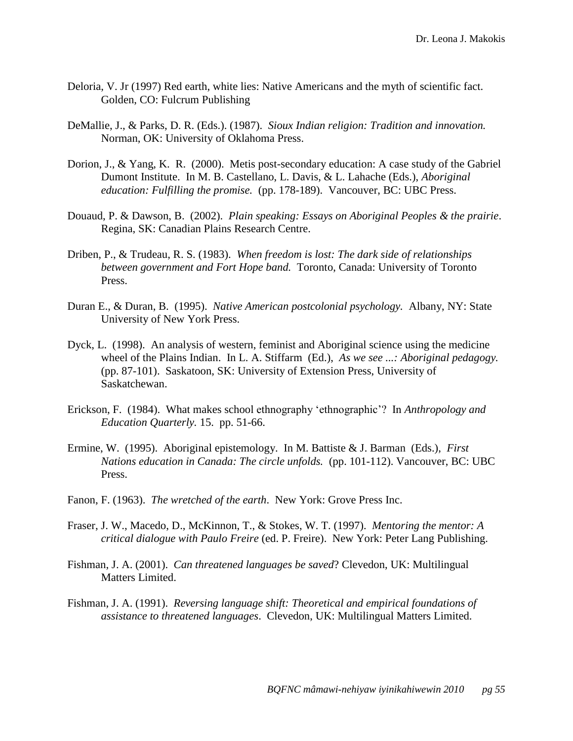- Deloria, V. Jr (1997) Red earth, white lies: Native Americans and the myth of scientific fact. Golden, CO: Fulcrum Publishing
- DeMallie, J., & Parks, D. R. (Eds.). (1987). *Sioux Indian religion: Tradition and innovation.*  Norman, OK: University of Oklahoma Press.
- Dorion, J., & Yang, K. R. (2000). Metis post-secondary education: A case study of the Gabriel Dumont Institute. In M. B. Castellano, L. Davis, & L. Lahache (Eds.), *Aboriginal education: Fulfilling the promise.* (pp. 178-189). Vancouver, BC: UBC Press.
- Douaud, P. & Dawson, B. (2002). *Plain speaking: Essays on Aboriginal Peoples & the prairie*. Regina, SK: Canadian Plains Research Centre.
- Driben, P., & Trudeau, R. S. (1983). *When freedom is lost: The dark side of relationships between government and Fort Hope band.* Toronto, Canada: University of Toronto Press.
- Duran E., & Duran, B. (1995). *Native American postcolonial psychology.* Albany, NY: State University of New York Press.
- Dyck, L. (1998). An analysis of western, feminist and Aboriginal science using the medicine wheel of the Plains Indian. In L. A. Stiffarm (Ed.), *As we see ...: Aboriginal pedagogy.* (pp. 87-101). Saskatoon, SK: University of Extension Press, University of Saskatchewan.
- Erickson, F. (1984). What makes school ethnography ‗ethnographic'? In *Anthropology and Education Quarterly.* 15. pp. 51-66.
- Ermine, W. (1995). Aboriginal epistemology. In M. Battiste & J. Barman (Eds.), *First Nations education in Canada: The circle unfolds.* (pp. 101-112). Vancouver, BC: UBC Press.
- Fanon, F. (1963). *The wretched of the earth*. New York: Grove Press Inc.
- Fraser, J. W., Macedo, D., McKinnon, T., & Stokes, W. T. (1997). *Mentoring the mentor: A critical dialogue with Paulo Freire* (ed. P. Freire). New York: Peter Lang Publishing.
- Fishman, J. A. (2001). *Can threatened languages be saved*? Clevedon, UK: Multilingual Matters Limited.
- Fishman, J. A. (1991). *Reversing language shift: Theoretical and empirical foundations of assistance to threatened languages*. Clevedon, UK: Multilingual Matters Limited.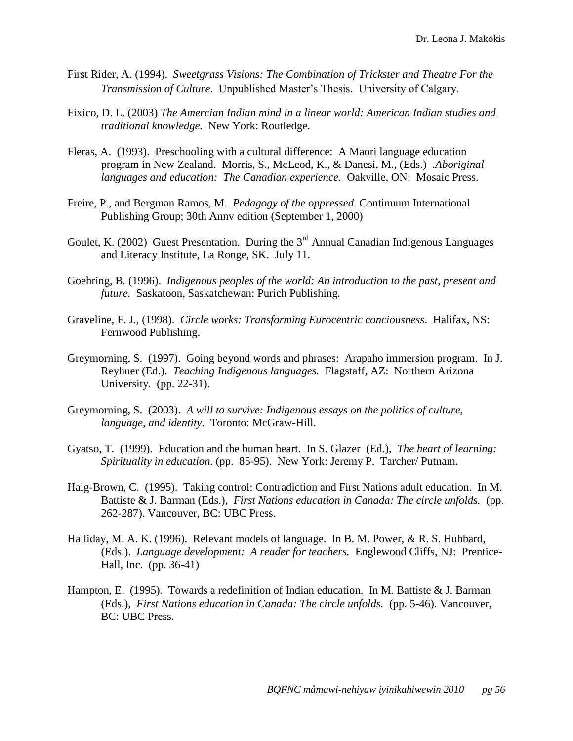- First Rider, A. (1994). *Sweetgrass Visions: The Combination of Trickster and Theatre For the Transmission of Culture*. Unpublished Master's Thesis. University of Calgary.
- Fixico, D. L. (2003) *The Amercian Indian mind in a linear world: American Indian studies and traditional knowledge.* New York: Routledge.
- Fleras, A. (1993). Preschooling with a cultural difference: A Maori language education program in New Zealand. Morris, S., McLeod, K., & Danesi, M., (Eds.) .*Aboriginal languages and education: The Canadian experience.* Oakville, ON: Mosaic Press.
- Freire, P., and Bergman Ramos, M. *Pedagogy of the oppressed.* Continuum International Publishing Group; 30th Annv edition (September 1, 2000)
- Goulet, K. (2002) Guest Presentation. During the  $3<sup>rd</sup>$  Annual Canadian Indigenous Languages and Literacy Institute, La Ronge, SK. July 11.
- Goehring, B. (1996). *Indigenous peoples of the world: An introduction to the past, present and future.* Saskatoon, Saskatchewan: Purich Publishing.
- Graveline, F. J., (1998). *Circle works: Transforming Eurocentric conciousness*. Halifax, NS: Fernwood Publishing.
- Greymorning, S. (1997). Going beyond words and phrases: Arapaho immersion program. In J. Reyhner (Ed.). *Teaching Indigenous languages.* Flagstaff, AZ: Northern Arizona University. (pp. 22-31).
- Greymorning, S. (2003). *A will to survive: Indigenous essays on the politics of culture, language, and identity*. Toronto: McGraw-Hill.
- Gyatso, T. (1999). Education and the human heart. In S. Glazer (Ed.), *The heart of learning: Spirituality in education.* (pp. 85-95). New York: Jeremy P. Tarcher/ Putnam.
- Haig-Brown, C. (1995). Taking control: Contradiction and First Nations adult education. In M. Battiste & J. Barman (Eds.), *First Nations education in Canada: The circle unfolds.* (pp. 262-287). Vancouver, BC: UBC Press.
- Halliday, M. A. K. (1996). Relevant models of language. In B. M. Power, & R. S. Hubbard, (Eds.). *Language development: A reader for teachers.* Englewood Cliffs, NJ: Prentice-Hall, Inc. (pp. 36-41)
- Hampton, E. (1995). Towards a redefinition of Indian education. In M. Battiste  $\&$  J. Barman (Eds.), *First Nations education in Canada: The circle unfolds.* (pp. 5-46). Vancouver, BC: UBC Press.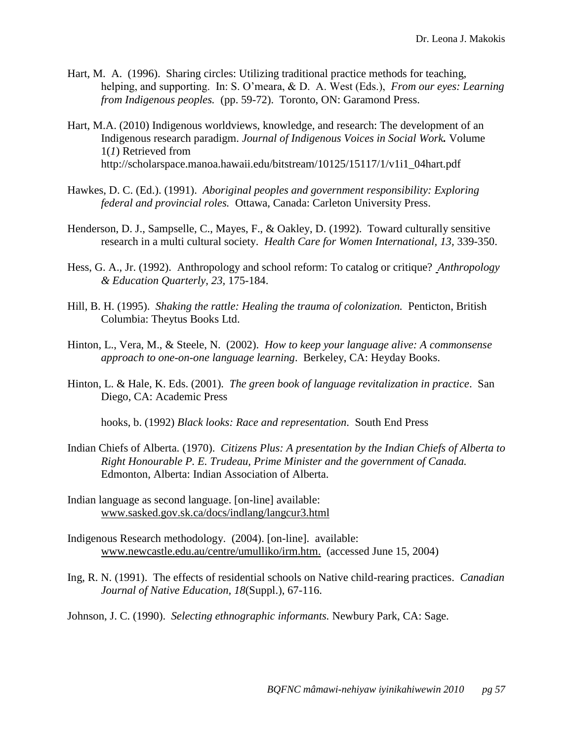- Hart, M. A. (1996). Sharing circles: Utilizing traditional practice methods for teaching, helping, and supporting. In: S. O'meara, & D. A. West (Eds.), *From our eyes: Learning from Indigenous peoples.* (pp. 59-72). Toronto, ON: Garamond Press.
- Hart, M.A. (2010) Indigenous worldviews, knowledge, and research: The development of an Indigenous research paradigm. *Journal of Indigenous Voices in Social Work.* Volume 1(*1*) Retrieved from http://scholarspace.manoa.hawaii.edu/bitstream/10125/15117/1/v1i1\_04hart.pdf
- Hawkes, D. C. (Ed.). (1991). *Aboriginal peoples and government responsibility: Exploring federal and provincial roles.* Ottawa, Canada: Carleton University Press.
- Henderson, D. J., Sampselle, C., Mayes, F., & Oakley, D. (1992). Toward culturally sensitive research in a multi cultural society. *Health Care for Women International, 13,* 339-350.
- Hess, G. A., Jr. (1992). Anthropology and school reform: To catalog or critique? *Anthropology & Education Quarterly, 23,* 175-184.
- Hill, B. H. (1995). *Shaking the rattle: Healing the trauma of colonization.* Penticton, British Columbia: Theytus Books Ltd.
- Hinton, L., Vera, M., & Steele, N. (2002). *How to keep your language alive: A commonsense approach to one-on-one language learning*. Berkeley, CA: Heyday Books.
- Hinton, L. & Hale, K. Eds. (2001). *The green book of language revitalization in practice*. San Diego, CA: Academic Press

hooks, b. (1992) *Black looks: Race and representation*. South End Press

- Indian Chiefs of Alberta. (1970). *Citizens Plus: A presentation by the Indian Chiefs of Alberta to Right Honourable P. E. Trudeau, Prime Minister and the government of Canada.* Edmonton, Alberta: Indian Association of Alberta.
- Indian language as second language. [on-line] available: [www.sasked.gov.sk.ca/docs/indlang/langcur3.html](http://www.sasked.gov.sk.ca/docs/indlang/langcur3.html)
- Indigenous Research methodology. (2004). [on-line]. available: [www.newcastle.edu.au/centre/umulliko/irm.htm.](http://www.newcastle.edu.au/centre/umulliko/irm.htm.) (accessed June 15, 2004)
- Ing, R. N. (1991). The effects of residential schools on Native child-rearing practices. *Canadian Journal of Native Education, 18*(Suppl.), 67-116.

Johnson, J. C. (1990). *Selecting ethnographic informants.* Newbury Park, CA: Sage.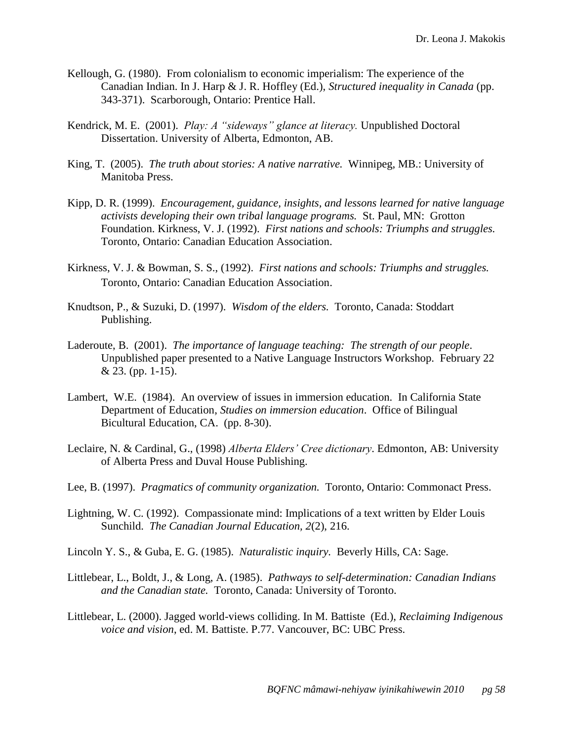- Kellough, G. (1980). From colonialism to economic imperialism: The experience of the Canadian Indian. In J. Harp & J. R. Hoffley (Ed.), *Structured inequality in Canada* (pp. 343-371). Scarborough, Ontario: Prentice Hall.
- Kendrick, M. E. (2001). *Play: A "sideways" glance at literacy*. Unpublished Doctoral Dissertation. University of Alberta, Edmonton, AB.
- King, T. (2005). *The truth about stories: A native narrative.* Winnipeg, MB.: University of Manitoba Press.
- Kipp, D. R. (1999). *Encouragement, guidance, insights, and lessons learned for native language activists developing their own tribal language programs.* St. Paul, MN: Grotton Foundation. Kirkness, V. J. (1992). *First nations and schools: Triumphs and struggles.*  Toronto, Ontario: Canadian Education Association.
- Kirkness, V. J. & Bowman, S. S., (1992). *First nations and schools: Triumphs and struggles.*  Toronto, Ontario: Canadian Education Association.
- Knudtson, P., & Suzuki, D. (1997). *Wisdom of the elders.* Toronto, Canada: Stoddart Publishing.
- Laderoute, B. (2001). *The importance of language teaching: The strength of our people*. Unpublished paper presented to a Native Language Instructors Workshop. February 22 & 23. (pp. 1-15).
- Lambert, W.E. (1984). An overview of issues in immersion education. In California State Department of Education, *Studies on immersion education*. Office of Bilingual Bicultural Education, CA. (pp. 8-30).
- Leclaire, N. & Cardinal, G., (1998) *Alberta Elders' Cree dictionary*. Edmonton, AB: University of Alberta Press and Duval House Publishing.
- Lee, B. (1997). *Pragmatics of community organization.* Toronto, Ontario: Commonact Press.
- Lightning, W. C. (1992). Compassionate mind: Implications of a text written by Elder Louis Sunchild. *The Canadian Journal Education, 2*(2), 216.
- Lincoln Y. S., & Guba, E. G. (1985). *Naturalistic inquiry.* Beverly Hills, CA: Sage.
- Littlebear, L., Boldt, J., & Long, A. (1985). *Pathways to self-determination: Canadian Indians and the Canadian state.* Toronto, Canada: University of Toronto.
- Littlebear, L. (2000). Jagged world-views colliding. In M. Battiste (Ed.), *Reclaiming Indigenous voice and vision*, ed. M. Battiste. P.77. Vancouver, BC: UBC Press.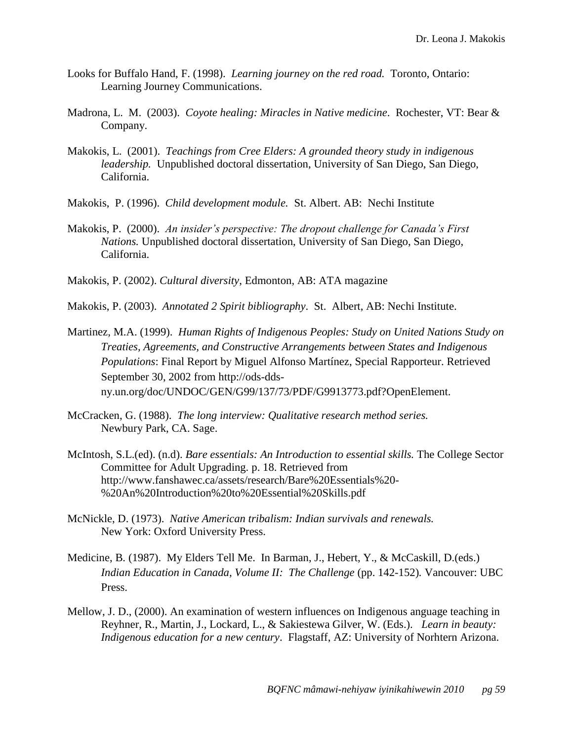- Looks for Buffalo Hand, F. (1998). *Learning journey on the red road.* Toronto, Ontario: Learning Journey Communications.
- Madrona, L. M. (2003). *Coyote healing: Miracles in Native medicine*. Rochester, VT: Bear & Company.
- Makokis, L. (2001). *Teachings from Cree Elders: A grounded theory study in indigenous leadership.* Unpublished doctoral dissertation, University of San Diego, San Diego, California.
- Makokis, P. (1996). *Child development module.* St. Albert. AB: Nechi Institute
- Makokis, P. (2000). *An insider's perspective: The dropout challenge for Canada's First Nations.* Unpublished doctoral dissertation, University of San Diego, San Diego, California.
- Makokis, P. (2002). *Cultural diversity*, Edmonton, AB: ATA magazine
- Makokis, P. (2003). *Annotated 2 Spirit bibliography*. St. Albert, AB: Nechi Institute.
- Martinez, M.A. (1999). *Human Rights of Indigenous Peoples: Study on United Nations Study on Treaties, Agreements, and Constructive Arrangements between States and Indigenous Populations*: Final Report by Miguel Alfonso Martínez, Special Rapporteur. Retrieved September 30, 2002 from http://ods-ddsny.un.org/doc/UNDOC/GEN/G99/137/73/PDF/G9913773.pdf?OpenElement.
- McCracken, G. (1988). *The long interview: Qualitative research method series.* Newbury Park, CA. Sage.
- McIntosh, S.L.(ed). (n.d). *Bare essentials: An Introduction to essential skills.* The College Sector Committee for Adult Upgrading. p. 18. Retrieved from http://www.fanshawec.ca/assets/research/Bare%20Essentials%20- %20An%20Introduction%20to%20Essential%20Skills.pdf
- McNickle, D. (1973). *Native American tribalism: Indian survivals and renewals.* New York: Oxford University Press.
- Medicine, B. (1987). My Elders Tell Me. In Barman, J., Hebert, Y., & McCaskill, D.(eds.) *Indian Education in Canada, Volume II: The Challenge* (pp. 142-152)*.* Vancouver: UBC Press.
- Mellow, J. D., (2000). An examination of western influences on Indigenous anguage teaching in Reyhner, R., Martin, J., Lockard, L., & Sakiestewa Gilver, W. (Eds.). *Learn in beauty: Indigenous education for a new century*. Flagstaff, AZ: University of Norhtern Arizona.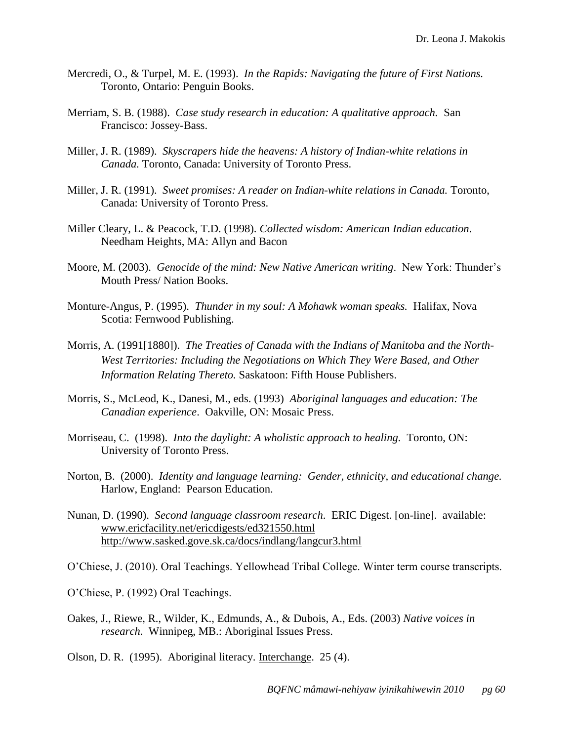- Mercredi, O., & Turpel, M. E. (1993). *In the Rapids: Navigating the future of First Nations.*  Toronto, Ontario: Penguin Books.
- Merriam, S. B. (1988). *Case study research in education: A qualitative approach.* San Francisco: Jossey-Bass.
- Miller, J. R. (1989). *Skyscrapers hide the heavens: A history of Indian-white relations in Canada.* Toronto, Canada: University of Toronto Press.
- Miller, J. R. (1991). *Sweet promises: A reader on Indian-white relations in Canada.* Toronto, Canada: University of Toronto Press.
- Miller Cleary, L. & Peacock, T.D. (1998). *Collected wisdom: American Indian education*. Needham Heights, MA: Allyn and Bacon
- Moore, M. (2003). *Genocide of the mind: New Native American writing*. New York: Thunder's Mouth Press/ Nation Books.
- Monture-Angus, P. (1995). *Thunder in my soul: A Mohawk woman speaks.* Halifax, Nova Scotia: Fernwood Publishing.
- Morris, A. (1991[1880]). *The Treaties of Canada with the Indians of Manitoba and the North-West Territories: Including the Negotiations on Which They Were Based, and Other Information Relating Thereto.* Saskatoon: Fifth House Publishers.
- Morris, S., McLeod, K., Danesi, M., eds. (1993) *Aboriginal languages and education: The Canadian experience*. Oakville, ON: Mosaic Press.
- Morriseau, C. (1998). *Into the daylight: A wholistic approach to healing.* Toronto, ON: University of Toronto Press.
- Norton, B. (2000). *Identity and language learning: Gender, ethnicity, and educational change.* Harlow, England: Pearson Education.
- Nunan, D. (1990). *Second language classroom research*. ERIC Digest. [on-line]. available: [www.ericfacility.net/ericdigests/ed321550.html](http://www.ericfacility.net/ericdigests/ed321550.html) <http://www.sasked.gove.sk.ca/docs/indlang/langcur3.html>
- O'Chiese, J. (2010). Oral Teachings. Yellowhead Tribal College. Winter term course transcripts.
- O'Chiese, P. (1992) Oral Teachings.
- Oakes, J., Riewe, R., Wilder, K., Edmunds, A., & Dubois, A., Eds. (2003) *Native voices in research*. Winnipeg, MB.: Aboriginal Issues Press.
- Olson, D. R. (1995). Aboriginal literacy. Interchange. 25 (4).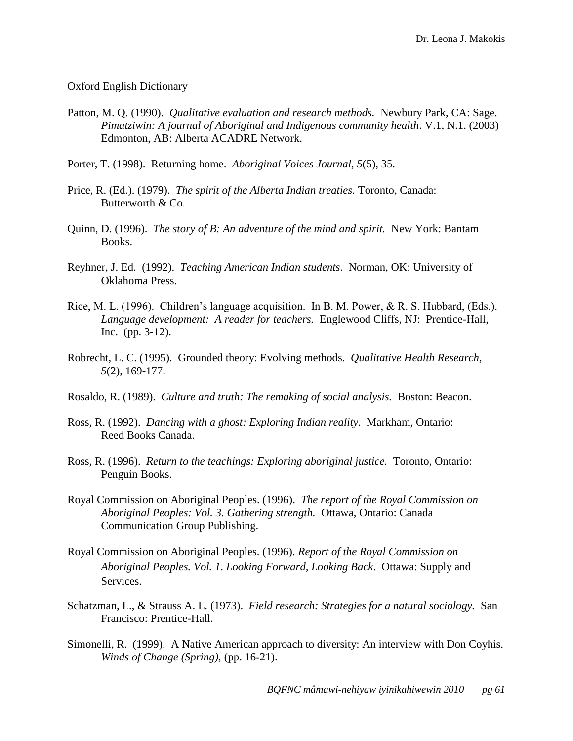### Oxford English Dictionary

- Patton, M. Q. (1990). *Qualitative evaluation and research methods.* Newbury Park, CA: Sage. *Pimatziwin: A journal of Aboriginal and Indigenous community health*. V.1, N.1. (2003) Edmonton, AB: Alberta ACADRE Network.
- Porter, T. (1998). Returning home. *Aboriginal Voices Journal, 5*(5), 35.
- Price, R. (Ed.). (1979). *The spirit of the Alberta Indian treaties.* Toronto, Canada: Butterworth & Co.
- Quinn, D. (1996). *The story of B: An adventure of the mind and spirit.* New York: Bantam Books.
- Reyhner, J. Ed. (1992). *Teaching American Indian students*. Norman, OK: University of Oklahoma Press.
- Rice, M. L. (1996). Children's language acquisition. In B. M. Power, & R. S. Hubbard, (Eds.). *Language development: A reader for teachers.* Englewood Cliffs, NJ: Prentice-Hall, Inc. (pp. 3-12).
- Robrecht, L. C. (1995). Grounded theory: Evolving methods. *Qualitative Health Research, 5*(2), 169-177.
- Rosaldo, R. (1989). *Culture and truth: The remaking of social analysis.* Boston: Beacon.
- Ross, R. (1992). *Dancing with a ghost: Exploring Indian reality.* Markham, Ontario: Reed Books Canada.
- Ross, R. (1996). *Return to the teachings: Exploring aboriginal justice.* Toronto, Ontario: Penguin Books.
- Royal Commission on Aboriginal Peoples. (1996). *The report of the Royal Commission on Aboriginal Peoples: Vol. 3. Gathering strength.* Ottawa, Ontario: Canada Communication Group Publishing.
- Royal Commission on Aboriginal Peoples. (1996). *Report of the Royal Commission on Aboriginal Peoples. Vol. 1*. *Looking Forward, Looking Back*. Ottawa: Supply and Services.
- Schatzman, L., & Strauss A. L. (1973). *Field research: Strategies for a natural sociology.* San Francisco: Prentice-Hall.
- Simonelli, R. (1999). A Native American approach to diversity: An interview with Don Coyhis. *Winds of Change (Spring),* (pp. 16-21).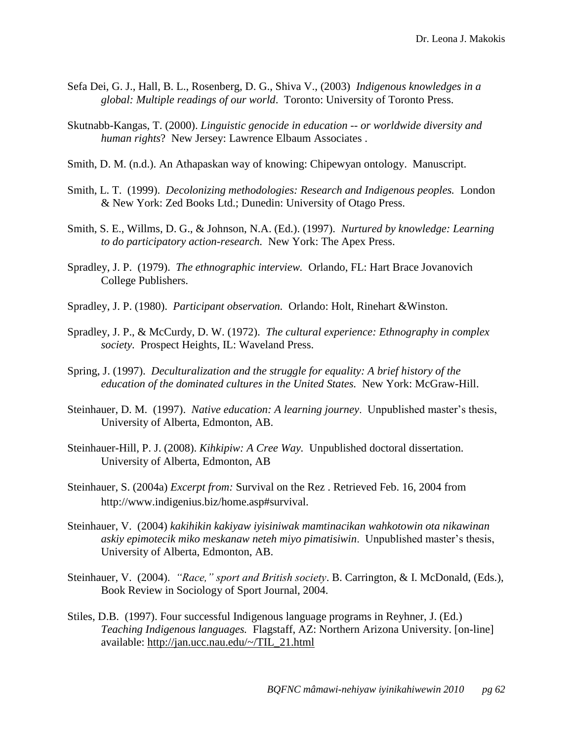- Sefa Dei, G. J., Hall, B. L., Rosenberg, D. G., Shiva V., (2003) *Indigenous knowledges in a global: Multiple readings of our world*. Toronto: University of Toronto Press.
- Skutnabb-Kangas, T. (2000). *Linguistic genocide in education -- or worldwide diversity and human rights*? New Jersey: Lawrence Elbaum Associates .
- Smith, D. M. (n.d.). An Athapaskan way of knowing: Chipewyan ontology. Manuscript.
- Smith, L. T. (1999). *Decolonizing methodologies: Research and Indigenous peoples.* London & New York: Zed Books Ltd.; Dunedin: University of Otago Press.
- Smith, S. E., Willms, D. G., & Johnson, N.A. (Ed.). (1997). *Nurtured by knowledge: Learning to do participatory action-research.* New York: The Apex Press.
- Spradley, J. P. (1979). *The ethnographic interview.* Orlando, FL: Hart Brace Jovanovich College Publishers.
- Spradley, J. P. (1980). *Participant observation.* Orlando: Holt, Rinehart &Winston.
- Spradley, J. P., & McCurdy, D. W. (1972). *The cultural experience: Ethnography in complex society.* Prospect Heights, IL: Waveland Press.
- Spring, J. (1997). *Deculturalization and the struggle for equality: A brief history of the education of the dominated cultures in the United States.* New York: McGraw-Hill.
- Steinhauer, D. M. (1997). *Native education: A learning journey*. Unpublished master's thesis, University of Alberta, Edmonton, AB.
- Steinhauer-Hill, P. J. (2008). *Kihkipiw: A Cree Way.* Unpublished doctoral dissertation. University of Alberta, Edmonton, AB
- Steinhauer, S. (2004a) *Excerpt from:* Survival on the Rez . Retrieved Feb. 16, 2004 from http://www.indigenius.biz/home.asp#survival.
- Steinhauer, V. (2004) *kakihikin kakiyaw iyisiniwak mamtinacikan wahkotowin ota nikawinan askiy epimotecik miko meskanaw neteh miyo pimatisiwin*. Unpublished master's thesis, University of Alberta, Edmonton, AB.
- Steinhauer, V. (2004). *"Race," sport and British society*. B. Carrington, & I. McDonald, (Eds.), Book Review in Sociology of Sport Journal, 2004.
- Stiles, D.B. (1997). Four successful Indigenous language programs in Reyhner, J. (Ed.) *Teaching Indigenous languages.* Flagstaff, AZ: Northern Arizona University. [on-line] available: [http://jan.ucc.nau.edu/~/TIL\\_21.html](http://jan.ucc.nau.edu/~/TIL_21.htme)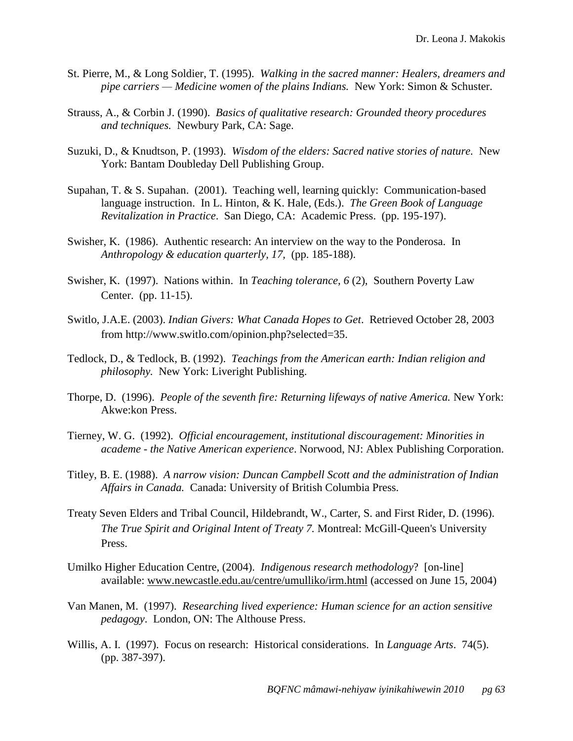- St. Pierre, M., & Long Soldier, T. (1995). *Walking in the sacred manner: Healers, dreamers and pipe carriers — Medicine women of the plains Indians.* New York: Simon & Schuster.
- Strauss, A., & Corbin J. (1990). *Basics of qualitative research: Grounded theory procedures and techniques.* Newbury Park, CA: Sage.
- Suzuki, D., & Knudtson, P. (1993). *Wisdom of the elders: Sacred native stories of nature.* New York: Bantam Doubleday Dell Publishing Group.
- Supahan, T. & S. Supahan. (2001). Teaching well, learning quickly: Communication-based language instruction. In L. Hinton, & K. Hale, (Eds.). *The Green Book of Language Revitalization in Practice*. San Diego, CA: Academic Press. (pp. 195-197).
- Swisher, K. (1986). Authentic research: An interview on the way to the Ponderosa. In *Anthropology & education quarterly, 17,* (pp. 185-188).
- Swisher, K. (1997). Nations within. In *Teaching tolerance, 6* (2), Southern Poverty Law Center. (pp. 11-15).
- Switlo, J.A.E. (2003). *Indian Givers: What Canada Hopes to Get*. Retrieved October 28, 2003 from http://www.switlo.com/opinion.php?selected=35.
- Tedlock, D., & Tedlock, B. (1992). *Teachings from the American earth: Indian religion and philosophy.* New York: Liveright Publishing.
- Thorpe, D. (1996). *People of the seventh fire: Returning lifeways of native America.* New York: Akwe:kon Press.
- Tierney, W. G. (1992). *Official encouragement, institutional discouragement: Minorities in academe - the Native American experience*. Norwood, NJ: Ablex Publishing Corporation.
- Titley, B. E. (1988). *A narrow vision: Duncan Campbell Scott and the administration of Indian Affairs in Canada.* Canada: University of British Columbia Press.
- Treaty Seven Elders and Tribal Council, Hildebrandt, W., Carter, S. and First Rider, D. (1996). *The True Spirit and Original Intent of Treaty 7.* Montreal: McGill-Queen's University Press.
- Umilko Higher Education Centre, (2004). *Indigenous research methodology*? [on-line] available: [www.newcastle.edu.au/centre/umulliko/irm.html](http://www.newcastle.edu.au/) (accessed on June 15, 2004)
- Van Manen, M. (1997). *Researching lived experience: Human science for an action sensitive pedagogy*. London, ON: The Althouse Press.
- Willis, A. I. (1997). Focus on research: Historical considerations. In *Language Arts*. 74(5). (pp. 387-397).